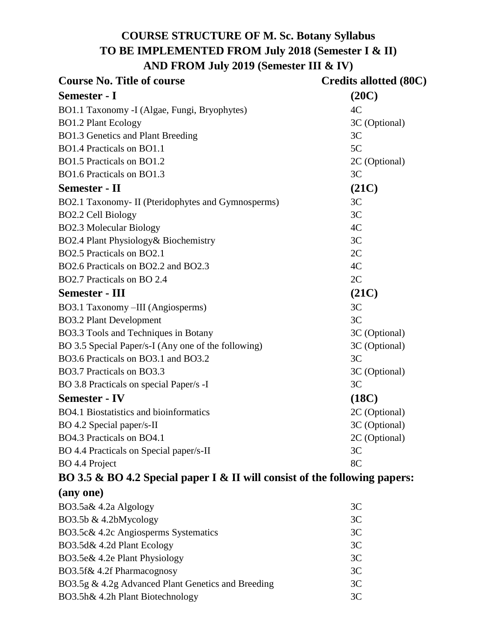# **COURSE STRUCTURE OF M. Sc. Botany Syllabus TO BE IMPLEMENTED FROM July 2018 (Semester I & II) AND FROM July 2019 (Semester III & IV)**

| <b>Course No. Title of course</b>                   | Credits allotted (80C) |
|-----------------------------------------------------|------------------------|
| <b>Semester - I</b>                                 | (20C)                  |
| BO1.1 Taxonomy -I (Algae, Fungi, Bryophytes)        | 4C                     |
| <b>BO1.2 Plant Ecology</b>                          | 3C (Optional)          |
| <b>BO1.3 Genetics and Plant Breeding</b>            | 3C                     |
| BO1.4 Practicals on BO1.1                           | 5C                     |
| BO1.5 Practicals on BO1.2                           | 2C (Optional)          |
| BO1.6 Practicals on BO1.3                           | 3C                     |
| <b>Semester - II</b>                                | (21C)                  |
| BO2.1 Taxonomy- II (Pteridophytes and Gymnosperms)  | 3C                     |
| <b>BO2.2 Cell Biology</b>                           | 3C                     |
| <b>BO2.3 Molecular Biology</b>                      | 4C                     |
| BO2.4 Plant Physiology& Biochemistry                | 3C                     |
| BO2.5 Practicals on BO2.1                           | 2C                     |
| BO2.6 Practicals on BO2.2 and BO2.3                 | 4C                     |
| BO2.7 Practicals on BO 2.4                          | 2C                     |
| <b>Semester - III</b>                               | (21C)                  |
| BO3.1 Taxonomy -III (Angiosperms)                   | 3C                     |
| <b>BO3.2 Plant Development</b>                      | 3C                     |
| BO3.3 Tools and Techniques in Botany                | 3C (Optional)          |
| BO 3.5 Special Paper/s-I (Any one of the following) | 3C (Optional)          |
| BO3.6 Practicals on BO3.1 and BO3.2                 | 3C                     |
| BO3.7 Practicals on BO3.3                           | 3C (Optional)          |
| BO 3.8 Practicals on special Paper/s -I             | 3C                     |
| <b>Semester - IV</b>                                | (18C)                  |
| BO4.1 Biostatistics and bioinformatics              | 2C (Optional)          |
| BO 4.2 Special paper/s-II                           | 3C (Optional)          |
| BO4.3 Practicals on BO4.1                           | 2C (Optional)          |
| BO 4.4 Practicals on Special paper/s-II             | 3C                     |
| BO 4.4 Project                                      | 8C                     |

# **BO 3.5 & BO 4.2 Special paper I & II will consist of the following papers: (any one)**

| (III, VII)                                         |                |
|----------------------------------------------------|----------------|
| BO3.5a& 4.2a Algology                              | 3C             |
| BO3.5b $& 4.2bMycology$                            | 3C             |
| BO3.5c& 4.2c Angiosperms Systematics               | 3C             |
| BO3.5d& 4.2d Plant Ecology                         | 3C             |
| BO3.5e& 4.2e Plant Physiology                      | 3 <sup>C</sup> |
| BO3.5f& 4.2f Pharmacognosy                         | 3C             |
| BO3.5g & 4.2g Advanced Plant Genetics and Breeding | 3C             |
| BO3.5h& 4.2h Plant Biotechnology                   | 3C             |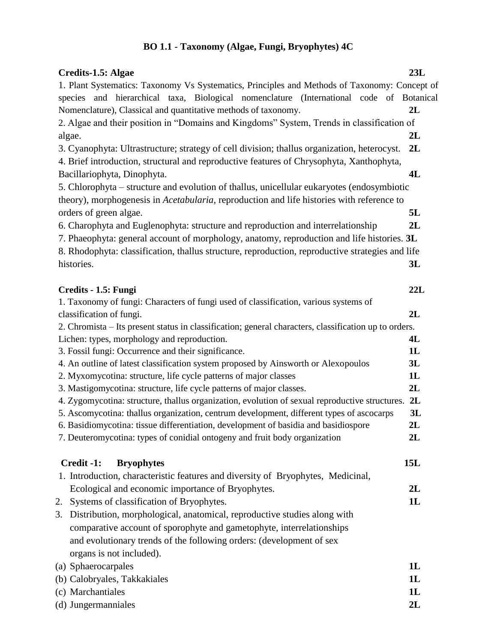# **BO 1.1 - Taxonomy (Algae, Fungi, Bryophytes) 4C**

| Credits-1.5: Algae                                                                                                                | 23L            |
|-----------------------------------------------------------------------------------------------------------------------------------|----------------|
| 1. Plant Systematics: Taxonomy Vs Systematics, Principles and Methods of Taxonomy: Concept of                                     |                |
| species and hierarchical taxa, Biological nomenclature (International code of Botanical                                           |                |
| Nomenclature), Classical and quantitative methods of taxonomy.                                                                    | 2L             |
| 2. Algae and their position in "Domains and Kingdoms" System, Trends in classification of                                         |                |
| algae.                                                                                                                            | 2L             |
| 3. Cyanophyta: Ultrastructure; strategy of cell division; thallus organization, heterocyst.                                       | 2L             |
| 4. Brief introduction, structural and reproductive features of Chrysophyta, Xanthophyta,                                          |                |
| Bacillariophyta, Dinophyta.                                                                                                       | 4L             |
| 5. Chlorophyta – structure and evolution of thallus, unicellular eukaryotes (endosymbiotic                                        |                |
| theory), morphogenesis in Acetabularia, reproduction and life histories with reference to                                         |                |
| orders of green algae.                                                                                                            | 5L             |
| 6. Charophyta and Euglenophyta: structure and reproduction and interrelationship                                                  | 2L             |
| 7. Phaeophyta: general account of morphology, anatomy, reproduction and life histories. 3L                                        |                |
| 8. Rhodophyta: classification, thallus structure, reproduction, reproductive strategies and life                                  |                |
| histories.                                                                                                                        | 3L             |
|                                                                                                                                   |                |
| Credits - 1.5: Fungi                                                                                                              | 22L            |
| 1. Taxonomy of fungi: Characters of fungi used of classification, various systems of                                              | 2L             |
| classification of fungi.<br>2. Chromista - Its present status in classification; general characters, classification up to orders. |                |
| Lichen: types, morphology and reproduction.                                                                                       | 4L             |
| 3. Fossil fungi: Occurrence and their significance.                                                                               | 1L             |
| 4. An outline of latest classification system proposed by Ainsworth or Alexopoulos                                                | 3L             |
| 2. Myxomycotina: structure, life cycle patterns of major classes                                                                  | 1L             |
| 3. Mastigomycotina: structure, life cycle patterns of major classes.                                                              | 2L             |
| 4. Zygomycotina: structure, thallus organization, evolution of sexual reproductive structures.                                    | 2L             |
| 5. Ascomycotina: thallus organization, centrum development, different types of ascocarps                                          | 3L             |
| 6. Basidiomycotina: tissue differentiation, development of basidia and basidiospore                                               | 2L             |
| 7. Deuteromycotina: types of conidial ontogeny and fruit body organization                                                        | 2L             |
|                                                                                                                                   |                |
| Credit -1:<br><b>Bryophytes</b>                                                                                                   | 15L            |
| 1. Introduction, characteristic features and diversity of Bryophytes, Medicinal,                                                  |                |
| Ecological and economic importance of Bryophytes.                                                                                 | 2L             |
| Systems of classification of Bryophytes.<br>2.                                                                                    | 1L             |
| Distribution, morphological, anatomical, reproductive studies along with<br>3.                                                    |                |
| comparative account of sporophyte and gametophyte, interrelationships                                                             |                |
| and evolutionary trends of the following orders: (development of sex                                                              |                |
| organs is not included).                                                                                                          |                |
| (a) Sphaerocarpales                                                                                                               | 1L             |
| (b) Calobryales, Takkakiales                                                                                                      | 1L             |
| (c) Marchantiales                                                                                                                 | 1 <sub>L</sub> |
| (d) Jungermanniales                                                                                                               | 2L             |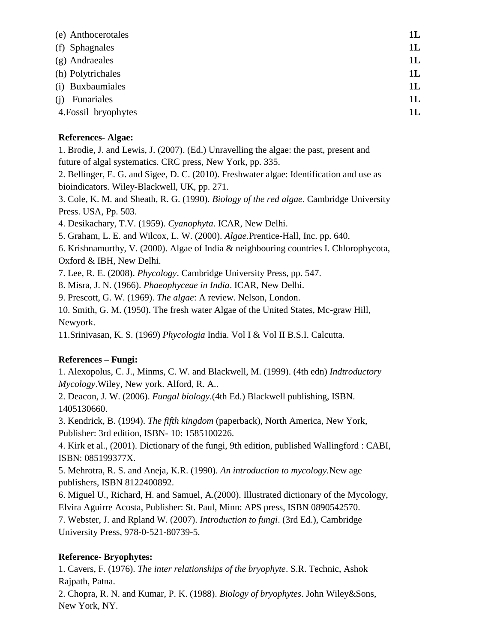| 1L |
|----|
| 1L |
| 1L |
| 1L |
| 1L |
| 1L |
| 1L |
|    |

#### **References- Algae:**

1. Brodie, J. and Lewis, J. (2007). (Ed.) Unravelling the algae: the past, present and future of algal systematics. CRC press, New York, pp. 335.

2. Bellinger, E. G. and Sigee, D. C. (2010). Freshwater algae: Identification and use as bioindicators. Wiley-Blackwell, UK, pp. 271.

3. Cole, K. M. and Sheath, R. G. (1990). *Biology of the red algae*. Cambridge University Press. USA, Pp. 503.

4. Desikachary, T.V. (1959). *Cyanophyta*. ICAR, New Delhi.

5. Graham, L. E. and Wilcox, L. W. (2000). *Algae*.Prentice-Hall, Inc. pp. 640.

6. Krishnamurthy, V. (2000). Algae of India & neighbouring countries I. Chlorophycota, Oxford & IBH, New Delhi.

7. Lee, R. E. (2008). *Phycology*. Cambridge University Press, pp. 547.

8. Misra, J. N. (1966). *Phaeophyceae in India*. ICAR, New Delhi.

9. Prescott, G. W. (1969). *The algae*: A review. Nelson, London.

10. Smith, G. M. (1950). The fresh water Algae of the United States, Mc-graw Hill, Newyork.

11.Srinivasan, K. S. (1969) *Phycologia* India. Vol I & Vol II B.S.I. Calcutta.

## **References – Fungi:**

1. Alexopolus, C. J., Minms, C. W. and Blackwell, M. (1999). (4th edn) *Indtroductory Mycology*.Wiley, New york. Alford, R. A..

2. Deacon, J. W. (2006). *Fungal biology*.(4th Ed.) Blackwell publishing, ISBN. 1405130660.

3. Kendrick, B. (1994). *The fifth kingdom* (paperback), North America, New York, Publisher: 3rd edition, ISBN- 10: 1585100226.

4. Kirk et al., (2001). Dictionary of the fungi, 9th edition, published Wallingford : CABI, ISBN: 085199377X.

5. Mehrotra, R. S. and Aneja, K.R. (1990). *An introduction to mycology.*New age publishers, ISBN 8122400892.

6. Miguel U., Richard, H. and Samuel, A.(2000). Illustrated dictionary of the Mycology, Elvira Aguirre Acosta, Publisher: St. Paul, Minn: APS press, ISBN 0890542570.

7. Webster, J. and Rpland W. (2007). *Introduction to fungi*. (3rd Ed.), Cambridge University Press, 978-0-521-80739-5.

## **Reference- Bryophytes:**

1. Cavers, F. (1976). *The inter relationships of the bryophyte*. S.R. Technic, Ashok Rajpath, Patna.

2. Chopra, R. N. and Kumar, P. K. (1988). *Biology of bryophytes*. John Wiley&Sons, New York, NY.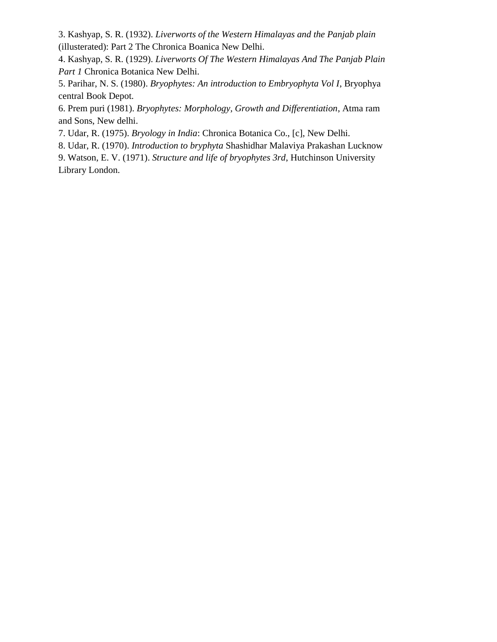3. Kashyap, S. R. (1932). *Liverworts of the Western Himalayas and the Panjab plain* (illusterated): Part 2 The Chronica Boanica New Delhi.

4. Kashyap, S. R. (1929). *Liverworts Of The Western Himalayas And The Panjab Plain Part 1* Chronica Botanica New Delhi.

5. Parihar, N. S. (1980). *Bryophytes: An introduction to Embryophyta Vol I*, Bryophya central Book Depot.

6. Prem puri (1981). *Bryophytes: Morphology, Growth and Differentiation*, Atma ram and Sons, New delhi.

7. Udar, R. (1975). *Bryology in India*: Chronica Botanica Co., [c], New Delhi.

8. Udar, R. (1970). *Introduction to bryphyta* Shashidhar Malaviya Prakashan Lucknow

9. Watson, E. V. (1971). *Structure and life of bryophytes 3rd*, Hutchinson University Library London.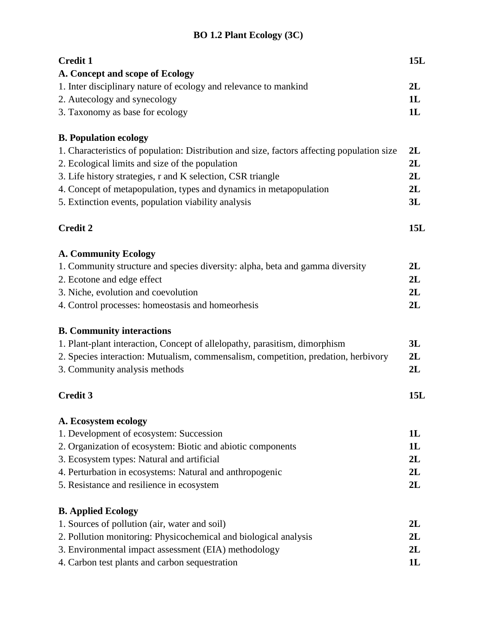# **BO 1.2 Plant Ecology (3C)**

| <b>Credit 1</b>                                                                            | 15L |
|--------------------------------------------------------------------------------------------|-----|
| A. Concept and scope of Ecology                                                            |     |
| 1. Inter disciplinary nature of ecology and relevance to mankind                           | 2L  |
| 2. Autecology and synecology                                                               | 1L  |
| 3. Taxonomy as base for ecology                                                            | 1L  |
| <b>B. Population ecology</b>                                                               |     |
| 1. Characteristics of population: Distribution and size, factors affecting population size | 2L  |
| 2. Ecological limits and size of the population                                            | 2L  |
| 3. Life history strategies, r and K selection, CSR triangle                                | 2L  |
| 4. Concept of metapopulation, types and dynamics in metapopulation                         | 2L  |
| 5. Extinction events, population viability analysis                                        | 3L  |
| <b>Credit 2</b>                                                                            | 15L |
| <b>A. Community Ecology</b>                                                                |     |
| 1. Community structure and species diversity: alpha, beta and gamma diversity              | 2L  |
| 2. Ecotone and edge effect                                                                 | 2L  |
| 3. Niche, evolution and coevolution                                                        | 2L  |
| 4. Control processes: homeostasis and homeorhesis                                          | 2L  |
| <b>B. Community interactions</b>                                                           |     |
| 1. Plant-plant interaction, Concept of allelopathy, parasitism, dimorphism                 | 3L  |
| 2. Species interaction: Mutualism, commensalism, competition, predation, herbivory         | 2L  |
| 3. Community analysis methods                                                              | 2L  |
| <b>Credit 3</b>                                                                            | 15L |
| A. Ecosystem ecology                                                                       |     |
| 1. Development of ecosystem: Succession                                                    | 1L  |
| 2. Organization of ecosystem: Biotic and abiotic components                                | 1L  |
| 3. Ecosystem types: Natural and artificial                                                 | 2L  |
| 4. Perturbation in ecosystems: Natural and anthropogenic                                   | 2L  |
| 5. Resistance and resilience in ecosystem                                                  | 2L  |
| <b>B.</b> Applied Ecology                                                                  |     |
| 1. Sources of pollution (air, water and soil)                                              | 2L  |
| 2. Pollution monitoring: Physicochemical and biological analysis                           | 2L  |
| 3. Environmental impact assessment (EIA) methodology                                       | 2L  |
| 4. Carbon test plants and carbon sequestration                                             | 1L  |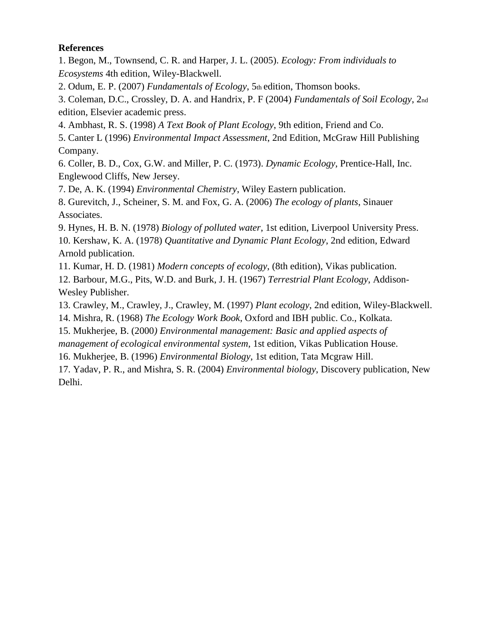### **References**

1. Begon, M., Townsend, C. R. and Harper, J. L. (2005). *Ecology: From individuals to Ecosystems* 4th edition, Wiley-Blackwell.

2. Odum, E. P. (2007) *Fundamentals of Ecology*, 5th edition, Thomson books.

3. Coleman, D.C., Crossley, D. A. and Handrix, P. F (2004) *Fundamentals of Soil Ecology*, 2nd edition, Elsevier academic press.

4. Ambhast, R. S. (1998) *A Text Book of Plant Ecology*, 9th edition, Friend and Co.

5. Canter L (1996) *Environmental Impact Assessment*, 2nd Edition, McGraw Hill Publishing Company.

6. Coller, B. D., Cox, G.W. and Miller, P. C. (1973). *Dynamic Ecology*, Prentice-Hall, Inc. Englewood Cliffs, New Jersey.

7. De, A. K. (1994) *Environmental Chemistry*, Wiley Eastern publication.

8. Gurevitch, J., Scheiner, S. M. and Fox, G. A. (2006) *The ecology of plants*, Sinauer Associates.

9. Hynes, H. B. N. (1978) *Biology of polluted water*, 1st edition, Liverpool University Press. 10. Kershaw, K. A. (1978) *Quantitative and Dynamic Plant Ecology*, 2nd edition, Edward Arnold publication.

11. Kumar, H. D. (1981) *Modern concepts of ecology*, (8th edition), Vikas publication.

12. Barbour, M.G., Pits, W.D. and Burk, J. H. (1967) *Terrestrial Plant Ecology*, Addison-Wesley Publisher.

13. Crawley, M., Crawley, J., Crawley, M. (1997) *Plant ecology*, 2nd edition, Wiley-Blackwell.

14. Mishra, R. (1968) *The Ecology Work Book*, Oxford and IBH public. Co., Kolkata.

15. Mukherjee, B. (2000*) Environmental management: Basic and applied aspects of*

*management of ecological environmental system*, 1st edition, Vikas Publication House.

16. Mukherjee, B. (1996) *Environmental Biology*, 1st edition, Tata Mcgraw Hill.

17. Yadav, P. R., and Mishra, S. R. (2004) *Environmental biology*, Discovery publication, New Delhi.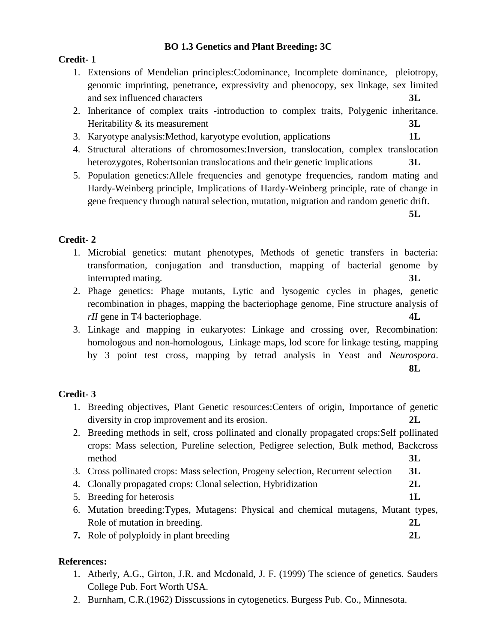## **BO 1.3 Genetics and Plant Breeding: 3C**

## **Credit- 1**

- 1. Extensions of Mendelian principles:Codominance, Incomplete dominance, pleiotropy, genomic imprinting, penetrance, expressivity and phenocopy, sex linkage, sex limited and sex influenced characters **3L**
- 2. Inheritance of complex traits -introduction to complex traits, Polygenic inheritance. Heritability & its measurement **3L**
- 3. Karyotype analysis:Method, karyotype evolution, applications **1L**
- 4. Structural alterations of chromosomes:Inversion, translocation, complex translocation heterozygotes, Robertsonian translocations and their genetic implications **3L**
- 5. Population genetics:Allele frequencies and genotype frequencies, random mating and Hardy-Weinberg principle, Implications of Hardy-Weinberg principle, rate of change in gene frequency through natural selection, mutation, migration and random genetic drift.

**5L**

## **Credit- 2**

- 1. Microbial genetics: mutant phenotypes, Methods of genetic transfers in bacteria: transformation, conjugation and transduction, mapping of bacterial genome by interrupted mating. **3L**
- 2. Phage genetics: Phage mutants, Lytic and lysogenic cycles in phages, genetic recombination in phages, mapping the bacteriophage genome, Fine structure analysis of *rII* gene in T4 bacteriophage. **4L**
- 3. Linkage and mapping in eukaryotes: Linkage and crossing over, Recombination: homologous and non-homologous, Linkage maps, lod score for linkage testing, mapping by 3 point test cross, mapping by tetrad analysis in Yeast and *Neurospora*.

**8L**

## **Credit- 3**

- 1. Breeding objectives, Plant Genetic resources:Centers of origin, Importance of genetic diversity in crop improvement and its erosion. **2L**
- 2. Breeding methods in self, cross pollinated and clonally propagated crops:Self pollinated crops: Mass selection, Pureline selection, Pedigree selection, Bulk method, Backcross method **3L**
- 3. Cross pollinated crops: Mass selection, Progeny selection, Recurrent selection **3L**
- 4. Clonally propagated crops: Clonal selection, Hybridization **2L**
- 5. Breeding for heterosis **1L**
- 6. Mutation breeding:Types, Mutagens: Physical and chemical mutagens, Mutant types, Role of mutation in breeding. **2L**
- **7.** Role of polyploidy in plant breeding **2L**

## **References:**

- 1. Atherly, A.G., Girton, J.R. and Mcdonald, J. F. (1999) The science of genetics. Sauders College Pub. Fort Worth USA.
- 2. Burnham, C.R.(1962) Disscussions in cytogenetics. Burgess Pub. Co., Minnesota.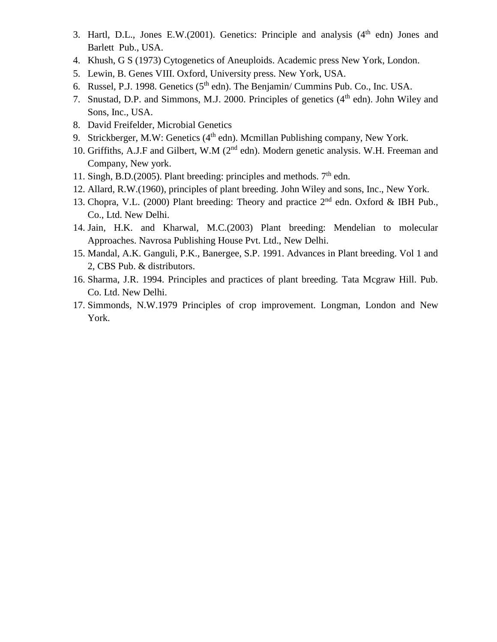- 3. Hartl, D.L., Jones E.W.(2001). Genetics: Principle and analysis  $(4<sup>th</sup>$  edn) Jones and Barlett Pub., USA.
- 4. Khush, G S (1973) Cytogenetics of Aneuploids. Academic press New York, London.
- 5. Lewin, B. Genes VIII. Oxford, University press. New York, USA.
- 6. Russel, P.J. 1998. Genetics  $(5<sup>th</sup>$  edn). The Benjamin/ Cummins Pub. Co., Inc. USA.
- 7. Snustad, D.P. and Simmons, M.J. 2000. Principles of genetics  $(4<sup>th</sup>$  edn). John Wiley and Sons, Inc., USA.
- 8. David Freifelder, Microbial Genetics
- 9. Strickberger, M.W: Genetics  $(4<sup>th</sup>$  edn). Mcmillan Publishing company, New York.
- 10. Griffiths, A.J.F and Gilbert, W.M (2<sup>nd</sup> edn). Modern genetic analysis. W.H. Freeman and Company, New york.
- 11. Singh, B.D.(2005). Plant breeding: principles and methods.  $7<sup>th</sup>$  edn.
- 12. Allard, R.W.(1960), principles of plant breeding. John Wiley and sons, Inc., New York.
- 13. Chopra, V.L. (2000) Plant breeding: Theory and practice  $2<sup>nd</sup>$  edn. Oxford & IBH Pub., Co., Ltd. New Delhi.
- 14. Jain, H.K. and Kharwal, M.C.(2003) Plant breeding: Mendelian to molecular Approaches. Navrosa Publishing House Pvt. Ltd., New Delhi.
- 15. Mandal, A.K. Ganguli, P.K., Banergee, S.P. 1991. Advances in Plant breeding. Vol 1 and 2, CBS Pub. & distributors.
- 16. Sharma, J.R. 1994. Principles and practices of plant breeding. Tata Mcgraw Hill. Pub. Co. Ltd. New Delhi.
- 17. Simmonds, N.W.1979 Principles of crop improvement. Longman, London and New York.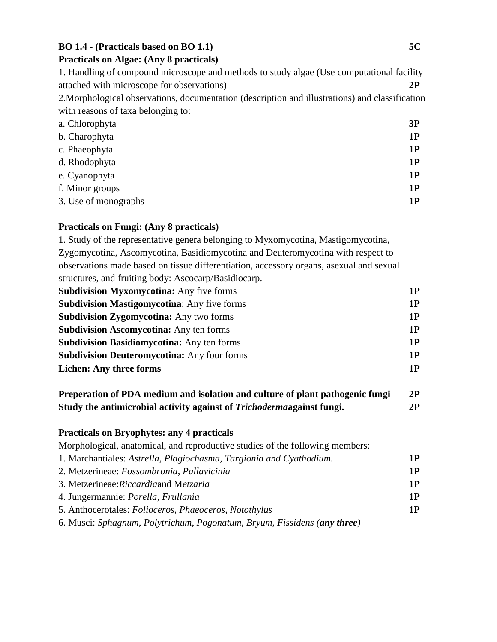## **BO 1.4 - (Practicals based on BO 1.1) 5C**

#### **Practicals on Algae: (Any 8 practicals)**

1. Handling of compound microscope and methods to study algae (Use computational facility attached with microscope for observations) **2P** 2.Morphological observations, documentation (description and illustrations) and classification with reasons of taxa belonging to:

| a. Chlorophyta       | 3P |
|----------------------|----|
| b. Charophyta        | 1P |
| c. Phaeophyta        | 1P |
| d. Rhodophyta        | 1P |
| e. Cyanophyta        | 1P |
| f. Minor groups      | 1P |
| 3. Use of monographs | 1P |

#### **Practicals on Fungi: (Any 8 practicals)**

1. Study of the representative genera belonging to Myxomycotina, Mastigomycotina, Zygomycotina, Ascomycotina, Basidiomycotina and Deuteromycotina with respect to observations made based on tissue differentiation, accessory organs, asexual and sexual structures, and fruiting body: Ascocarp/Basidiocarp. **Subdivision Myxomycotina:** Any five forms **1P Subdivision Mastigomycotina**: Any five forms **1P Subdivision Zygomycotina:** Any two forms **1P Subdivision Ascomycotina:** Any ten forms **1P Subdivision Basidiomycotina:** Any ten forms **1P Subdivision Deuteromycotina:** Any four forms **1P Lichen:** Any three forms 1P

| Preperation of PDA medium and isolation and culture of plant pathogenic fungi | 2P |
|-------------------------------------------------------------------------------|----|
| Study the antimicrobial activity against of <i>Trichodermangainst</i> fungi.  | 2P |

## **Practicals on Bryophytes: any 4 practicals**

Morphological, anatomical, and reproductive studies of the following members:

| 1. Marchantiales: Astrella, Plagiochasma, Targionia and Cyathodium.      | 1 P |
|--------------------------------------------------------------------------|-----|
| 2. Metzerineae: Fossombronia, Pallavicinia                               | 1P  |
| 3. Metzerineae: Riccardia and Metzaria                                   | 1P  |
| 4. Jungermannie: Porella, Frullania                                      | 1P  |
| 5. Anthocerotales: Folioceros, Phaeoceros, Notothylus                    | 1P  |
| 6. Musci: Sphagnum, Polytrichum, Pogonatum, Bryum, Fissidens (any three) |     |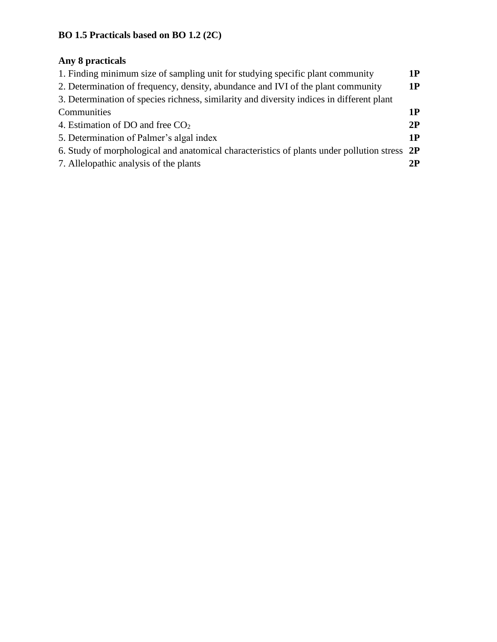# **BO 1.5 Practicals based on BO 1.2 (2C)**

# **Any 8 practicals**

| 1. Finding minimum size of sampling unit for studying specific plant community               | 1P |
|----------------------------------------------------------------------------------------------|----|
| 2. Determination of frequency, density, abundance and IVI of the plant community             | 1P |
| 3. Determination of species richness, similarity and diversity indices in different plant    |    |
| Communities                                                                                  | 1P |
| 4. Estimation of DO and free $CO2$                                                           | 2P |
| 5. Determination of Palmer's algal index                                                     | 1P |
| 6. Study of morphological and anatomical characteristics of plants under pollution stress 2P |    |
| 7. Allelopathic analysis of the plants                                                       | 2P |
|                                                                                              |    |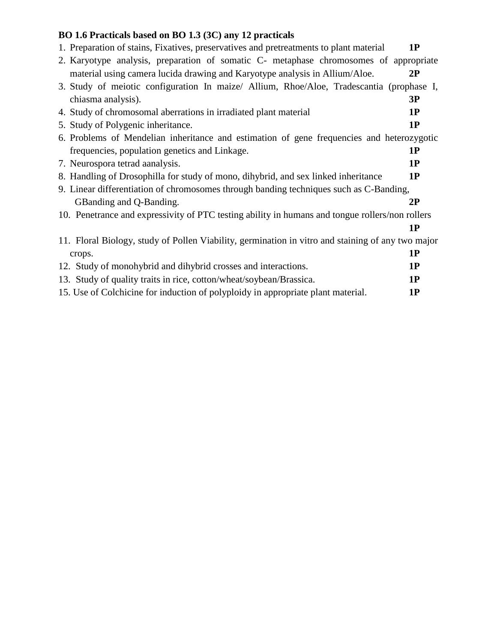# **BO 1.6 Practicals based on BO 1.3 (3C) any 12 practicals**

| 1. Preparation of stains, Fixatives, preservatives and pretreatments to plant material            | 1P |
|---------------------------------------------------------------------------------------------------|----|
| 2. Karyotype analysis, preparation of somatic C- metaphase chromosomes of appropriate             |    |
| material using camera lucida drawing and Karyotype analysis in Allium/Aloe.                       | 2P |
| 3. Study of meiotic configuration In maize/ Allium, Rhoe/Aloe, Tradescantia (prophase I,          |    |
| chiasma analysis).                                                                                | 3P |
| 4. Study of chromosomal aberrations in irradiated plant material                                  | 1P |
| 5. Study of Polygenic inheritance.                                                                | 1P |
| 6. Problems of Mendelian inheritance and estimation of gene frequencies and heterozygotic         |    |
| frequencies, population genetics and Linkage.                                                     | 1P |
| 7. Neurospora tetrad aanalysis.                                                                   | 1P |
| 8. Handling of Drosophilla for study of mono, dihybrid, and sex linked inheritance                | 1P |
| 9. Linear differentiation of chromosomes through banding techniques such as C-Banding,            |    |
| GB anding and Q-B anding.                                                                         | 2P |
| 10. Penetrance and expressivity of PTC testing ability in humans and tongue rollers/non rollers   |    |
|                                                                                                   | 1P |
| 11. Floral Biology, study of Pollen Viability, germination in vitro and staining of any two major |    |
| crops.                                                                                            | 1P |
| 12. Study of monohybrid and dihybrid crosses and interactions.                                    | 1P |
| 13. Study of quality traits in rice, cotton/wheat/soybean/Brassica.                               | 1P |
| 15. Use of Colchicine for induction of polyploidy in appropriate plant material.                  | 1P |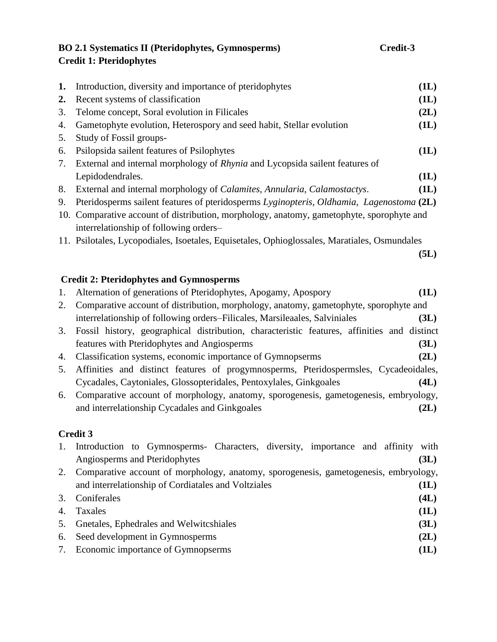# **BO 2.1 Systematics II (Pteridophytes, Gymnosperms) Credit-3 Credit 1: Pteridophytes**

| 1. | Introduction, diversity and importance of pteridophytes                                                                                                    | (1L) |
|----|------------------------------------------------------------------------------------------------------------------------------------------------------------|------|
| 2. | Recent systems of classification                                                                                                                           | (1L) |
| 3. | Telome concept, Soral evolution in Filicales                                                                                                               | (2L) |
| 4. | Gametophyte evolution, Heterospory and seed habit, Stellar evolution                                                                                       | (1L) |
| 5. | Study of Fossil groups-                                                                                                                                    |      |
| 6. | Psilopsida sailent features of Psilophytes                                                                                                                 | (1L) |
| 7. | External and internal morphology of Rhynia and Lycopsida sailent features of                                                                               |      |
|    | Lepidodendrales.                                                                                                                                           | (1L) |
| 8. | External and internal morphology of Calamites, Annularia, Calamostactys.                                                                                   | (1L) |
| 9. | Pteridosperms sailent features of pteridosperms Lyginopteris, Oldhamia, Lagenostoma (2L)                                                                   |      |
|    | 10. Comparative account of distribution, morphology, anatomy, gametophyte, sporophyte and                                                                  |      |
|    | interrelationship of following orders-                                                                                                                     |      |
|    | 11. Psilotales, Lycopodiales, Isoetales, Equisetales, Ophioglossales, Maratiales, Osmundales                                                               |      |
|    |                                                                                                                                                            | (5L) |
|    |                                                                                                                                                            |      |
|    | <b>Credit 2: Pteridophytes and Gymnosperms</b>                                                                                                             |      |
| 1. | Alternation of generations of Pteridophytes, Apogamy, Apospory                                                                                             | (1L) |
| 2. | Comparative account of distribution, morphology, anatomy, gametophyte, sporophyte and                                                                      |      |
|    | interrelationship of following orders-Filicales, Marsileaales, Salviniales                                                                                 | (3L) |
| 3. | Fossil history, geographical distribution, characteristic features, affinities and distinct                                                                |      |
|    | features with Pteridophytes and Angiosperms                                                                                                                | (3L) |
| 4. | Classification systems, economic importance of Gymnopserms                                                                                                 | (2L) |
| 5. | Affinities and distinct features of progymnosperms, Pteridospermsles, Cycadeoidales,                                                                       |      |
|    |                                                                                                                                                            |      |
|    |                                                                                                                                                            | (4L) |
| 6. | Cycadales, Caytoniales, Glossopteridales, Pentoxylales, Ginkgoales<br>Comparative account of morphology, anatomy, sporogenesis, gametogenesis, embryology, |      |
|    | and interrelationship Cycadales and Ginkgoales                                                                                                             | (2L) |

# **Credit 3**

| 1. | Introduction to Gymnosperms- Characters, diversity, importance and affinity with<br>Angiosperms and Pteridophytes | (3L) |
|----|-------------------------------------------------------------------------------------------------------------------|------|
| 2. | Comparative account of morphology, anatomy, sporogenesis, gametogenesis, embryology,                              |      |
|    | and interrelationship of Cordiatales and Voltziales                                                               | (1L) |
|    | Coniferales                                                                                                       | (4L) |
|    | Taxales                                                                                                           | (1L) |
| 5. | Gnetales, Ephedrales and Welwitcshiales                                                                           | (3L) |
| 6. | Seed development in Gymnosperms                                                                                   | (2L) |
| 7. | Economic importance of Gymnopserms                                                                                | (1L) |
|    |                                                                                                                   |      |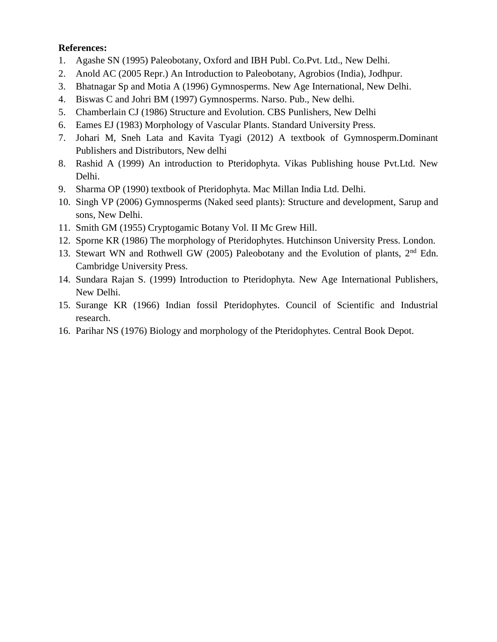### **References:**

- 1. Agashe SN (1995) Paleobotany, Oxford and IBH Publ. Co.Pvt. Ltd., New Delhi.
- 2. Anold AC (2005 Repr.) An Introduction to Paleobotany, Agrobios (India), Jodhpur.
- 3. Bhatnagar Sp and Motia A (1996) Gymnosperms. New Age International, New Delhi.
- 4. Biswas C and Johri BM (1997) Gymnosperms. Narso. Pub., New delhi.
- 5. Chamberlain CJ (1986) Structure and Evolution. CBS Punlishers, New Delhi
- 6. Eames EJ (1983) Morphology of Vascular Plants. Standard University Press.
- 7. Johari M, Sneh Lata and Kavita Tyagi (2012) A textbook of Gymnosperm.Dominant Publishers and Distributors, New delhi
- 8. Rashid A (1999) An introduction to Pteridophyta. Vikas Publishing house Pvt.Ltd. New Delhi.
- 9. Sharma OP (1990) textbook of Pteridophyta. Mac Millan India Ltd. Delhi.
- 10. Singh VP (2006) Gymnosperms (Naked seed plants): Structure and development, Sarup and sons, New Delhi.
- 11. Smith GM (1955) Cryptogamic Botany Vol. II Mc Grew Hill.
- 12. Sporne KR (1986) The morphology of Pteridophytes. Hutchinson University Press. London.
- 13. Stewart WN and Rothwell GW (2005) Paleobotany and the Evolution of plants,  $2<sup>nd</sup>$  Edn. Cambridge University Press.
- 14. Sundara Rajan S. (1999) Introduction to Pteridophyta. New Age International Publishers, New Delhi.
- 15. Surange KR (1966) Indian fossil Pteridophytes. Council of Scientific and Industrial research.
- 16. Parihar NS (1976) Biology and morphology of the Pteridophytes. Central Book Depot.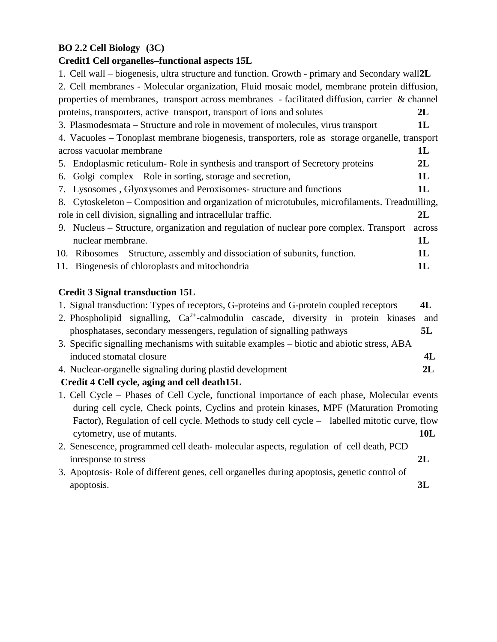# **BO 2.2 Cell Biology (3C)**

# **Credit1 Cell organelles–functional aspects 15L**

| 1. Cell wall – biogenesis, ultra structure and function. Growth - primary and Secondary wall 2L |        |
|-------------------------------------------------------------------------------------------------|--------|
| 2. Cell membranes - Molecular organization, Fluid mosaic model, membrane protein diffusion,     |        |
| properties of membranes, transport across membranes - facilitated diffusion, carrier & channel  |        |
| proteins, transporters, active transport, transport of ions and solutes                         | 2L     |
| 3. Plasmodesmata – Structure and role in movement of molecules, virus transport                 | 1L     |
| 4. Vacuoles - Tonoplast membrane biogenesis, transporters, role as storage organelle, transport |        |
| across vacuolar membrane                                                                        | 1L     |
| 5. Endoplasmic reticulum-Role in synthesis and transport of Secretory proteins                  | 2L     |
| 6. Golgi complex – Role in sorting, storage and secretion,                                      | 1L     |
| 7. Lysosomes, Glyoxysomes and Peroxisomes-structure and functions                               | 1L     |
| 8. Cytoskeleton – Composition and organization of microtubules, microfilaments. Treadmilling,   |        |
| role in cell division, signalling and intracellular traffic.                                    | 2L     |
| 9. Nucleus – Structure, organization and regulation of nuclear pore complex. Transport          | across |
| nuclear membrane.                                                                               | 1L     |
| 10. Ribosomes – Structure, assembly and dissociation of subunits, function.                     | 1L     |
| 11. Biogenesis of chloroplasts and mitochondria                                                 | 1L     |
|                                                                                                 |        |

# **Credit 3 Signal transduction 15L**

| 1. Signal transduction: Types of receptors, G-proteins and G-protein coupled receptors        | 4L         |
|-----------------------------------------------------------------------------------------------|------------|
| 2. Phospholipid signalling, $Ca^{2+}$ -calmodulin cascade, diversity in protein kinases       | and        |
| phosphatases, secondary messengers, regulation of signalling pathways                         | 5L         |
| 3. Specific signalling mechanisms with suitable examples – biotic and abiotic stress, ABA     |            |
| induced stomatal closure                                                                      | 4L         |
| 4. Nuclear-organelle signaling during plastid development                                     | 2L         |
| Credit 4 Cell cycle, aging and cell death15L                                                  |            |
| 1. Cell Cycle – Phases of Cell Cycle, functional importance of each phase, Molecular events   |            |
| during cell cycle, Check points, Cyclins and protein kinases, MPF (Maturation Promoting       |            |
| Factor), Regulation of cell cycle. Methods to study cell cycle – labelled mitotic curve, flow |            |
| cytometry, use of mutants.                                                                    | 10L        |
| 2. Senescence, programmed cell death-molecular aspects, regulation of cell death, PCD         |            |
| inresponse to stress                                                                          | $2{\bf L}$ |

3. Apoptosis- Role of different genes, cell organelles during apoptosis, genetic control of apoptosis. **3L**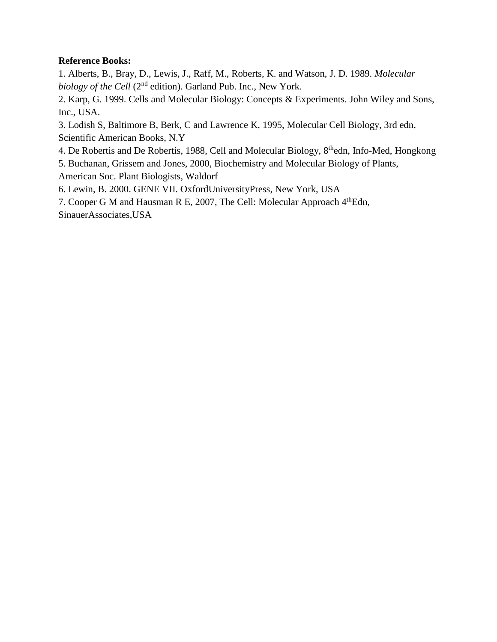## **Reference Books:**

1. Alberts, B., Bray, D., Lewis, J., Raff, M., Roberts, K. and Watson, J. D. 1989. *Molecular biology of the Cell* (2<sup>nd</sup> edition). Garland Pub. Inc., New York.

2. Karp, G. 1999. Cells and Molecular Biology: Concepts & Experiments. John Wiley and Sons, Inc., USA.

3. Lodish S, Baltimore B, Berk, C and Lawrence K, 1995, Molecular Cell Biology, 3rd edn, Scientific American Books, N.Y

- 4. De Robertis and De Robertis, 1988, Cell and Molecular Biology, 8<sup>th</sup>edn, Info-Med, Hongkong
- 5. Buchanan, Grissem and Jones, 2000, Biochemistry and Molecular Biology of Plants, American Soc. Plant Biologists, Waldorf

6. Lewin, B. 2000. GENE VII. OxfordUniversityPress, New York, USA

7. Cooper G M and Hausman R E, 2007, The Cell: Molecular Approach 4<sup>th</sup>Edn, SinauerAssociates,USA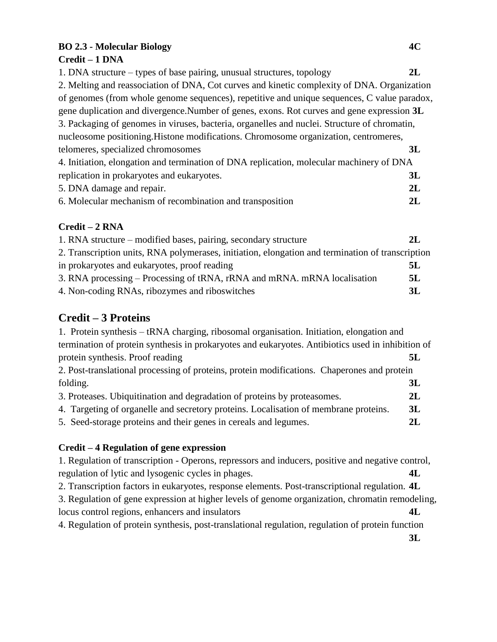### **BO 2.3 - Molecular Biology 4C Credit – 1 DNA**

# 1. DNA structure – types of base pairing, unusual structures, topology **2L** 2. Melting and reassociation of DNA, Cot curves and kinetic complexity of DNA. Organization of genomes (from whole genome sequences), repetitive and unique sequences, C value paradox, gene duplication and divergence.Number of genes, exons. Rot curves and gene expression **3L** 3. Packaging of genomes in viruses, bacteria, organelles and nuclei. Structure of chromatin, nucleosome positioning.Histone modifications. Chromosome organization, centromeres, telomeres, specialized chromosomes **3L** 4. Initiation, elongation and termination of DNA replication, molecular machinery of DNA replication in prokaryotes and eukaryotes. **3L** 5. DNA damage and repair. **2L** 6. Molecular mechanism of recombination and transposition **2L**

# **Credit – 2 RNA**

| 1. RNA structure – modified bases, pairing, secondary structure                                  | 2L |
|--------------------------------------------------------------------------------------------------|----|
| 2. Transcription units, RNA polymerases, initiation, elongation and termination of transcription |    |
| in prokaryotes and eukaryotes, proof reading                                                     | 5L |
| 3. RNA processing – Processing of tRNA, rRNA and mRNA. mRNA localisation                         | 5L |
| 4. Non-coding RNAs, ribozymes and riboswitches                                                   | 3L |

# **Credit – 3 Proteins**

1. Protein synthesis – tRNA charging, ribosomal organisation. Initiation, elongation and termination of protein synthesis in prokaryotes and eukaryotes. Antibiotics used in inhibition of protein synthesis. Proof reading **5L** 2. Post-translational processing of proteins, protein modifications. Chaperones and protein folding. **3L** 3. Proteases. Ubiquitination and degradation of proteins by proteasomes. **2L** 4. Targeting of organelle and secretory proteins. Localisation of membrane proteins. **3L** 5. Seed-storage proteins and their genes in cereals and legumes. **2L**

## **Credit – 4 Regulation of gene expression**

1. Regulation of transcription - Operons, repressors and inducers, positive and negative control, regulation of lytic and lysogenic cycles in phages. **4L**

2. Transcription factors in eukaryotes, response elements. Post-transcriptional regulation. **4L**

3. Regulation of gene expression at higher levels of genome organization, chromatin remodeling, locus control regions, enhancers and insulators **4L**

4. Regulation of protein synthesis, post-translational regulation, regulation of protein function

**3L**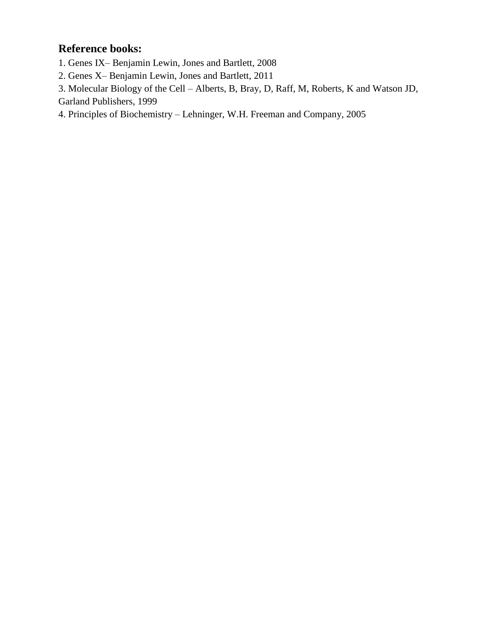# **Reference books:**

1. Genes IX– Benjamin Lewin, Jones and Bartlett, 2008

2. Genes X– Benjamin Lewin, Jones and Bartlett, 2011

3. Molecular Biology of the Cell – Alberts, B, Bray, D, Raff, M, Roberts, K and Watson JD, Garland Publishers, 1999

4. Principles of Biochemistry – Lehninger, W.H. Freeman and Company, 2005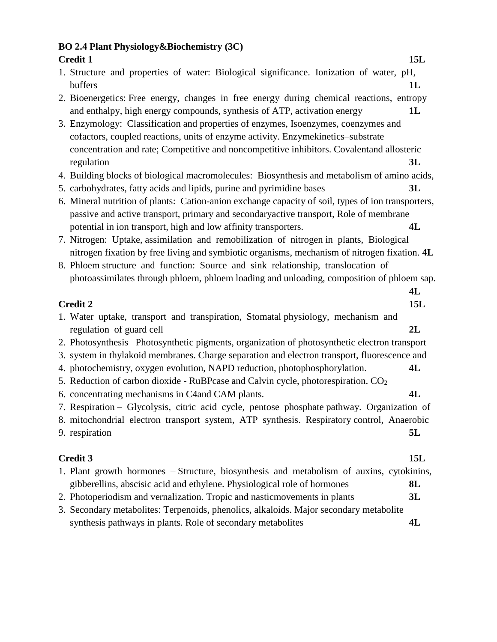| <b>BO 2.4 Plant Physiology &amp; Biochemistry (3C)</b>                                                                                                                                 |     |
|----------------------------------------------------------------------------------------------------------------------------------------------------------------------------------------|-----|
| <b>Credit 1</b>                                                                                                                                                                        | 15L |
| 1. Structure and properties of water: Biological significance. Ionization of water, pH,                                                                                                |     |
| buffers                                                                                                                                                                                | 1L  |
| 2. Bioenergetics: Free energy, changes in free energy during chemical reactions, entropy                                                                                               |     |
| and enthalpy, high energy compounds, synthesis of ATP, activation energy                                                                                                               | 1L  |
| 3. Enzymology: Classification and properties of enzymes, Isoenzymes, coenzymes and                                                                                                     |     |
| cofactors, coupled reactions, units of enzyme activity. Enzymekinetics-substrate                                                                                                       |     |
| concentration and rate; Competitive and noncompetitive inhibitors. Covalentand allosteric                                                                                              |     |
| regulation                                                                                                                                                                             | 3L  |
| 4. Building blocks of biological macromolecules: Biosynthesis and metabolism of amino acids,                                                                                           |     |
| 5. carbohydrates, fatty acids and lipids, purine and pyrimidine bases                                                                                                                  | 3L  |
| 6. Mineral nutrition of plants: Cation-anion exchange capacity of soil, types of ion transporters,                                                                                     |     |
| passive and active transport, primary and secondaryactive transport, Role of membrane                                                                                                  |     |
| potential in ion transport, high and low affinity transporters.                                                                                                                        | 4L  |
| 7. Nitrogen: Uptake, assimilation and remobilization of nitrogen in plants, Biological<br>nitrogen fixation by free living and symbiotic organisms, mechanism of nitrogen fixation. 4L |     |
| 8. Phloem structure and function: Source and sink relationship, translocation of                                                                                                       |     |
| photoassimilates through phloem, phloem loading and unloading, composition of phloem sap.                                                                                              |     |
|                                                                                                                                                                                        | 4L  |
| <b>Credit 2</b>                                                                                                                                                                        | 15L |
| 1. Water uptake, transport and transpiration, Stomatal physiology, mechanism and<br>regulation of guard cell                                                                           | 2L  |
| 2. Photosynthesis-Photosynthetic pigments, organization of photosynthetic electron transport                                                                                           |     |
| 3. system in thylakoid membranes. Charge separation and electron transport, fluorescence and                                                                                           |     |
| 4. photochemistry, oxygen evolution, NAPD reduction, photophosphorylation.                                                                                                             | 4L  |
| 5. Reduction of carbon dioxide - RuBPcase and Calvin cycle, photorespiration. CO <sub>2</sub>                                                                                          |     |
| 6. concentrating mechanisms in C4 and CAM plants.                                                                                                                                      | 4L  |
| 7. Respiration – Glycolysis, citric acid cycle, pentose phosphate pathway. Organization of                                                                                             |     |
| 8. mitochondrial electron transport system, ATP synthesis. Respiratory control, Anaerobic                                                                                              |     |
| 9. respiration                                                                                                                                                                         | 5L  |
|                                                                                                                                                                                        |     |
| <b>Credit 3</b>                                                                                                                                                                        | 15L |

|  |  |  |  | 1. Plant growth hormones – Structure, biosynthesis and metabolism of auxins, cytokinins, |  |    |
|--|--|--|--|------------------------------------------------------------------------------------------|--|----|
|  |  |  |  | gibberellins, abscisic acid and ethylene. Physiological role of hormones                 |  | 8L |
|  |  |  |  |                                                                                          |  |    |

- 2. Photoperiodism and vernalization. Tropic and nasticmovements in plants **3L**
- 3. Secondary metabolites: Terpenoids, phenolics, alkaloids. Major secondary metabolite synthesis pathways in plants. Role of secondary metabolites **4L**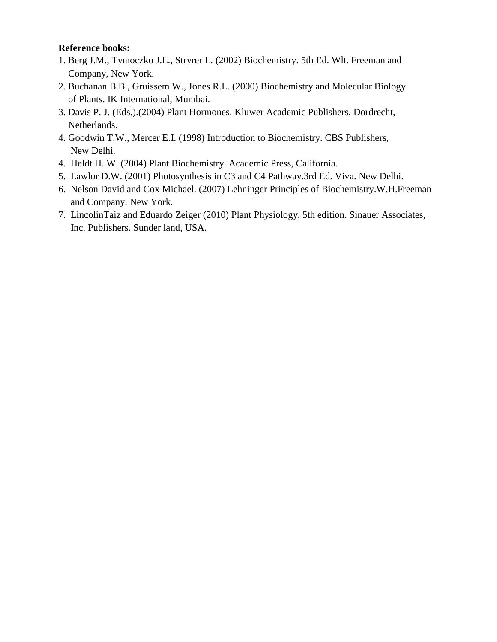#### **Reference books:**

- 1. Berg J.M., Tymoczko J.L., Stryrer L. (2002) Biochemistry. 5th Ed. Wlt. Freeman and Company, New York.
- 2. Buchanan B.B., Gruissem W., Jones R.L. (2000) Biochemistry and Molecular Biology of Plants. IK International, Mumbai.
- 3. Davis P. J. (Eds.).(2004) Plant Hormones. Kluwer Academic Publishers, Dordrecht, Netherlands.
- 4. Goodwin T.W., Mercer E.I. (1998) Introduction to Biochemistry. CBS Publishers, New Delhi.
- 4. Heldt H. W. (2004) Plant Biochemistry. Academic Press, California.
- 5. Lawlor D.W. (2001) Photosynthesis in C3 and C4 Pathway.3rd Ed. Viva. New Delhi.
- 6. Nelson David and Cox Michael. (2007) Lehninger Principles of Biochemistry.W.H.Freeman and Company. New York.
- 7. LincolinTaiz and Eduardo Zeiger (2010) Plant Physiology, 5th edition. Sinauer Associates, Inc. Publishers. Sunder land, USA.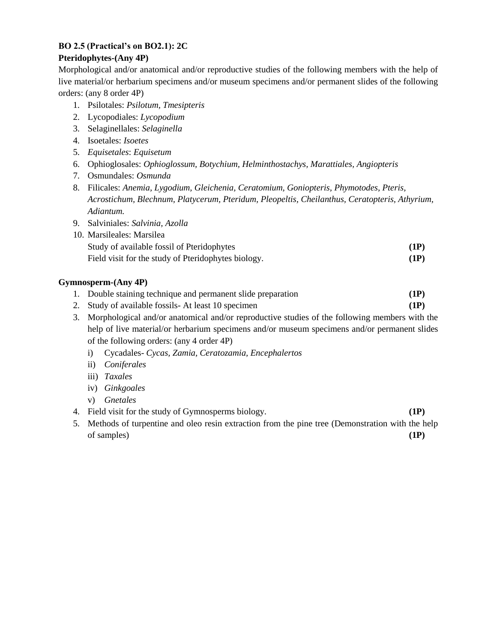# **BO 2.5 (Practical's on BO2.1): 2C**

## **Pteridophytes-(Any 4P)**

Morphological and/or anatomical and/or reproductive studies of the following members with the help of live material/or herbarium specimens and/or museum specimens and/or permanent slides of the following orders: (any 8 order 4P)

- 1. Psilotales: *Psilotum, Tmesipteris*
- 2. Lycopodiales: *Lycopodium*
- 3. Selaginellales: *Selaginella*
- 4. Isoetales: *Isoetes*
- 5. *Equisetales*: *Equisetum*
- 6. Ophioglosales: *Ophioglossum, Botychium, Helminthostachys, Marattiales, Angiopteris*
- 7. Osmundales: *Osmunda*
- 8. Filicales: *Anemia, Lygodium, Gleichenia, Ceratomium, Goniopteris, Phymotodes, Pteris, Acrostichum, Blechnum, Platycerum, Pteridum, Pleopeltis, Cheilanthus, Ceratopteris, Athyrium, Adiantum.*
- 9. Salviniales: *Salvinia, Azolla*

| 10. Marsileales: Marsilea                           |      |
|-----------------------------------------------------|------|
| Study of available fossil of Pteridophytes          | (1P) |
| Field visit for the study of Pteridophytes biology. | (1P) |

#### **Gymnosperm-(Any 4P)**

- 1. Double staining technique and permanent slide preparation **(1P)**
- 2. Study of available fossils- At least 10 specimen **(1P)**
- 3. Morphological and/or anatomical and/or reproductive studies of the following members with the help of live material/or herbarium specimens and/or museum specimens and/or permanent slides of the following orders: (any 4 order 4P)
	- i) Cycadales- *Cycas, Zamia, Ceratozamia, Encephalertos*
	- ii) *Coniferales*
	- iii) *Taxales*
	- iv) *Ginkgoales*
	- v) *Gnetales*
- 4. Field visit for the study of Gymnosperms biology. **(1P)**
- 5. Methods of turpentine and oleo resin extraction from the pine tree (Demonstration with the help of samples) **(1P)**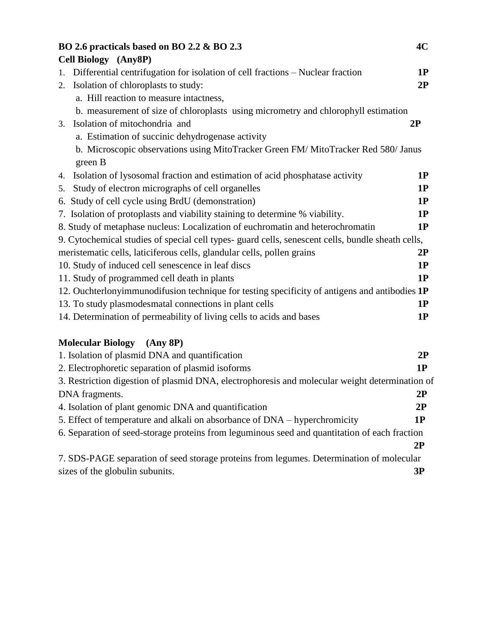| BO 2.6 practicals based on BO 2.2 & BO 2.3                                                        | 4C        |
|---------------------------------------------------------------------------------------------------|-----------|
| Cell Biology (Any8P)                                                                              |           |
| Differential centrifugation for isolation of cell fractions - Nuclear fraction<br>1.              | 1P        |
| Isolation of chloroplasts to study:<br>2.                                                         | 2P        |
| a. Hill reaction to measure intactness,                                                           |           |
| b. measurement of size of chloroplasts using micrometry and chlorophyll estimation                |           |
| 3. Isolation of mitochondria and<br>2P                                                            |           |
| a. Estimation of succinic dehydrogenase activity                                                  |           |
| b. Microscopic observations using MitoTracker Green FM/MitoTracker Red 580/Janus                  |           |
| green B                                                                                           |           |
| 4. Isolation of lysosomal fraction and estimation of acid phosphatase activity                    | 1P        |
| Study of electron micrographs of cell organelles<br>5.                                            | 1P        |
| 6. Study of cell cycle using BrdU (demonstration)                                                 | <b>1P</b> |
| 7. Isolation of protoplasts and viability staining to determine % viability.                      | 1P        |
| 8. Study of metaphase nucleus: Localization of euchromatin and heterochromatin                    | 1P        |
| 9. Cytochemical studies of special cell types- guard cells, senescent cells, bundle sheath cells, |           |
| meristematic cells, laticiferous cells, glandular cells, pollen grains                            | 2P        |
| 10. Study of induced cell senescence in leaf discs                                                | 1P        |
| 11. Study of programmed cell death in plants                                                      | 1P        |
| 12. Ouchterlonyimmunodifusion technique for testing specificity of antigens and antibodies 1P     |           |
| 13. To study plasmodes matal connections in plant cells                                           | 1P        |
| 14. Determination of permeability of living cells to acids and bases                              | <b>1P</b> |
|                                                                                                   |           |

# **Molecular Biology (Any 8P)**

| 1. Isolation of plasmid DNA and quantification                                                 | 2P |  |  |  |
|------------------------------------------------------------------------------------------------|----|--|--|--|
| 2. Electrophoretic separation of plasmid isoforms                                              | 1P |  |  |  |
| 3. Restriction digestion of plasmid DNA, electrophoresis and molecular weight determination of |    |  |  |  |
| DNA fragments.                                                                                 | 2P |  |  |  |
| 4. Isolation of plant genomic DNA and quantification                                           | 2P |  |  |  |
| 5. Effect of temperature and alkali on absorbance of DNA – hyperchromicity                     | 1P |  |  |  |
| 6. Separation of seed-storage proteins from leguminous seed and quantitation of each fraction  |    |  |  |  |
|                                                                                                | 2P |  |  |  |
| 7. SDS-PAGE separation of seed storage proteins from legumes. Determination of molecular       |    |  |  |  |
| sizes of the globulin subunits.                                                                | 3Р |  |  |  |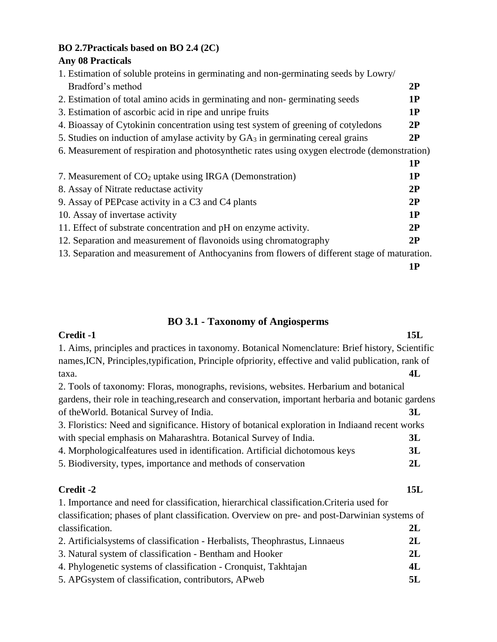# **BO 2.7Practicals based on BO 2.4 (2C)**

# **Any 08 Practicals**

| 1. Estimation of soluble proteins in germinating and non-germinating seeds by Lowry/          |    |
|-----------------------------------------------------------------------------------------------|----|
| Bradford's method                                                                             | 2P |
| 2. Estimation of total amino acids in germinating and non-germinating seeds                   | 1P |
| 3. Estimation of ascorbic acid in ripe and unripe fruits                                      | 1P |
| 4. Bioassay of Cytokinin concentration using test system of greening of cotyledons            | 2P |
| 5. Studies on induction of amylase activity by $GA_3$ in germinating cereal grains            | 2P |
| 6. Measurement of respiration and photosynthetic rates using oxygen electrode (demonstration) |    |
|                                                                                               | 1P |
| 7. Measurement of $CO2$ uptake using IRGA (Demonstration)                                     | 1P |
| 8. Assay of Nitrate reductase activity                                                        | 2P |
| 9. Assay of PEP case activity in a C3 and C4 plants                                           | 2P |
| 10. Assay of invertase activity                                                               | 1P |
| 11. Effect of substrate concentration and pH on enzyme activity.                              | 2P |
| 12. Separation and measurement of flavonoids using chromatography                             | 2P |
| 13. Separation and measurement of Anthocyanins from flowers of different stage of maturation. |    |

**1P**

# **BO 3.1 - Taxonomy of Angiosperms**

| Credit -1                                                                                             | 15L |
|-------------------------------------------------------------------------------------------------------|-----|
| 1. Aims, principles and practices in taxonomy. Botanical Nomenclature: Brief history, Scientific      |     |
| names, ICN, Principles, typification, Principle of priority, effective and valid publication, rank of |     |
| taxa.                                                                                                 | 4L  |
| 2. Tools of taxonomy: Floras, monographs, revisions, websites. Herbarium and botanical                |     |
| gardens, their role in teaching, research and conservation, important herbaria and botanic gardens    |     |
| of the World. Botanical Survey of India.                                                              | 3L  |
| 3. Floristics: Need and significance. History of botanical exploration in Indiaand recent works       |     |
| with special emphasis on Maharashtra. Botanical Survey of India.                                      | 3L  |
| 4. Morphologicalfeatures used in identification. Artificial dichotomous keys                          | 3L  |
| 5. Biodiversity, types, importance and methods of conservation                                        | 2L  |
| Credit -2                                                                                             | 15L |
| 1. Importance and need for classification, hierarchical classification. Criteria used for             |     |
| classification; phases of plant classification. Overview on pre- and post-Darwinian systems of        |     |
| classification.                                                                                       | 2L  |
| 2. Artificial systems of classification - Herbalists, Theophrastus, Linnaeus                          | 2L  |
| 3. Natural system of classification - Bentham and Hooker                                              | 2L  |
| 4. Phylogenetic systems of classification - Cronquist, Takhtajan                                      | 4L  |
| 5. APGsystem of classification, contributors, APweb                                                   | 5L  |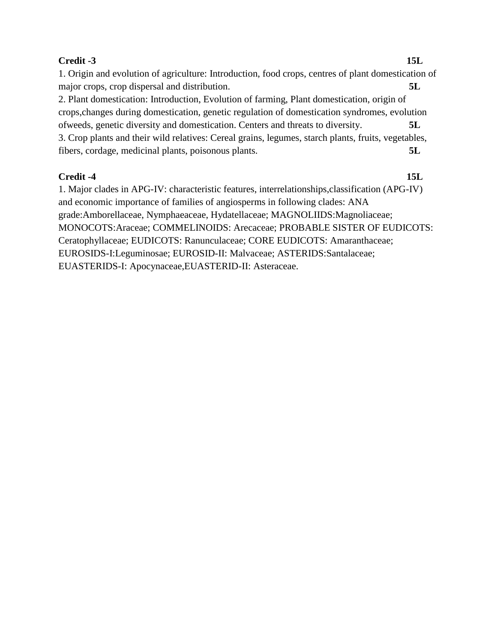## **Credit -3 15L**

1. Origin and evolution of agriculture: Introduction, food crops, centres of plant domestication of major crops, crop dispersal and distribution. **5L** 2. Plant domestication: Introduction, Evolution of farming, Plant domestication, origin of crops,changes during domestication, genetic regulation of domestication syndromes, evolution ofweeds, genetic diversity and domestication. Centers and threats to diversity. **5L** 3. Crop plants and their wild relatives: Cereal grains, legumes, starch plants, fruits, vegetables, fibers, cordage, medicinal plants, poisonous plants. **5L**

## **Credit -4 15L**

1. Major clades in APG-IV: characteristic features, interrelationships,classification (APG-IV) and economic importance of families of angiosperms in following clades: ANA grade:Amborellaceae, Nymphaeaceae, Hydatellaceae; MAGNOLIIDS:Magnoliaceae; MONOCOTS:Araceae; COMMELINOIDS: Arecaceae; PROBABLE SISTER OF EUDICOTS: Ceratophyllaceae; EUDICOTS: Ranunculaceae; CORE EUDICOTS: Amaranthaceae; EUROSIDS-I:Leguminosae; EUROSID-II: Malvaceae; ASTERIDS:Santalaceae; EUASTERIDS-I: Apocynaceae,EUASTERID-II: Asteraceae.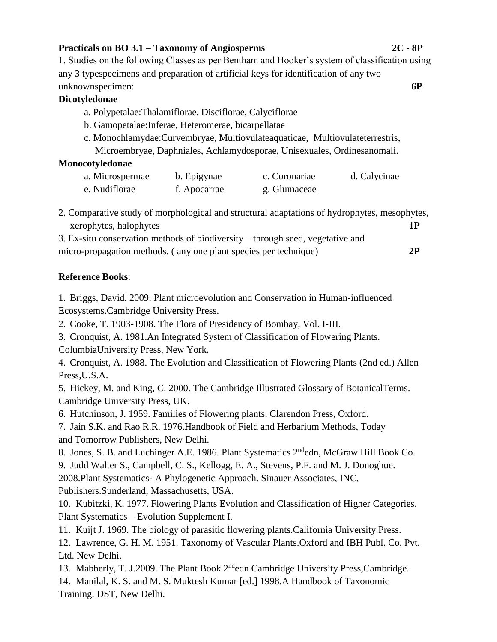#### **Practicals on BO 3.1 – Taxonomy of Angiosperms 2C - 8P**

1. Studies on the following Classes as per Bentham and Hooker's system of classification using any 3 typespecimens and preparation of artificial keys for identification of any two unknownspecimen: **6P**

#### **Dicotyledonae**

- a. Polypetalae:Thalamiflorae, Disciflorae, Calyciflorae
- b. Gamopetalae:Inferae, Heteromerae, bicarpellatae
- c. Monochlamydae:Curvembryae, Multiovulateaquaticae, Multiovulateterrestris, Microembryae, Daphniales, Achlamydosporae, Unisexuales, Ordinesanomali.

#### **Monocotyledonae**

| a. Microspermae | b. Epigynae  | c. Coronariae | d. Calycinae |
|-----------------|--------------|---------------|--------------|
| e. Nudiflorae   | f. Apocarrae | g. Glumaceae  |              |

2. Comparative study of morphological and structural adaptations of hydrophytes, mesophytes, xerophytes, halophytes **1P**

| 3. Ex-situ conservation methods of biodiversity – through seed, vegetative and |    |
|--------------------------------------------------------------------------------|----|
| micro-propagation methods. (any one plant species per technique)               | 2P |

## **Reference Books**:

1. Briggs, David. 2009. Plant microevolution and Conservation in Human-influenced Ecosystems.Cambridge University Press.

2. Cooke, T. 1903-1908. The Flora of Presidency of Bombay, Vol. I-III.

3. Cronquist, A. 1981.An Integrated System of Classification of Flowering Plants. ColumbiaUniversity Press, New York.

4. Cronquist, A. 1988. The Evolution and Classification of Flowering Plants (2nd ed.) Allen Press,U.S.A.

5. Hickey, M. and King, C. 2000. The Cambridge Illustrated Glossary of BotanicalTerms. Cambridge University Press, UK.

6. Hutchinson, J. 1959. Families of Flowering plants. Clarendon Press, Oxford.

7. Jain S.K. and Rao R.R. 1976.Handbook of Field and Herbarium Methods, Today and Tomorrow Publishers, New Delhi.

8. Jones, S. B. and Luchinger A.E. 1986. Plant Systematics 2<sup>nd</sup>edn, McGraw Hill Book Co. 9. Judd Walter S., Campbell, C. S., Kellogg, E. A., Stevens, P.F. and M. J. Donoghue. 2008.Plant Systematics- A Phylogenetic Approach. Sinauer Associates, INC, Publishers.Sunderland, Massachusetts, USA.

10. Kubitzki, K. 1977. Flowering Plants Evolution and Classification of Higher Categories. Plant Systematics – Evolution Supplement I.

11. Kuijt J. 1969. The biology of parasitic flowering plants.California University Press.

12. Lawrence, G. H. M. 1951. Taxonomy of Vascular Plants.Oxford and IBH Publ. Co. Pvt. Ltd. New Delhi.

13. Mabberly, T. J.2009. The Plant Book 2<sup>nd</sup>edn Cambridge University Press, Cambridge.

14. Manilal, K. S. and M. S. Muktesh Kumar [ed.] 1998.A Handbook of Taxonomic Training. DST, New Delhi.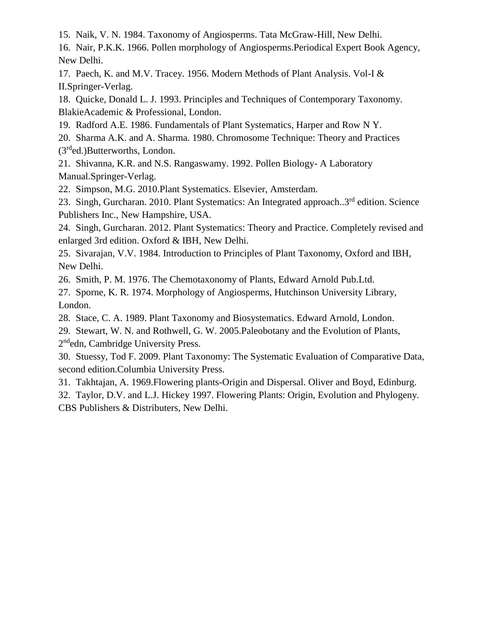15. Naik, V. N. 1984. Taxonomy of Angiosperms. Tata McGraw-Hill, New Delhi.

16. Nair, P.K.K. 1966. Pollen morphology of Angiosperms.Periodical Expert Book Agency, New Delhi.

17. Paech, K. and M.V. Tracey. 1956. Modern Methods of Plant Analysis. Vol-I & II.Springer-Verlag.

18. Quicke, Donald L. J. 1993. Principles and Techniques of Contemporary Taxonomy. BlakieAcademic & Professional, London.

19. Radford A.E. 1986. Fundamentals of Plant Systematics, Harper and Row N Y.

20. Sharma A.K. and A. Sharma. 1980. Chromosome Technique: Theory and Practices (3rded.)Butterworths, London.

21. Shivanna, K.R. and N.S. Rangaswamy. 1992. Pollen Biology- A Laboratory Manual.Springer-Verlag.

22. Simpson, M.G. 2010.Plant Systematics. Elsevier, Amsterdam.

23. Singh, Gurcharan. 2010. Plant Systematics: An Integrated approach..3<sup>rd</sup> edition. Science Publishers Inc., New Hampshire, USA.

24. Singh, Gurcharan. 2012. Plant Systematics: Theory and Practice. Completely revised and enlarged 3rd edition. Oxford & IBH, New Delhi.

25. Sivarajan, V.V. 1984. Introduction to Principles of Plant Taxonomy, Oxford and IBH, New Delhi.

26. Smith, P. M. 1976. The Chemotaxonomy of Plants, Edward Arnold Pub.Ltd.

27. Sporne, K. R. 1974. Morphology of Angiosperms, Hutchinson University Library, London.

28. Stace, C. A. 1989. Plant Taxonomy and Biosystematics. Edward Arnold, London.

29. Stewart, W. N. and Rothwell, G. W. 2005.Paleobotany and the Evolution of Plants, 2<sup>nd</sup>edn, Cambridge University Press.

30. Stuessy, Tod F. 2009. Plant Taxonomy: The Systematic Evaluation of Comparative Data, second edition.Columbia University Press.

31. Takhtajan, A. 1969.Flowering plants-Origin and Dispersal. Oliver and Boyd, Edinburg.

32. Taylor, D.V. and L.J. Hickey 1997. Flowering Plants: Origin, Evolution and Phylogeny. CBS Publishers & Distributers, New Delhi.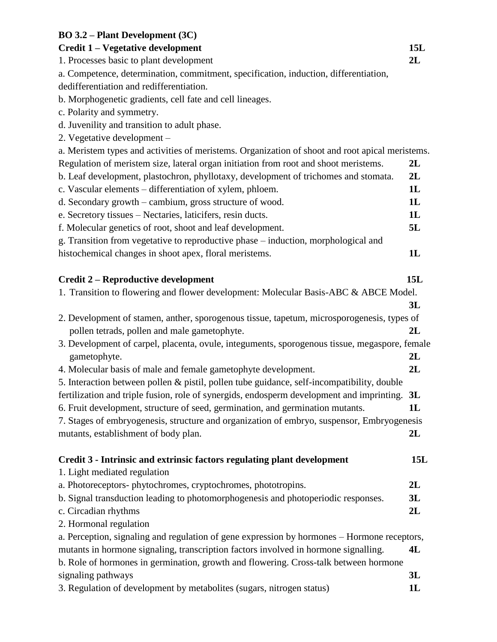## **BO 3.2 – Plant Development (3C)**

## **Credit 1 – Vegetative development 15L**

1. Processes basic to plant development **2L**

a. Competence, determination, commitment, specification, induction, differentiation, dedifferentiation and redifferentiation.

b. Morphogenetic gradients, cell fate and cell lineages.

c. Polarity and symmetry.

d. Juvenility and transition to adult phase.

2. Vegetative development –

a. Meristem types and activities of meristems. Organization of shoot and root apical meristems. Regulation of meristem size, lateral organ initiation from root and shoot meristems. **2L** b. Leaf development, plastochron, phyllotaxy, development of trichomes and stomata. **2L** c. Vascular elements – differentiation of xylem, phloem. **1L** d. Secondary growth – cambium, gross structure of wood. **1L** e. Secretory tissues – Nectaries, laticifers, resin ducts. **1L** f. Molecular genetics of root, shoot and leaf development. **5L** g. Transition from vegetative to reproductive phase – induction, morphological and histochemical changes in shoot apex, floral meristems. **1L Credit 2 – Reproductive development 15L** 1. Transition to flowering and flower development: Molecular Basis-ABC & ABCE Model. **3L** 2. Development of stamen, anther, sporogenous tissue, tapetum, microsporogenesis, types of pollen tetrads, pollen and male gametophyte. **2L** 3. Development of carpel, placenta, ovule, integuments, sporogenous tissue, megaspore, female gametophyte. **2L** 4. Molecular basis of male and female gametophyte development. **2L** 5. Interaction between pollen & pistil, pollen tube guidance, self-incompatibility, double fertilization and triple fusion, role of synergids, endosperm development and imprinting. **3L** 6. Fruit development, structure of seed, germination, and germination mutants. **1L** 7. Stages of embryogenesis, structure and organization of embryo, suspensor, Embryogenesis mutants, establishment of body plan. **2L Credit 3 - Intrinsic and extrinsic factors regulating plant development 15L** 1. Light mediated regulation a. Photoreceptors- phytochromes, cryptochromes, phototropins. **2L**

b. Signal transduction leading to photomorphogenesis and photoperiodic responses. **3L** c. Circadian rhythms **2L**

2. Hormonal regulation

a. Perception, signaling and regulation of gene expression by hormones – Hormone receptors, mutants in hormone signaling, transcription factors involved in hormone signalling. **4L** b. Role of hormones in germination, growth and flowering. Cross-talk between hormone signaling pathways **3L** 3. Regulation of development by metabolites (sugars, nitrogen status) **1L**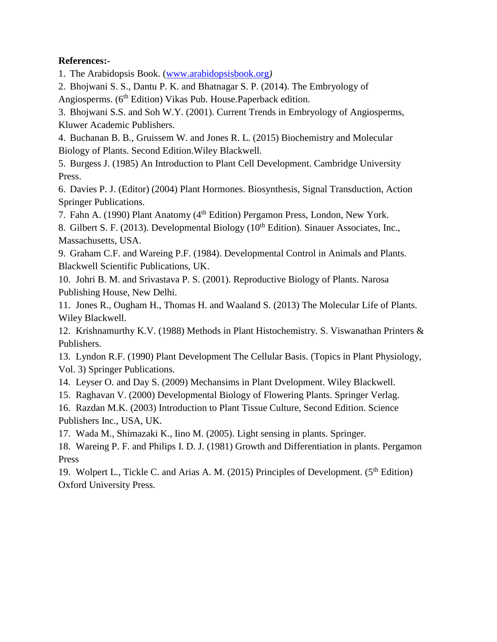## **References:-**

1. The Arabidopsis Book. [\(www.arabidopsisbook.org](http://www.arabidopsisbook.org/)*)*

2. Bhojwani S. S., Dantu P. K. and Bhatnagar S. P. (2014). The Embryology of Angiosperms. (6<sup>th</sup> Edition) Vikas Pub. House. Paperback edition.

3. Bhojwani S.S. and Soh W.Y. (2001). Current Trends in Embryology of Angiosperms, Kluwer Academic Publishers.

4. Buchanan B. B., Gruissem W. and Jones R. L. (2015) Biochemistry and Molecular Biology of Plants. Second Edition.Wiley Blackwell.

5. Burgess J. (1985) An Introduction to Plant Cell Development. Cambridge University Press.

6. Davies P. J. (Editor) (2004) Plant Hormones. Biosynthesis, Signal Transduction, Action Springer Publications.

7. Fahn A. (1990) Plant Anatomy (4<sup>th</sup> Edition) Pergamon Press, London, New York.

8. Gilbert S. F. (2013). Developmental Biology ( $10<sup>th</sup>$  Edition). Sinauer Associates, Inc., Massachusetts, USA.

9. Graham C.F. and Wareing P.F. (1984). Developmental Control in Animals and Plants. Blackwell Scientific Publications, UK.

10. Johri B. M. and Srivastava P. S. (2001). Reproductive Biology of Plants. Narosa Publishing House, New Delhi.

11. Jones R., Ougham H., Thomas H. and Waaland S. (2013) The Molecular Life of Plants. Wiley Blackwell.

12. Krishnamurthy K.V. (1988) Methods in Plant Histochemistry. S. Viswanathan Printers & Publishers.

13. Lyndon R.F. (1990) Plant Development The Cellular Basis. (Topics in Plant Physiology, Vol. 3) Springer Publications.

14. Leyser O. and Day S. (2009) Mechansims in Plant Dvelopment. Wiley Blackwell.

15. Raghavan V. (2000) Developmental Biology of Flowering Plants. Springer Verlag.

16. Razdan M.K. (2003) Introduction to Plant Tissue Culture, Second Edition. Science Publishers Inc., USA, UK.

17. Wada M., Shimazaki K., Iino M. (2005). Light sensing in plants. Springer.

18. Wareing P. F. and Philips I. D. J. (1981) Growth and Differentiation in plants. Pergamon Press

19. Wolpert L., Tickle C. and Arias A. M. (2015) Principles of Development. (5<sup>th</sup> Edition) Oxford University Press.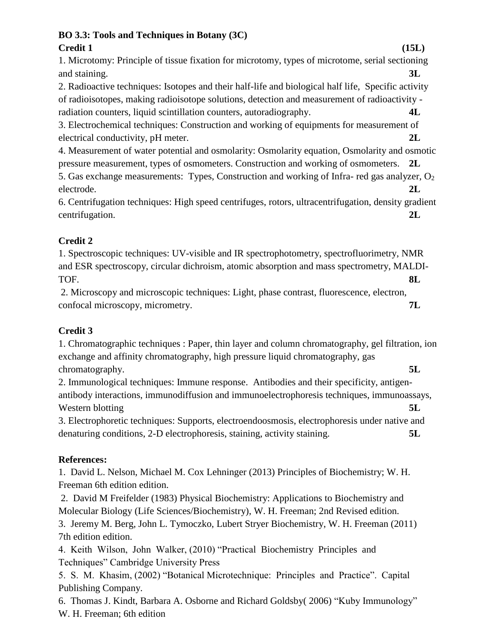## **BO 3.3: Tools and Techniques in Botany (3C) Credit 1 (15L)**

1. Microtomy: Principle of tissue fixation for microtomy, types of microtome, serial sectioning and staining. **3L**

2. Radioactive techniques: Isotopes and their half-life and biological half life, Specific activity of radioisotopes, making radioisotope solutions, detection and measurement of radioactivity radiation counters, liquid scintillation counters, autoradiography. **4L**

3. Electrochemical techniques: Construction and working of equipments for measurement of electrical conductivity, pH meter. **2L**

4. Measurement of water potential and osmolarity: Osmolarity equation, Osmolarity and osmotic pressure measurement, types of osmometers. Construction and working of osmometers. **2L**

5. Gas exchange measurements: Types, Construction and working of Infra- red gas analyzer, O<sub>2</sub> electrode. **2L**

6. Centrifugation techniques: High speed centrifuges, rotors, ultracentrifugation, density gradient centrifugation. **2L**

# **Credit 2**

1. Spectroscopic techniques: UV-visible and IR spectrophotometry, spectrofluorimetry, NMR and ESR spectroscopy, circular dichroism, atomic absorption and mass spectrometry, MALDI-TOF. **8L**

2. Microscopy and microscopic techniques: Light, phase contrast, fluorescence, electron, confocal microscopy, micrometry. **7L**

# **Credit 3**

1. Chromatographic techniques : Paper, thin layer and column chromatography, gel filtration, ion exchange and affinity chromatography, high pressure liquid chromatography, gas chromatography. **5L** 

2. Immunological techniques: Immune response. Antibodies and their specificity, antigenantibody interactions, immunodiffusion and immunoelectrophoresis techniques, immunoassays, Western blotting **5L** 

3. Electrophoretic techniques: Supports, electroendoosmosis, electrophoresis under native and denaturing conditions, 2-D electrophoresis, staining, activity staining. **5L**

# **References:**

1. David L. Nelson, Michael M. Cox Lehninger (2013) Principles of Biochemistry; W. H. Freeman 6th edition edition.

2. David M Freifelder (1983) Physical Biochemistry: Applications to Biochemistry and Molecular Biology (Life Sciences/Biochemistry), W. H. Freeman; 2nd Revised edition.

3. Jeremy M. Berg, John L. Tymoczko, Lubert Stryer Biochemistry, W. H. Freeman (2011) 7th edition edition.

4. Keith Wilson, John Walker, (2010) "Practical Biochemistry Principles and Techniques" Cambridge University Press

5. S. M. Khasim, (2002) "Botanical Microtechnique: Principles and Practice". Capital Publishing Company.

6. Thomas J. Kindt, Barbara A. Osborne and Richard Goldsby( 2006) "Kuby Immunology" W. H. Freeman; 6th edition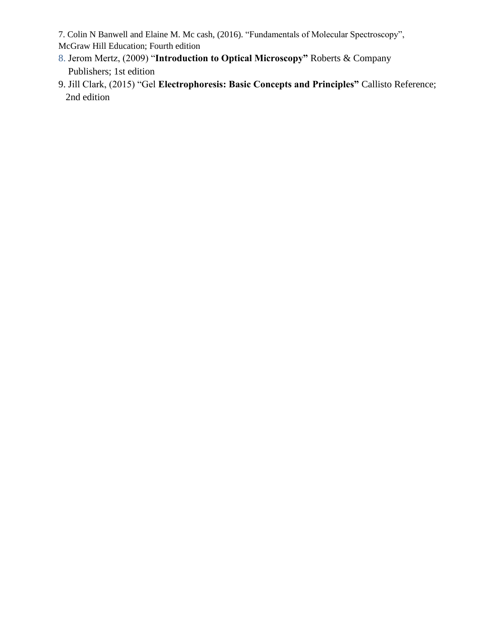7. Colin N Banwell and Elaine M. Mc cash, (2016). "Fundamentals of Molecular Spectroscopy",

McGraw Hill Education; Fourth edition

- 8. Jerom Mertz, (2009) "**Introduction to Optical Microscopy"** Roberts & Company Publishers; 1st edition
- 9. Jill Clark, (2015) "Gel **Electrophoresis: Basic Concepts and Principles"** Callisto Reference; 2nd edition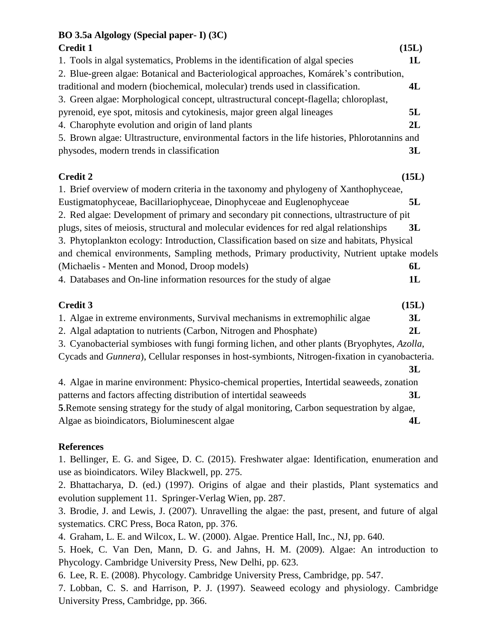# **BO 3.5a Algology (Special paper- I) (3C)**

| $\overline{D}$ O 0.04 Aigology (Special papel - 1) (9C)                                        |       |  |
|------------------------------------------------------------------------------------------------|-------|--|
| <b>Credit 1</b>                                                                                | (15L) |  |
| 1. Tools in algal systematics, Problems in the identification of algal species                 | 1L    |  |
| 2. Blue-green algae: Botanical and Bacteriological approaches, Komárek's contribution,         |       |  |
| traditional and modern (biochemical, molecular) trends used in classification.                 | 4L    |  |
| 3. Green algae: Morphological concept, ultrastructural concept-flagella; chloroplast,          |       |  |
| pyrenoid, eye spot, mitosis and cytokinesis, major green algal lineages                        | 5L    |  |
| 4. Charophyte evolution and origin of land plants                                              | 2L    |  |
| 5. Brown algae: Ultrastructure, environmental factors in the life histories, Phlorotannins and |       |  |
| physodes, modern trends in classification                                                      | 3L    |  |
| <b>Credit 2</b>                                                                                | (15L) |  |
| 1. Brief overview of modern criteria in the taxonomy and phylogeny of Xanthophyceae,           |       |  |
| Eustigmatophyceae, Bacillariophyceae, Dinophyceae and Euglenophyceae                           | 5L    |  |
| 2. Red algae: Development of primary and secondary pit connections, ultrastructure of pit      |       |  |
| plugs, sites of meiosis, structural and molecular evidences for red algal relationships        | 3L    |  |
| 3. Phytoplankton ecology: Introduction, Classification based on size and habitats, Physical    |       |  |
| and chemical environments, Sampling methods, Primary productivity, Nutrient uptake models      |       |  |
| (Michaelis - Menten and Monod, Droop models)                                                   | 6L    |  |
| 4. Databases and On-line information resources for the study of algae                          | 1L    |  |
| <b>Credit 3</b>                                                                                | (15L) |  |
| 1. Algae in extreme environments, Survival mechanisms in extremophilic algae                   | 3L    |  |
| 2. Algal adaptation to nutrients (Carbon, Nitrogen and Phosphate)                              | 2L    |  |
| 3. Cyanobacterial symbioses with fungi forming lichen, and other plants (Bryophytes, Azolla,   |       |  |
| Cycads and Gunnera), Cellular responses in host-symbionts, Nitrogen-fixation in cyanobacteria. |       |  |
|                                                                                                | 3L    |  |
|                                                                                                |       |  |

4. Algae in marine environment: Physico-chemical properties, Intertidal seaweeds, zonation patterns and factors affecting distribution of intertidal seaweeds **3L 5**.Remote sensing strategy for the study of algal monitoring, Carbon sequestration by algae, Algae as bioindicators, Bioluminescent algae **4L**

# **References**

1. Bellinger, E. G. and Sigee, D. C. (2015). Freshwater algae: Identification, enumeration and use as bioindicators. Wiley Blackwell, pp. 275.

2. Bhattacharya, D. (ed.) (1997). Origins of algae and their plastids, Plant systematics and evolution supplement 11. Springer-Verlag Wien, pp. 287.

3. Brodie, J. and Lewis, J. (2007). Unravelling the algae: the past, present, and future of algal systematics. CRC Press, Boca Raton, pp. 376.

4. Graham, L. E. and Wilcox, L. W. (2000). Algae. Prentice Hall, Inc., NJ, pp. 640.

5. Hoek, C. Van Den, Mann, D. G. and Jahns, H. M. (2009). Algae: An introduction to Phycology. Cambridge University Press, New Delhi, pp. 623.

6. Lee, R. E. (2008). Phycology. Cambridge University Press, Cambridge, pp. 547.

7. Lobban, C. S. and Harrison, P. J. (1997). Seaweed ecology and physiology. Cambridge University Press, Cambridge, pp. 366.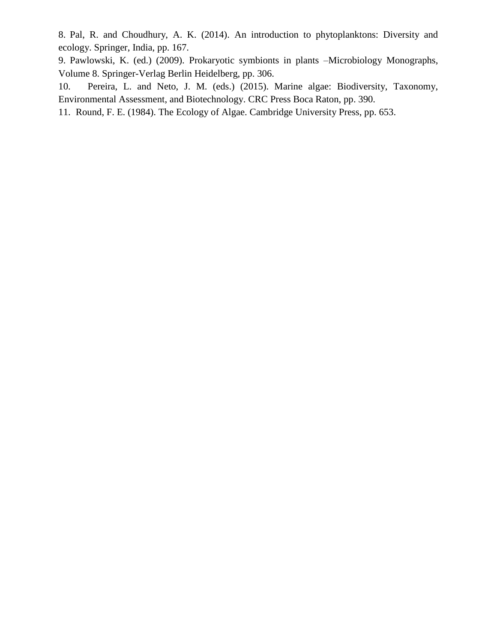8. Pal, R. and Choudhury, A. K. (2014). An introduction to phytoplanktons: Diversity and ecology. Springer, India, pp. 167.

9. Pawlowski, K. (ed.) (2009). Prokaryotic symbionts in plants –Microbiology Monographs, Volume 8. Springer-Verlag Berlin Heidelberg, pp. 306.

10. Pereira, L. and Neto, J. M. (eds.) (2015). Marine algae: Biodiversity, Taxonomy, Environmental Assessment, and Biotechnology. CRC Press Boca Raton, pp. 390.

11. Round, F. E. (1984). The Ecology of Algae. Cambridge University Press, pp. 653.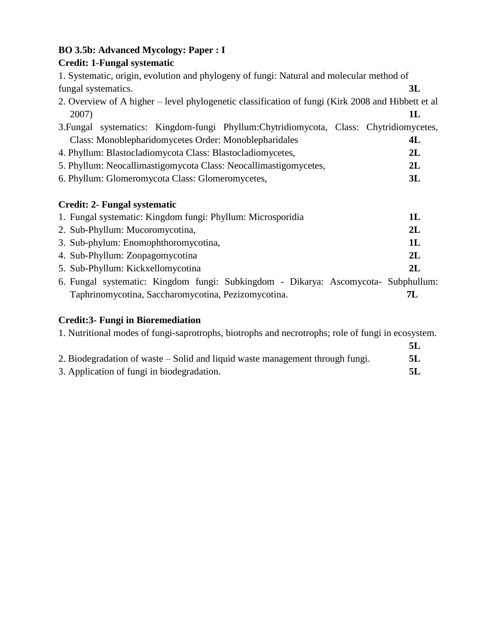# **BO 3.5b: Advanced Mycology: Paper : I**

# **Credit: 1-Fungal systematic**

| 1. Systematic, origin, evolution and phylogeny of fungi: Natural and molecular method of          |    |  |
|---------------------------------------------------------------------------------------------------|----|--|
| fungal systematics.                                                                               | 3L |  |
| 2. Overview of A higher – level phylogenetic classification of fungi (Kirk 2008 and Hibbett et al |    |  |
| 2007)                                                                                             | 1L |  |
| 3. Fungal systematics: Kingdom-fungi Phyllum: Chytridiomycota, Class: Chytridiomycetes,           |    |  |
| Class: Monoblepharidomycetes Order: Monoblepharidales                                             | 4L |  |
| 4. Phyllum: Blastocladiomycota Class: Blastocladiomycetes,                                        | 2L |  |
| 5. Phyllum: Neocallimastigomycota Class: Neocallimastigomycetes,                                  | 2L |  |
| 6. Phyllum: Glomeromycota Class: Glomeromycetes,                                                  | 3L |  |
| <b>Credit: 2- Fungal systematic</b>                                                               |    |  |
| 1. Fungal systematic: Kingdom fungi: Phyllum: Microsporidia                                       | 1L |  |
| 2. Sub-Phyllum: Mucoromycotina,                                                                   | 2L |  |
| 3. Sub-phylum: Enomophthoromycotina,                                                              | 1L |  |
| 4. Sub-Phyllum: Zoopagomycotina                                                                   | 2L |  |
| 5. Sub-Phyllum: Kickxellomycotina                                                                 | 2L |  |
| 6. Fungal systematic: Kingdom fungi: Subkingdom - Dikarya: Ascomycota- Subphullum:                |    |  |
| Taphrinomycotina, Saccharomycotina, Pezizomycotina.                                               | 7L |  |

# **Credit:3- Fungi in Bioremediation**

1. Nutritional modes of fungi-saprotrophs, biotrophs and necrotrophs; role of fungi in ecosystem.

|                                                                               | 5L |
|-------------------------------------------------------------------------------|----|
| 2. Biodegradation of waste – Solid and liquid waste management through fungi. | 5L |
| 3. Application of fungi in biodegradation.                                    |    |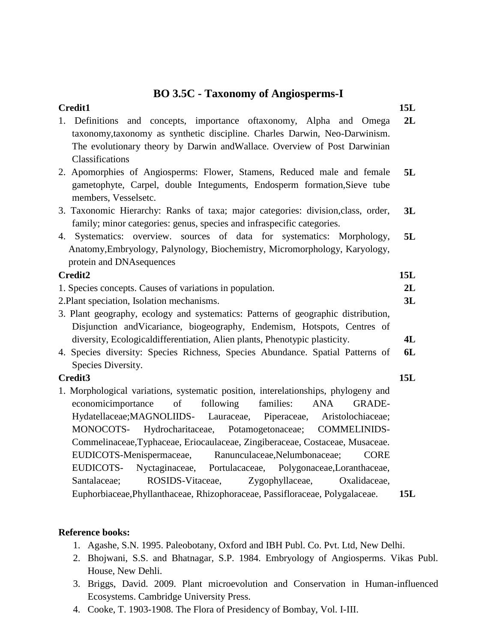# **BO 3.5C - Taxonomy of Angiosperms-I**

| <b>Credit1</b>                                                                                                                                                              | <b>15L</b> |
|-----------------------------------------------------------------------------------------------------------------------------------------------------------------------------|------------|
| Definitions and concepts, importance of taxonomy, Alpha and Omega<br>1.<br>taxonomy, taxonomy as synthetic discipline. Charles Darwin, Neo-Darwinism.                       | 2L         |
| The evolutionary theory by Darwin and Wallace. Overview of Post Darwinian                                                                                                   |            |
| Classifications                                                                                                                                                             |            |
| 2. Apomorphies of Angiosperms: Flower, Stamens, Reduced male and female<br>gametophyte, Carpel, double Integuments, Endosperm formation, Sieve tube<br>members, Vesselsetc. | 5L         |
|                                                                                                                                                                             |            |
| 3. Taxonomic Hierarchy: Ranks of taxa; major categories: division, class, order,<br>family; minor categories: genus, species and infraspecific categories.                  | 3L         |
| 4. Systematics: overview. sources of data for systematics: Morphology,                                                                                                      | 5L         |
| Anatomy, Embryology, Palynology, Biochemistry, Micromorphology, Karyology,                                                                                                  |            |
| protein and DNA sequences                                                                                                                                                   |            |
| Credit2                                                                                                                                                                     | <b>15L</b> |
| 1. Species concepts. Causes of variations in population.                                                                                                                    | 2L         |
| 2. Plant speciation, Isolation mechanisms.                                                                                                                                  | 3L         |
| 3. Plant geography, ecology and systematics: Patterns of geographic distribution,                                                                                           |            |
| Disjunction and Vicariance, biogeography, Endemism, Hotspots, Centres of                                                                                                    |            |
| diversity, Ecologicaldifferentiation, Alien plants, Phenotypic plasticity.                                                                                                  | 4L         |
| 4. Species diversity: Species Richness, Species Abundance. Spatial Patterns of                                                                                              | 6L         |
| Species Diversity.                                                                                                                                                          |            |
| Credit3                                                                                                                                                                     | 15L        |
| 1. Morphological variations, systematic position, interelationships, phylogeny and                                                                                          |            |
| of<br>following<br>families:<br><b>ANA</b><br>economicimportance<br><b>GRADE-</b>                                                                                           |            |
| Hydatellaceae; MAGNOLIIDS- Lauraceae, Piperaceae, Aristolochiaceae;                                                                                                         |            |
| MONOCOTS-<br>Hydrocharitaceae, Potamogetonaceae; COMMELINIDS-                                                                                                               |            |
| Commelinaceae, Typhaceae, Eriocaulaceae, Zingiberaceae, Costaceae, Musaceae.                                                                                                |            |
| Ranunculaceae, Nelumbonaceae;<br>EUDICOTS-Menispermaceae,<br><b>CORE</b>                                                                                                    |            |
| Nyctaginaceae, Portulacaceae, Polygonaceae,Loranthaceae,<br>EUDICOTS-                                                                                                       |            |
| ROSIDS-Vitaceae,<br>Zygophyllaceae,<br>Santalaceae;<br>Oxalidaceae,                                                                                                         |            |
| Euphorbiaceae, Phyllanthaceae, Rhizophoraceae, Passifloraceae, Polygalaceae.                                                                                                | <b>15L</b> |
|                                                                                                                                                                             |            |

## **Reference books:**

- 1. Agashe, S.N. 1995. Paleobotany, Oxford and IBH Publ. Co. Pvt. Ltd, New Delhi.
- 2. Bhojwani, S.S. and Bhatnagar, S.P. 1984. Embryology of Angiosperms. Vikas Publ. House, New Dehli.
- 3. Briggs, David. 2009. Plant microevolution and Conservation in Human-influenced Ecosystems. Cambridge University Press.
- 4. Cooke, T. 1903-1908. The Flora of Presidency of Bombay, Vol. I-III.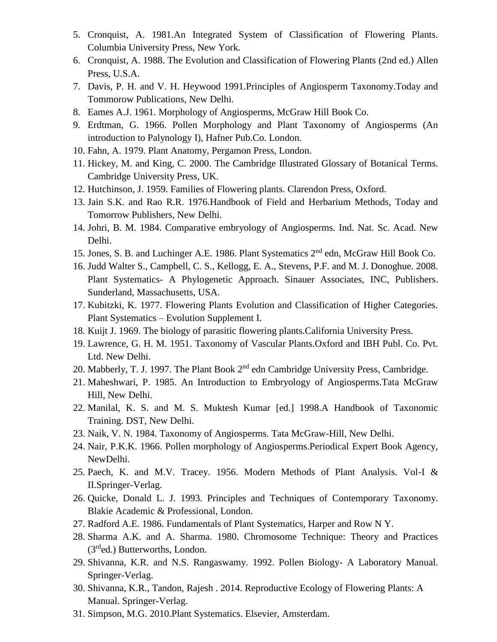- 5. Cronquist, A. 1981.An Integrated System of Classification of Flowering Plants. Columbia University Press, New York.
- 6. Cronquist, A. 1988. The Evolution and Classification of Flowering Plants (2nd ed.) Allen Press, U.S.A.
- 7. Davis, P. H. and V. H. Heywood 1991.Principles of Angiosperm Taxonomy.Today and Tommorow Publications, New Delhi.
- 8. Eames A.J. 1961. Morphology of Angiosperms, McGraw Hill Book Co.
- 9. Erdtman, G. 1966. Pollen Morphology and Plant Taxonomy of Angiosperms (An introduction to Palynology I), Hafner Pub.Co. London.
- 10. Fahn, A. 1979. Plant Anatomy, Pergamon Press, London.
- 11. Hickey, M. and King, C. 2000. The Cambridge Illustrated Glossary of Botanical Terms. Cambridge University Press, UK.
- 12. Hutchinson, J. 1959. Families of Flowering plants. Clarendon Press, Oxford.
- 13. Jain S.K. and Rao R.R. 1976.Handbook of Field and Herbarium Methods, Today and Tomorrow Publishers, New Delhi.
- 14. Johri, B. M. 1984. Comparative embryology of Angiosperms. Ind. Nat. Sc. Acad. New Delhi.
- 15. Jones, S. B. and Luchinger A.E. 1986. Plant Systematics 2nd edn, McGraw Hill Book Co.
- 16. Judd Walter S., Campbell, C. S., Kellogg, E. A., Stevens, P.F. and M. J. Donoghue. 2008. Plant Systematics- A Phylogenetic Approach. Sinauer Associates, INC, Publishers. Sunderland, Massachusetts, USA.
- 17. Kubitzki, K. 1977. Flowering Plants Evolution and Classification of Higher Categories. Plant Systematics – Evolution Supplement I.
- 18. Kuijt J. 1969. The biology of parasitic flowering plants.California University Press.
- 19. Lawrence, G. H. M. 1951. Taxonomy of Vascular Plants.Oxford and IBH Publ. Co. Pvt. Ltd. New Delhi.
- 20. Mabberly, T. J. 1997. The Plant Book 2<sup>nd</sup> edn Cambridge University Press, Cambridge.
- 21. Maheshwari, P. 1985. An Introduction to Embryology of Angiosperms.Tata McGraw Hill, New Delhi.
- 22. Manilal, K. S. and M. S. Muktesh Kumar [ed.] 1998.A Handbook of Taxonomic Training. DST, New Delhi.
- 23. Naik, V. N. 1984. Taxonomy of Angiosperms. Tata McGraw-Hill, New Delhi.
- 24. Nair, P.K.K. 1966. Pollen morphology of Angiosperms.Periodical Expert Book Agency, NewDelhi.
- 25. Paech, K. and M.V. Tracey. 1956. Modern Methods of Plant Analysis. Vol-I & II.Springer-Verlag.
- 26. Quicke, Donald L. J. 1993. Principles and Techniques of Contemporary Taxonomy. Blakie Academic & Professional, London.
- 27. Radford A.E. 1986. Fundamentals of Plant Systematics, Harper and Row N Y.
- 28. Sharma A.K. and A. Sharma. 1980. Chromosome Technique: Theory and Practices  $(3<sup>rd</sup>ed.)$  Butterworths, London.
- 29. Shivanna, K.R. and N.S. Rangaswamy. 1992. Pollen Biology- A Laboratory Manual. Springer-Verlag.
- 30. Shivanna, K.R., Tandon, Rajesh . 2014. Reproductive Ecology of Flowering Plants: A Manual. Springer-Verlag.
- 31. Simpson, M.G. 2010.Plant Systematics. Elsevier, Amsterdam.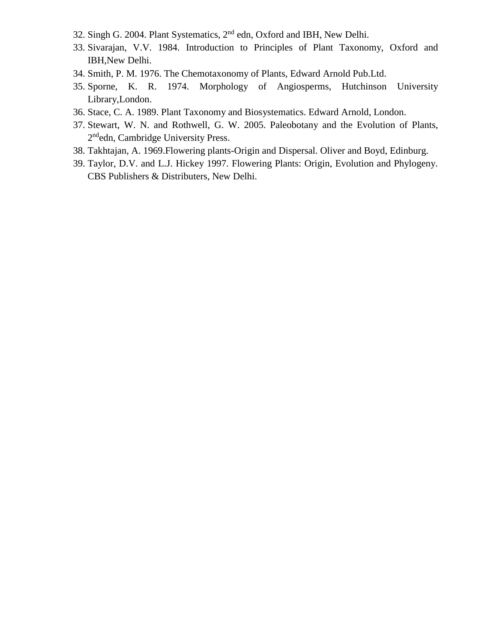- 32. Singh G. 2004. Plant Systematics, 2nd edn, Oxford and IBH, New Delhi.
- 33. Sivarajan, V.V. 1984. Introduction to Principles of Plant Taxonomy, Oxford and IBH,New Delhi.
- 34. Smith, P. M. 1976. The Chemotaxonomy of Plants, Edward Arnold Pub.Ltd.
- 35. Sporne, K. R. 1974. Morphology of Angiosperms, Hutchinson University Library,London.
- 36. Stace, C. A. 1989. Plant Taxonomy and Biosystematics. Edward Arnold, London.
- 37. Stewart, W. N. and Rothwell, G. W. 2005. Paleobotany and the Evolution of Plants, 2<sup>nd</sup>edn, Cambridge University Press.
- 38. Takhtajan, A. 1969.Flowering plants-Origin and Dispersal. Oliver and Boyd, Edinburg.
- 39. Taylor, D.V. and L.J. Hickey 1997. Flowering Plants: Origin, Evolution and Phylogeny. CBS Publishers & Distributers, New Delhi.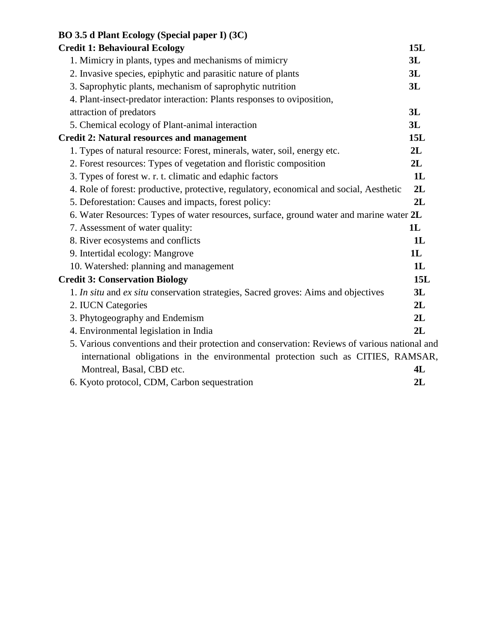| BO 3.5 d Plant Ecology (Special paper I) (3C)                                                 |     |
|-----------------------------------------------------------------------------------------------|-----|
| <b>Credit 1: Behavioural Ecology</b>                                                          | 15L |
| 1. Mimicry in plants, types and mechanisms of mimicry                                         | 3L  |
| 2. Invasive species, epiphytic and parasitic nature of plants                                 | 3L  |
| 3. Saprophytic plants, mechanism of saprophytic nutrition                                     | 3L  |
| 4. Plant-insect-predator interaction: Plants responses to oviposition,                        |     |
| attraction of predators                                                                       | 3L  |
| 5. Chemical ecology of Plant-animal interaction                                               | 3L  |
| <b>Credit 2: Natural resources and management</b>                                             | 15L |
| 1. Types of natural resource: Forest, minerals, water, soil, energy etc.                      | 2L  |
| 2. Forest resources: Types of vegetation and floristic composition                            | 2L  |
| 3. Types of forest w. r. t. climatic and edaphic factors                                      | 1L  |
| 4. Role of forest: productive, protective, regulatory, economical and social, Aesthetic       | 2L  |
| 5. Deforestation: Causes and impacts, forest policy:                                          | 2L  |
| 6. Water Resources: Types of water resources, surface, ground water and marine water 2L       |     |
| 7. Assessment of water quality:                                                               | 1L  |
| 8. River ecosystems and conflicts                                                             | 1L  |
| 9. Intertidal ecology: Mangrove                                                               | 1L  |
| 10. Watershed: planning and management                                                        | 1L  |
| <b>Credit 3: Conservation Biology</b>                                                         | 15L |
| 1. In situ and ex situ conservation strategies, Sacred groves: Aims and objectives            | 3L  |
| 2. IUCN Categories                                                                            | 2L  |
| 3. Phytogeography and Endemism                                                                | 2L  |
| 4. Environmental legislation in India                                                         | 2L  |
| 5. Various conventions and their protection and conservation: Reviews of various national and |     |
| international obligations in the environmental protection such as CITIES, RAMSAR,             |     |
| Montreal, Basal, CBD etc.                                                                     | 4L  |
| 6. Kyoto protocol, CDM, Carbon sequestration                                                  | 2L  |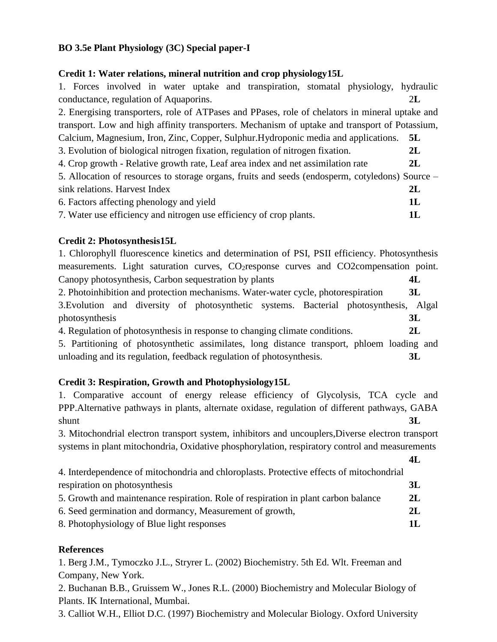#### **BO 3.5e Plant Physiology (3C) Special paper-I**

#### **Credit 1: Water relations, mineral nutrition and crop physiology15L**

1. Forces involved in water uptake and transpiration, stomatal physiology, hydraulic conductance, regulation of Aquaporins. 2**L** 2. Energising transporters, role of ATPases and PPases, role of chelators in mineral uptake and transport. Low and high affinity transporters. Mechanism of uptake and transport of Potassium, Calcium, Magnesium, Iron, Zinc, Copper, Sulphur.Hydroponic media and applications. **5L** 3. Evolution of biological nitrogen fixation, regulation of nitrogen fixation. **2L** 4. Crop growth - Relative growth rate, Leaf area index and net assimilation rate **2L** 5. Allocation of resources to storage organs, fruits and seeds (endosperm, cotyledons) Source – sink relations. Harvest Index **2L** 6. Factors affecting phenology and yield **1L** 7. Water use efficiency and nitrogen use efficiency of crop plants. **1L**

#### **Credit 2: Photosynthesis15L**

1. Chlorophyll fluorescence kinetics and determination of PSI, PSII efficiency. Photosynthesis measurements. Light saturation curves, CO<sub>2</sub>response curves and CO2compensation point. Canopy photosynthesis, Carbon sequestration by plants **4L** 2. Photoinhibition and protection mechanisms. Water-water cycle, photorespiration **3L** 3.Evolution and diversity of photosynthetic systems. Bacterial photosynthesis, Algal photosynthesis **3L** 4. Regulation of photosynthesis in response to changing climate conditions. **2L**

5. Partitioning of photosynthetic assimilates, long distance transport, phloem loading and unloading and its regulation, feedback regulation of photosynthesis. **3L**

### **Credit 3: Respiration, Growth and Photophysiology15L**

1. Comparative account of energy release efficiency of Glycolysis, TCA cycle and PPP.Alternative pathways in plants, alternate oxidase, regulation of different pathways, GABA shunt **3L** 

3. Mitochondrial electron transport system, inhibitors and uncouplers,Diverse electron transport systems in plant mitochondria, Oxidative phosphorylation, respiratory control and measurements

**4L**

| 4. Interdependence of mitochondria and chloroplasts. Protective effects of mitochondrial |      |
|------------------------------------------------------------------------------------------|------|
| respiration on photosynthesis                                                            | 3L   |
| 5. Growth and maintenance respiration. Role of respiration in plant carbon balance       | 2L   |
| 6. Seed germination and dormancy, Measurement of growth,                                 | - 2L |
| 8. Photophysiology of Blue light responses                                               | 11   |

#### **References**

1. Berg J.M., Tymoczko J.L., Stryrer L. (2002) Biochemistry. 5th Ed. Wlt. Freeman and Company, New York.

2. Buchanan B.B., Gruissem W., Jones R.L. (2000) Biochemistry and Molecular Biology of Plants. IK International, Mumbai.

3. Calliot W.H., Elliot D.C. (1997) Biochemistry and Molecular Biology. Oxford University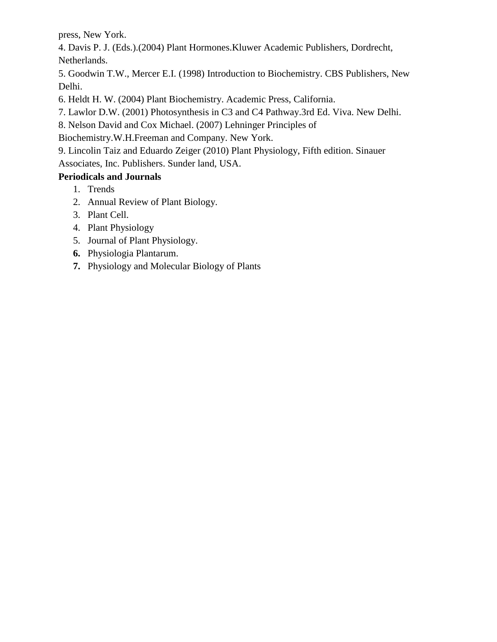press, New York.

4. Davis P. J. (Eds.).(2004) Plant Hormones.Kluwer Academic Publishers, Dordrecht, Netherlands.

5. Goodwin T.W., Mercer E.I. (1998) Introduction to Biochemistry. CBS Publishers, New Delhi.

6. Heldt H. W. (2004) Plant Biochemistry. Academic Press, California.

7. Lawlor D.W. (2001) Photosynthesis in C3 and C4 Pathway.3rd Ed. Viva. New Delhi.

8. Nelson David and Cox Michael. (2007) Lehninger Principles of

Biochemistry.W.H.Freeman and Company. New York.

9. Lincolin Taiz and Eduardo Zeiger (2010) Plant Physiology, Fifth edition. Sinauer

Associates, Inc. Publishers. Sunder land, USA.

## **Periodicals and Journals**

- 1. Trends
- 2. Annual Review of Plant Biology.
- 3. Plant Cell.
- 4. Plant Physiology
- 5. Journal of Plant Physiology.
- **6.** Physiologia Plantarum.
- **7.** Physiology and Molecular Biology of Plants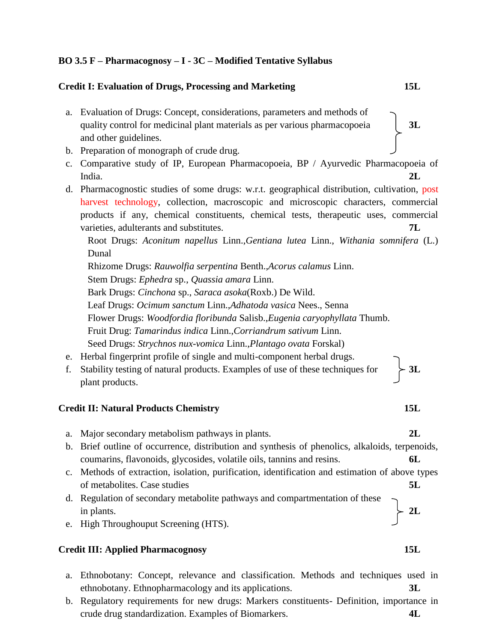#### **BO 3.5 F – Pharmacognosy – I - 3C – Modified Tentative Syllabus**

#### **Credit I: Evaluation of Drugs, Processing and Marketing 15L**

- a. Evaluation of Drugs: Concept, considerations, parameters and methods of quality control for medicinal plant materials as per various pharmacopoeia **3L** and other guidelines.
- b. Preparation of monograph of crude drug.
- c. Comparative study of IP, European Pharmacopoeia, BP / Ayurvedic Pharmacopoeia of India. **2L**
- d. Pharmacognostic studies of some drugs: w.r.t. geographical distribution, cultivation, post harvest technology, collection, macroscopic and microscopic characters, commercial products if any, chemical constituents, chemical tests, therapeutic uses, commercial varieties, adulterants and substitutes. **7L**

Root Drugs: *Aconitum napellus* Linn.,*Gentiana lutea* Linn., *Withania somnifera* (L.) Dunal

Rhizome Drugs: *Rauwolfia serpentina* Benth.,*Acorus calamus* Linn.

Stem Drugs: *Ephedra* sp., *Quassia amara* Linn.

Bark Drugs: *Cinchona* sp., *Saraca asoka*(Roxb.) De Wild.

Leaf Drugs: *Ocimum sanctum* Linn.,*Adhatoda vasica* Nees., Senna

Flower Drugs: *Woodfordia floribunda* Salisb.,*Eugenia caryophyllata* Thumb.

Fruit Drug: *Tamarindus indica* Linn.,*Corriandrum sativum* Linn.

Seed Drugs: *Strychnos nux-vomica* Linn.,*Plantago ovata* Forskal)

- e. Herbal fingerprint profile of single and multi-component herbal drugs.
- f. Stability testing of natural products. Examples of use of these techniques for **3L** plant products.

#### **Credit II: Natural Products Chemistry 15L**

- a. Major secondary metabolism pathways in plants. **2L**
- b. Brief outline of occurrence, distribution and synthesis of phenolics, alkaloids, terpenoids, coumarins, flavonoids, glycosides, volatile oils, tannins and resins. **6L**
- c. Methods of extraction, isolation, purification, identification and estimation of above types of metabolites. Case studies **5L**
- d. Regulation of secondary metabolite pathways and compartmentation of these in plants.  $\angle 2L$
- e. High Throughouput Screening (HTS).

#### **Credit III: Applied Pharmacognosy 15L**

- a. Ethnobotany: Concept, relevance and classification. Methods and techniques used in ethnobotany. Ethnopharmacology and its applications. **3L**
- b. Regulatory requirements for new drugs: Markers constituents- Definition, importance in crude drug standardization. Examples of Biomarkers. **4L**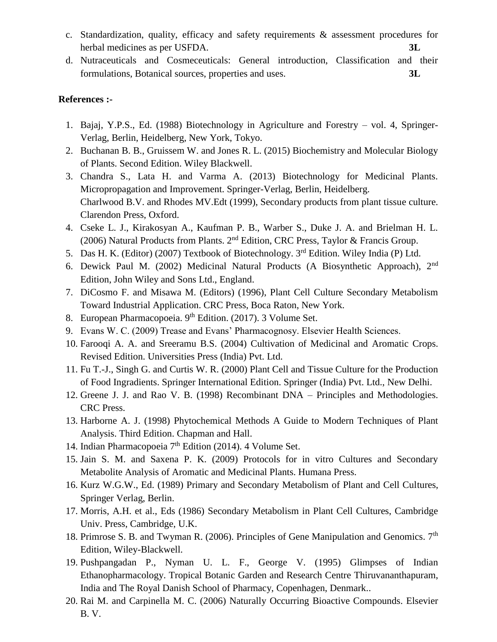- c. Standardization, quality, efficacy and safety requirements & assessment procedures for herbal medicines as per USFDA. **3L**
- d. Nutraceuticals and Cosmeceuticals: General introduction, Classification and their formulations, Botanical sources, properties and uses. **3L**

#### **References :-**

- 1. Bajaj, Y.P.S., Ed. (1988) Biotechnology in Agriculture and Forestry vol. 4, Springer-Verlag, Berlin, Heidelberg, New York, Tokyo.
- 2. Buchanan B. B., Gruissem W. and Jones R. L. (2015) Biochemistry and Molecular Biology of Plants. Second Edition. Wiley Blackwell.
- 3. Chandra S., Lata H. and Varma A. (2013) Biotechnology for Medicinal Plants. Micropropagation and Improvement. Springer-Verlag, Berlin, Heidelberg. Charlwood B.V. and Rhodes MV.Edt (1999), Secondary products from plant tissue culture. Clarendon Press, Oxford.
- 4. Cseke L. J., Kirakosyan A., Kaufman P. B., Warber S., Duke J. A. and Brielman H. L. (2006) Natural Products from Plants.  $2<sup>nd</sup>$  Edition, CRC Press, Taylor & Francis Group.
- 5. Das H. K. (Editor) (2007) Textbook of Biotechnology. 3rd Edition. Wiley India (P) Ltd.
- 6. Dewick Paul M. (2002) Medicinal Natural Products (A Biosynthetic Approach), 2nd Edition, John Wiley and Sons Ltd., England.
- 7. DiCosmo F. and Misawa M. (Editors) (1996), Plant Cell Culture Secondary Metabolism Toward Industrial Application. CRC Press, Boca Raton, New York.
- 8. European Pharmacopoeia. 9<sup>th</sup> Edition. (2017). 3 Volume Set.
- 9. Evans W. C. (2009) Trease and Evans' Pharmacognosy. Elsevier Health Sciences.
- 10. Farooqi A. A. and Sreeramu B.S. (2004) Cultivation of Medicinal and Aromatic Crops. Revised Edition. Universities Press (India) Pvt. Ltd.
- 11. Fu T.-J., Singh G. and Curtis W. R. (2000) Plant Cell and Tissue Culture for the Production of Food Ingradients. Springer International Edition. Springer (India) Pvt. Ltd., New Delhi.
- 12. Greene J. J. and Rao V. B. (1998) Recombinant DNA Principles and Methodologies. CRC Press.
- 13. Harborne A. J. (1998) Phytochemical Methods A Guide to Modern Techniques of Plant Analysis. Third Edition. Chapman and Hall.
- 14. Indian Pharmacopoeia  $7<sup>th</sup>$  Edition (2014). 4 Volume Set.
- 15. Jain S. M. and Saxena P. K. (2009) Protocols for in vitro Cultures and Secondary Metabolite Analysis of Aromatic and Medicinal Plants. Humana Press.
- 16. Kurz W.G.W., Ed. (1989) Primary and Secondary Metabolism of Plant and Cell Cultures, Springer Verlag, Berlin.
- 17. Morris, A.H. et al., Eds (1986) Secondary Metabolism in Plant Cell Cultures, Cambridge Univ. Press, Cambridge, U.K.
- 18. Primrose S. B. and Twyman R. (2006). Principles of Gene Manipulation and Genomics.  $7<sup>th</sup>$ Edition, Wiley-Blackwell.
- 19. Pushpangadan P., Nyman U. L. F., George V. (1995) Glimpses of Indian Ethanopharmacology. Tropical Botanic Garden and Research Centre Thiruvananthapuram, India and The Royal Danish School of Pharmacy, Copenhagen, Denmark..
- 20. Rai M. and Carpinella M. C. (2006) Naturally Occurring Bioactive Compounds. Elsevier B. V.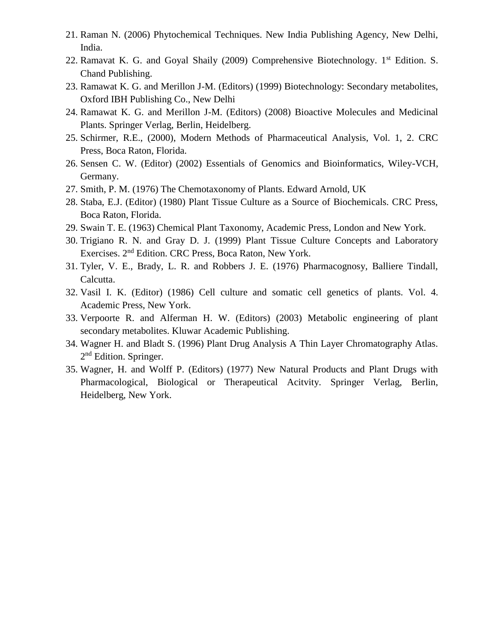- 21. Raman N. (2006) Phytochemical Techniques. New India Publishing Agency, New Delhi, India.
- 22. Ramavat K. G. and Goyal Shaily (2009) Comprehensive Biotechnology.  $1<sup>st</sup>$  Edition. S. Chand Publishing.
- 23. Ramawat K. G. and Merillon J-M. (Editors) (1999) Biotechnology: Secondary metabolites, Oxford IBH Publishing Co., New Delhi
- 24. Ramawat K. G. and Merillon J-M. (Editors) (2008) Bioactive Molecules and Medicinal Plants. Springer Verlag, Berlin, Heidelberg.
- 25. Schirmer, R.E., (2000), Modern Methods of Pharmaceutical Analysis, Vol. 1, 2. CRC Press, Boca Raton, Florida.
- 26. Sensen C. W. (Editor) (2002) Essentials of Genomics and Bioinformatics, Wiley-VCH, Germany.
- 27. Smith, P. M. (1976) The Chemotaxonomy of Plants. Edward Arnold, UK
- 28. Staba, E.J. (Editor) (1980) Plant Tissue Culture as a Source of Biochemicals. CRC Press, Boca Raton, Florida.
- 29. Swain T. E. (1963) Chemical Plant Taxonomy, Academic Press, London and New York.
- 30. Trigiano R. N. and Gray D. J. (1999) Plant Tissue Culture Concepts and Laboratory Exercises. 2nd Edition. CRC Press, Boca Raton, New York.
- 31. Tyler, V. E., Brady, L. R. and Robbers J. E. (1976) Pharmacognosy, Balliere Tindall, Calcutta.
- 32. Vasil I. K. (Editor) (1986) Cell culture and somatic cell genetics of plants. Vol. 4. Academic Press, New York.
- 33. Verpoorte R. and Alferman H. W. (Editors) (2003) Metabolic engineering of plant secondary metabolites. Kluwar Academic Publishing.
- 34. Wagner H. and Bladt S. (1996) Plant Drug Analysis A Thin Layer Chromatography Atlas. 2<sup>nd</sup> Edition. Springer.
- 35. Wagner, H. and Wolff P. (Editors) (1977) New Natural Products and Plant Drugs with Pharmacological, Biological or Therapeutical Acitvity. Springer Verlag, Berlin, Heidelberg, New York.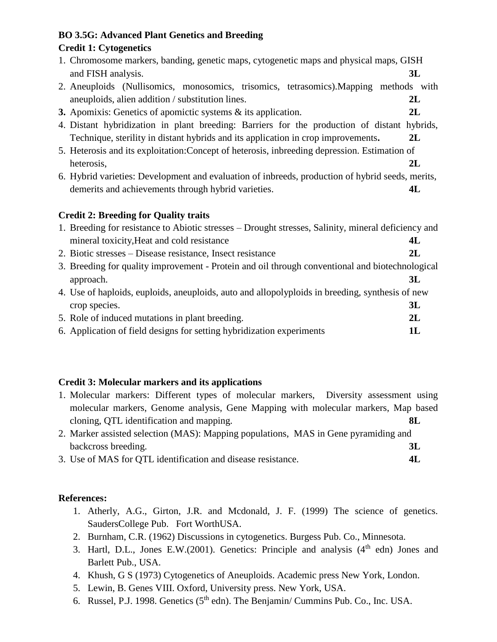## **BO 3.5G: Advanced Plant Genetics and Breeding**

#### **Credit 1: Cytogenetics**

| 1. Chromosome markers, banding, genetic maps, cytogenetic maps and physical maps, GISH |  |
|----------------------------------------------------------------------------------------|--|
| and FISH analysis.                                                                     |  |

- 2. Aneuploids (Nullisomics, monosomics, trisomics, tetrasomics).Mapping methods with aneuploids, alien addition / substitution lines. **2L**
- **3.** Apomixis: Genetics of apomictic systems & its application. **2L**
- 4. Distant hybridization in plant breeding: Barriers for the production of distant hybrids, Technique, sterility in distant hybrids and its application in crop improvements**. 2L**
- 5. Heterosis and its exploitation:Concept of heterosis, inbreeding depression. Estimation of heterosis, **2L**
- 6. Hybrid varieties: Development and evaluation of inbreeds, production of hybrid seeds, merits, demerits and achievements through hybrid varieties. **4L**

### **Credit 2: Breeding for Quality traits**

| 1. Breeding for resistance to Abiotic stresses – Drought stresses, Salinity, mineral deficiency and |    |
|-----------------------------------------------------------------------------------------------------|----|
| mineral toxicity, Heat and cold resistance                                                          | 4L |

- 2. Biotic stresses Disease resistance, Insect resistance **2L**
- 3. Breeding for quality improvement Protein and oil through conventional and biotechnological approach. **3L**
- 4. Use of haploids, euploids, aneuploids, auto and allopolyploids in breeding, synthesis of new crop species. **3L** 5. Role of induced mutations in plant breeding. **2L**
- 6. Application of field designs for setting hybridization experiments **1L**

### **Credit 3: Molecular markers and its applications**

| 1. Molecular markers: Different types of molecular markers, Diversity assessment using |     |
|----------------------------------------------------------------------------------------|-----|
| molecular markers, Genome analysis, Gene Mapping with molecular markers, Map based     |     |
| cloning, QTL identification and mapping.                                               | -8L |
| 2. Marker assisted selection (MAS): Mapping populations, MAS in Gene pyramiding and    |     |

- backcross breeding. **3L**
- 3. Use of MAS for QTL identification and disease resistance. **4L**

### **References:**

- 1. Atherly, A.G., Girton, J.R. and Mcdonald, J. F. (1999) The science of genetics. SaudersCollege Pub. Fort WorthUSA.
- 2. Burnham, C.R. (1962) Discussions in cytogenetics. Burgess Pub. Co., Minnesota.
- 3. Hartl, D.L., Jones E.W.(2001). Genetics: Principle and analysis  $(4<sup>th</sup>$  edn) Jones and Barlett Pub., USA.
- 4. Khush, G S (1973) Cytogenetics of Aneuploids. Academic press New York, London.
- 5. Lewin, B. Genes VIII. Oxford, University press. New York, USA.
- 6. Russel, P.J. 1998. Genetics  $(5<sup>th</sup>$  edn). The Benjamin/ Cummins Pub. Co., Inc. USA.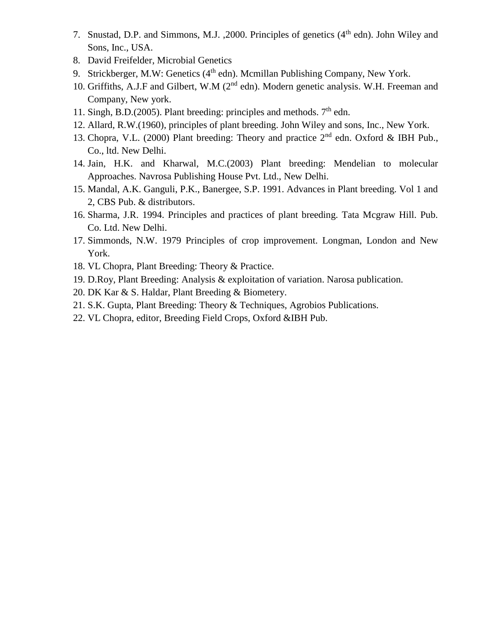- 7. Snustad, D.P. and Simmons, M.J. , 2000. Principles of genetics (4<sup>th</sup> edn). John Wiley and Sons, Inc., USA.
- 8. David Freifelder, Microbial Genetics
- 9. Strickberger, M.W: Genetics  $(4<sup>th</sup>$  edn). Mcmillan Publishing Company, New York.
- 10. Griffiths, A.J.F and Gilbert, W.M (2<sup>nd</sup> edn). Modern genetic analysis. W.H. Freeman and Company, New york.
- 11. Singh, B.D.(2005). Plant breeding: principles and methods.  $7<sup>th</sup>$  edn.
- 12. Allard, R.W.(1960), principles of plant breeding. John Wiley and sons, Inc., New York.
- 13. Chopra, V.L. (2000) Plant breeding: Theory and practice  $2<sup>nd</sup>$  edn. Oxford & IBH Pub., Co., ltd. New Delhi.
- 14. Jain, H.K. and Kharwal, M.C.(2003) Plant breeding: Mendelian to molecular Approaches. Navrosa Publishing House Pvt. Ltd., New Delhi.
- 15. Mandal, A.K. Ganguli, P.K., Banergee, S.P. 1991. Advances in Plant breeding. Vol 1 and 2, CBS Pub. & distributors.
- 16. Sharma, J.R. 1994. Principles and practices of plant breeding. Tata Mcgraw Hill. Pub. Co. Ltd. New Delhi.
- 17. Simmonds, N.W. 1979 Principles of crop improvement. Longman, London and New York.
- 18. VL Chopra, Plant Breeding: Theory & Practice.
- 19. D.Roy, Plant Breeding: Analysis & exploitation of variation. Narosa publication.
- 20. DK Kar & S. Haldar, Plant Breeding & Biometery.
- 21. S.K. Gupta, Plant Breeding: Theory & Techniques, Agrobios Publications.
- 22. VL Chopra, editor, Breeding Field Crops, Oxford &IBH Pub.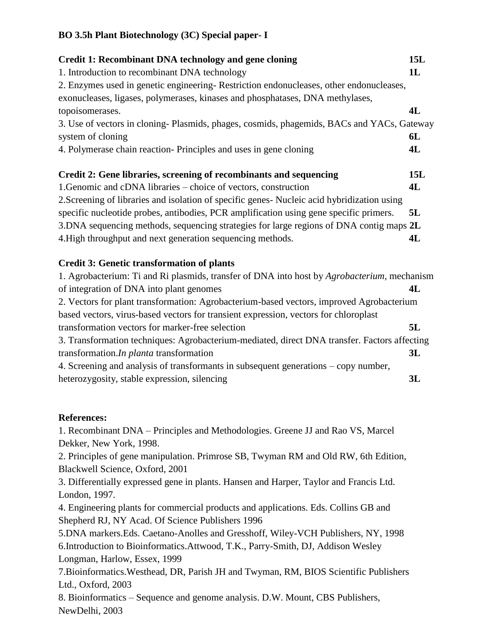| <b>Credit 1: Recombinant DNA technology and gene cloning</b><br>1. Introduction to recombinant DNA technology<br>2. Enzymes used in genetic engineering-Restriction endonucleases, other endonucleases,<br>exonucleases, ligases, polymerases, kinases and phosphatases, DNA methylases,<br>topoisomerases.<br>3. Use of vectors in cloning-Plasmids, phages, cosmids, phagemids, BACs and YACs, Gateway<br>system of cloning<br>4. Polymerase chain reaction-Principles and uses in gene cloning                                                                                                                                                                                                                                                                                                                                        | 15L<br>1L<br>4L<br>6L<br>4L |
|------------------------------------------------------------------------------------------------------------------------------------------------------------------------------------------------------------------------------------------------------------------------------------------------------------------------------------------------------------------------------------------------------------------------------------------------------------------------------------------------------------------------------------------------------------------------------------------------------------------------------------------------------------------------------------------------------------------------------------------------------------------------------------------------------------------------------------------|-----------------------------|
| Credit 2: Gene libraries, screening of recombinants and sequencing<br>1. Genomic and cDNA libraries – choice of vectors, construction<br>2. Screening of libraries and isolation of specific genes- Nucleic acid hybridization using<br>specific nucleotide probes, antibodies, PCR amplification using gene specific primers.<br>3. DNA sequencing methods, sequencing strategies for large regions of DNA contig maps 2L<br>4. High throughput and next generation sequencing methods.                                                                                                                                                                                                                                                                                                                                                 | 15L<br>4L<br>5L<br>4L       |
| <b>Credit 3: Genetic transformation of plants</b><br>1. Agrobacterium: Ti and Ri plasmids, transfer of DNA into host by Agrobacterium, mechanism<br>of integration of DNA into plant genomes<br>2. Vectors for plant transformation: Agrobacterium-based vectors, improved Agrobacterium<br>based vectors, virus-based vectors for transient expression, vectors for chloroplast<br>transformation vectors for marker-free selection<br>3. Transformation techniques: Agrobacterium-mediated, direct DNA transfer. Factors affecting<br>transformation. In planta transformation<br>4. Screening and analysis of transformants in subsequent generations – copy number,<br>heterozygosity, stable expression, silencing                                                                                                                  | 4L<br>5L<br>3L<br>3L        |
| <b>References:</b><br>1. Recombinant DNA – Principles and Methodologies. Greene JJ and Rao VS, Marcel<br>Dekker, New York, 1998.<br>2. Principles of gene manipulation. Primrose SB, Twyman RM and Old RW, 6th Edition,<br>Blackwell Science, Oxford, 2001<br>3. Differentially expressed gene in plants. Hansen and Harper, Taylor and Francis Ltd.<br>London, 1997.<br>4. Engineering plants for commercial products and applications. Eds. Collins GB and<br>Shepherd RJ, NY Acad. Of Science Publishers 1996<br>5.DNA markers.Eds. Caetano-Anolles and Gresshoff, Wiley-VCH Publishers, NY, 1998<br>6. Introduction to Bioinformatics. Attwood, T.K., Parry-Smith, DJ, Addison Wesley<br>Longman, Harlow, Essex, 1999<br>7. Bioinformatics. Westhead, DR, Parish JH and Twyman, RM, BIOS Scientific Publishers<br>Ltd., Oxford, 2003 |                             |

8. Bioinformatics – Sequence and genome analysis. D.W. Mount, CBS Publishers, NewDelhi, 2003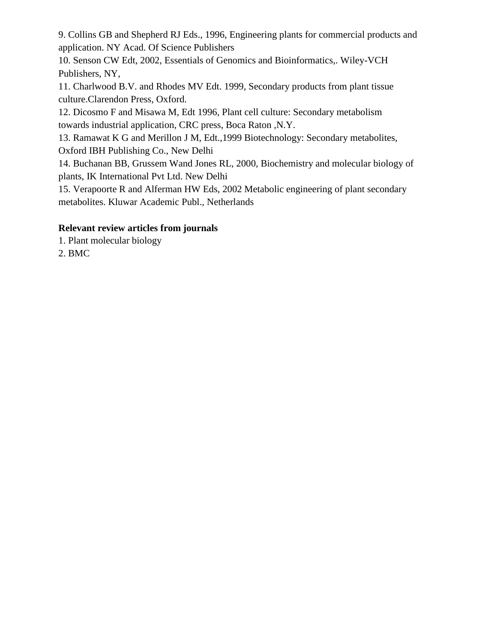9. Collins GB and Shepherd RJ Eds., 1996, Engineering plants for commercial products and application. NY Acad. Of Science Publishers

10. Senson CW Edt, 2002, Essentials of Genomics and Bioinformatics,. Wiley-VCH Publishers, NY,

11. Charlwood B.V. and Rhodes MV Edt. 1999, Secondary products from plant tissue culture.Clarendon Press, Oxford.

12. Dicosmo F and Misawa M, Edt 1996, Plant cell culture: Secondary metabolism towards industrial application, CRC press, Boca Raton ,N.Y.

13. Ramawat K G and Merillon J M, Edt.,1999 Biotechnology: Secondary metabolites, Oxford IBH Publishing Co., New Delhi

14. Buchanan BB, Grussem Wand Jones RL, 2000, Biochemistry and molecular biology of plants, IK International Pvt Ltd. New Delhi

15. Verapoorte R and Alferman HW Eds, 2002 Metabolic engineering of plant secondary metabolites. Kluwar Academic Publ., Netherlands

### **Relevant review articles from journals**

1. Plant molecular biology

2. BMC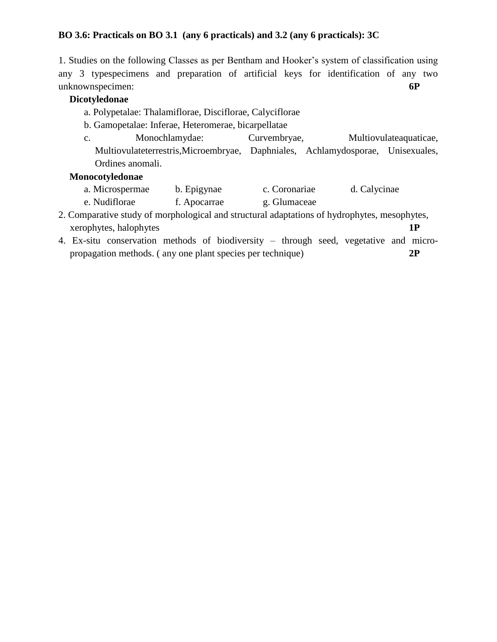#### **BO 3.6: Practicals on BO 3.1 (any 6 practicals) and 3.2 (any 6 practicals): 3C**

1. Studies on the following Classes as per Bentham and Hooker's system of classification using any 3 typespecimens and preparation of artificial keys for identification of any two unknownspecimen: **6P**

#### **Dicotyledonae**

- a. Polypetalae: Thalamiflorae, Disciflorae, Calyciflorae
- b. Gamopetalae: Inferae, Heteromerae, bicarpellatae
- c. Monochlamydae: Curvembryae, Multiovulateaquaticae, Multiovulateterrestris,Microembryae, Daphniales, Achlamydosporae, Unisexuales, Ordines anomali.

#### **Monocotyledonae**

- a. Microspermae b. Epigynae c. Coronariae d. Calycinae e. Nudiflorae f. Apocarrae g. Glumaceae
- 2. Comparative study of morphological and structural adaptations of hydrophytes, mesophytes, xerophytes, halophytes **1P**
- 4. Ex-situ conservation methods of biodiversity through seed, vegetative and micropropagation methods. ( any one plant species per technique) **2P**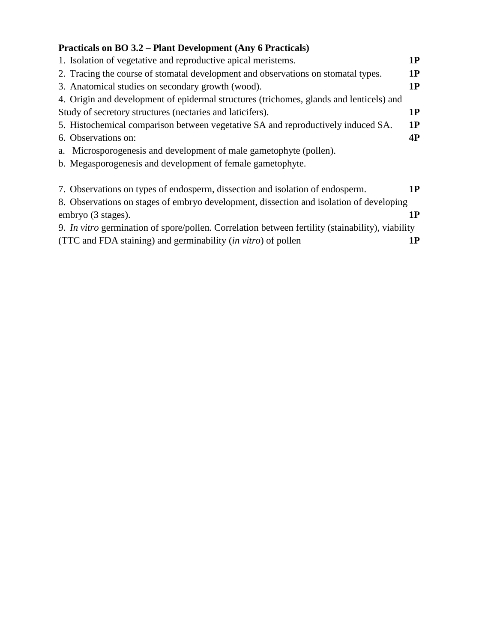## **Practicals on BO 3.2 – Plant Development (Any 6 Practicals)**

| 1. Isolation of vegetative and reproductive apical meristems.                                    | 1P |
|--------------------------------------------------------------------------------------------------|----|
| 2. Tracing the course of stomatal development and observations on stomatal types.                | 1P |
| 3. Anatomical studies on secondary growth (wood).                                                | 1P |
| 4. Origin and development of epidermal structures (trichomes, glands and lenticels) and          |    |
| Study of secretory structures (nectaries and laticifers).                                        | 1P |
| 5. Histochemical comparison between vegetative SA and reproductively induced SA.                 | 1P |
| 6. Observations on:                                                                              | 4P |
| a. Microsporogenesis and development of male gametophyte (pollen).                               |    |
| b. Megasporogenesis and development of female gametophyte.                                       |    |
| 7. Observations on types of endosperm, dissection and isolation of endosperm.                    | 1P |
| 8. Observations on stages of embryo development, dissection and isolation of developing          |    |
| embryo (3 stages).                                                                               | 1P |
| 9. In vitro germination of spore/pollen. Correlation between fertility (stainability), viability |    |
| (TTC and FDA staining) and germinability <i>(in vitro)</i> of pollen                             | 1P |
|                                                                                                  |    |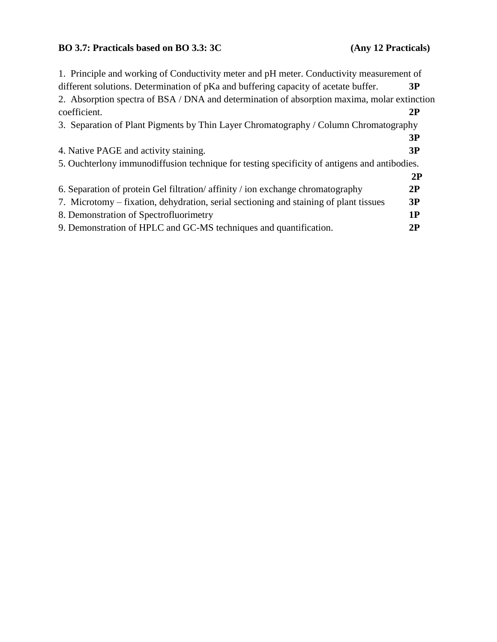## **BO 3.7: Practicals based on BO 3.3: 3C (Any 12 Practicals)**

| 1. Principle and working of Conductivity meter and pH meter. Conductivity measurement of     |
|----------------------------------------------------------------------------------------------|
| 3P                                                                                           |
| 2. Absorption spectra of BSA / DNA and determination of absorption maxima, molar extinction  |
| 2P                                                                                           |
| 3. Separation of Plant Pigments by Thin Layer Chromatography / Column Chromatography         |
| 3P                                                                                           |
| 3P                                                                                           |
| 5. Ouchterlony immunodiffusion technique for testing specificity of antigens and antibodies. |
| 2P                                                                                           |
| 2P                                                                                           |
| 3P                                                                                           |
| 1P                                                                                           |
| 2P                                                                                           |
|                                                                                              |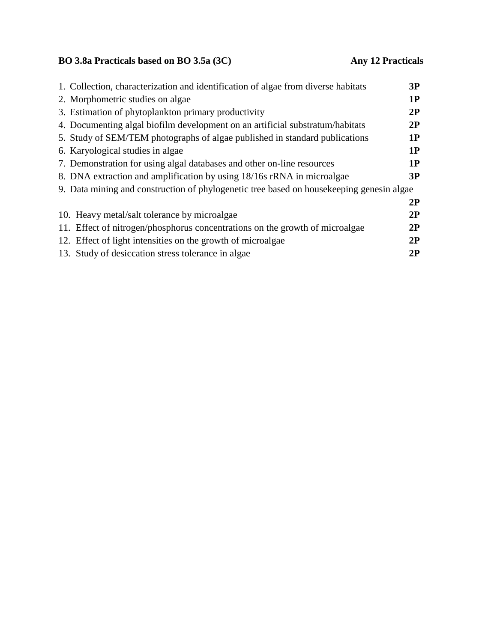# **BO 3.8a Practicals based on BO 3.5a (3C) Any 12 Practicals**

| 1. Collection, characterization and identification of algae from diverse habitats         | 3P |
|-------------------------------------------------------------------------------------------|----|
| 2. Morphometric studies on algae                                                          | 1P |
| 3. Estimation of phytoplankton primary productivity                                       | 2P |
| 4. Documenting algal biofilm development on an artificial substratum/habitats             | 2P |
| 5. Study of SEM/TEM photographs of algae published in standard publications               | 1P |
| 6. Karyological studies in algae                                                          | 1P |
| 7. Demonstration for using algal databases and other on-line resources                    | 1P |
| 8. DNA extraction and amplification by using 18/16s rRNA in microalgae                    | 3P |
| 9. Data mining and construction of phylogenetic tree based on house keeping genesin algae |    |
|                                                                                           | 2P |
| 10. Heavy metal/salt tolerance by microalgae                                              | 2P |
| 11. Effect of nitrogen/phosphorus concentrations on the growth of microalgae              | 2P |
| 12. Effect of light intensities on the growth of microalgae                               | 2P |
| 13. Study of desiccation stress tolerance in algae                                        | 2P |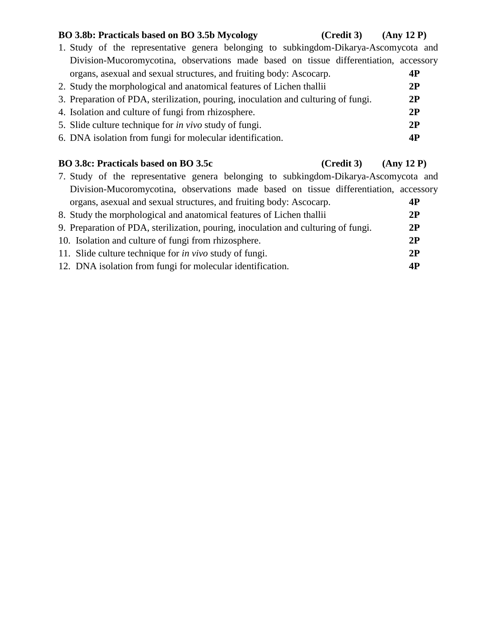#### **BO 3.8b: Practicals based on BO 3.5b Mycology (Credit 3) (Any 12 P)**

## 1. Study of the representative genera belonging to subkingdom-Dikarya-Ascomycota and Division-Mucoromycotina, observations made based on tissue differentiation, accessory organs, asexual and sexual structures, and fruiting body: Ascocarp. **4P** 2. Study the morphological and anatomical features of Lichen thallii **2P** 3. Preparation of PDA, sterilization, pouring, inoculation and culturing of fungi. **2P** 4. Isolation and culture of fungi from rhizosphere. **2P** 5. Slide culture technique for *in vivo* study of fungi. **2P**

6. DNA isolation from fungi for molecular identification. **4P**

## **BO 3.8c: Practicals based on BO 3.5c (Credit 3) (Any 12 P)**

| 7. Study of the representative genera belonging to subkingdom-Dikarya-Ascomycota and  |           |
|---------------------------------------------------------------------------------------|-----------|
| Division-Mucoromycotina, observations made based on tissue differentiation, accessory |           |
| organs, as exual and sexual structures, and fruiting body: Ascocarp.                  | 4P        |
| 8. Study the morphological and anatomical features of Lichen thalling                 | 2P        |
| 9. Preparation of PDA, sterilization, pouring, inoculation and culturing of fungi.    | 2P        |
| 10. Isolation and culture of fungi from rhizosphere.                                  | 2P        |
| 11. Slide culture technique for <i>in vivo</i> study of fungi.                        | 2P        |
| 12. DNA isolation from fungi for molecular identification.                            | <b>4P</b> |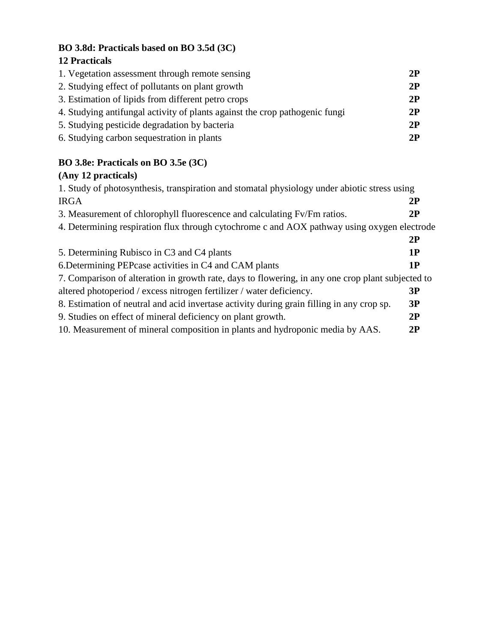## **BO 3.8d: Practicals based on BO 3.5d (3C)**

## **12 Practicals**

| 1. Vegetation assessment through remote sensing                             | 2P |
|-----------------------------------------------------------------------------|----|
| 2. Studying effect of pollutants on plant growth                            | 2P |
| 3. Estimation of lipids from different petro crops                          | 2P |
| 4. Studying antifungal activity of plants against the crop pathogenic fungi | 2P |
| 5. Studying pesticide degradation by bacteria                               | 2P |
| 6. Studying carbon sequestration in plants                                  | 2P |

## **BO 3.8e: Practicals on BO 3.5e (3C)**

## **(Any 12 practicals)**

| 1. Study of photosynthesis, transpiration and stomatal physiology under abiotic stress using      |    |  |
|---------------------------------------------------------------------------------------------------|----|--|
| <b>IRGA</b>                                                                                       | 2P |  |
| 3. Measurement of chlorophyll fluorescence and calculating Fv/Fm ratios.                          | 2P |  |
| 4. Determining respiration flux through cytochrome c and AOX pathway using oxygen electrode       |    |  |
|                                                                                                   | 2P |  |
| 5. Determining Rubisco in C3 and C4 plants                                                        | 1P |  |
| 6. Determining PEP case activities in C4 and CAM plants                                           | 1P |  |
| 7. Comparison of alteration in growth rate, days to flowering, in any one crop plant subjected to |    |  |
| altered photoperiod / excess nitrogen fertilizer / water deficiency.                              | 3P |  |
| 8. Estimation of neutral and acid invertase activity during grain filling in any crop sp.         | 3P |  |
| 9. Studies on effect of mineral deficiency on plant growth.                                       | 2P |  |
| 10. Measurement of mineral composition in plants and hydroponic media by AAS.                     | 2P |  |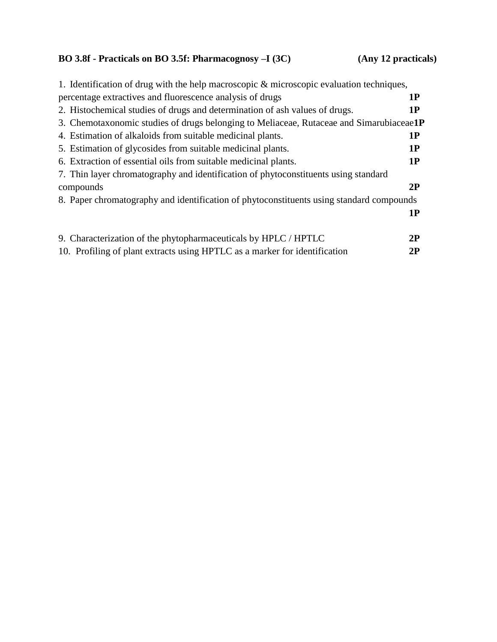## **BO 3.8f - Practicals on BO 3.5f: Pharmacognosy –I (3C) (Any 12 practicals)**

| 1. Identification of drug with the help macroscopic $\&$ microscopic evaluation techniques, |           |
|---------------------------------------------------------------------------------------------|-----------|
| percentage extractives and fluorescence analysis of drugs                                   | 1P        |
| 2. Histochemical studies of drugs and determination of ash values of drugs.                 | 1P        |
| 3. Chemotaxonomic studies of drugs belonging to Meliaceae, Rutaceae and Simarubiaceae1P     |           |
| 4. Estimation of alkaloids from suitable medicinal plants.                                  | 1P        |
| 5. Estimation of glycosides from suitable medicinal plants.                                 | <b>1P</b> |
| 6. Extraction of essential oils from suitable medicinal plants.                             | <b>1P</b> |
| 7. Thin layer chromatography and identification of phytoconstituents using standard         |           |
| compounds                                                                                   | 2P        |
| 8. Paper chromatography and identification of phytoconstituents using standard compounds    |           |
|                                                                                             | 1P        |
|                                                                                             |           |
| 9. Characterization of the phytopharmaceuticals by HPLC / HPTLC                             | 2P        |
| 10. Profiling of plant extracts using HPTLC as a marker for identification                  | 2P        |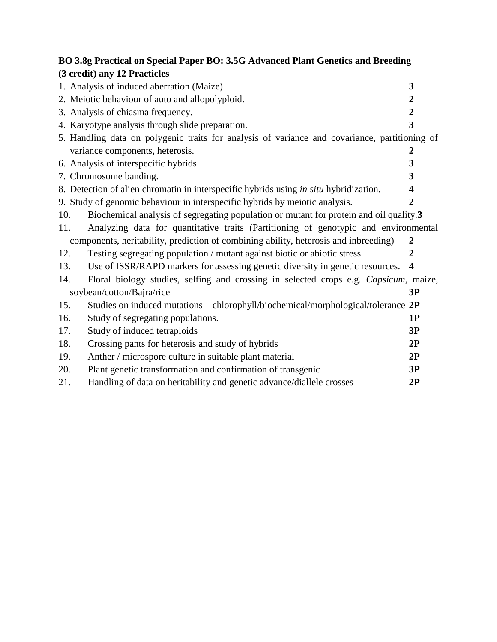|     | BO 3.8g Practical on Special Paper BO: 3.5G Advanced Plant Genetics and Breeding              |                         |
|-----|-----------------------------------------------------------------------------------------------|-------------------------|
|     | (3 credit) any 12 Practicles                                                                  |                         |
|     | 1. Analysis of induced aberration (Maize)                                                     | $\mathbf{3}$            |
|     | 2. Meiotic behaviour of auto and allopolyploid.                                               | $\overline{2}$          |
|     | 3. Analysis of chiasma frequency.                                                             | $\overline{2}$          |
|     | 4. Karyotype analysis through slide preparation.                                              | 3                       |
|     | 5. Handling data on polygenic traits for analysis of variance and covariance, partitioning of |                         |
|     | variance components, heterosis.                                                               | $\boldsymbol{2}$        |
|     | 6. Analysis of interspecific hybrids                                                          | 3                       |
|     | 7. Chromosome banding.                                                                        | 3                       |
|     | 8. Detection of alien chromatin in interspecific hybrids using <i>in situ</i> hybridization.  | 4                       |
|     | 9. Study of genomic behaviour in interspecific hybrids by meiotic analysis.                   | $\overline{2}$          |
| 10. | Biochemical analysis of segregating population or mutant for protein and oil quality.3        |                         |
| 11. | Analyzing data for quantitative traits (Partitioning of genotypic and environmental           |                         |
|     | components, heritability, prediction of combining ability, heterosis and inbreeding)          | 2                       |
| 12. | Testing segregating population / mutant against biotic or abiotic stress.                     | 2                       |
| 13. | Use of ISSR/RAPD markers for assessing genetic diversity in genetic resources.                | $\overline{\mathbf{4}}$ |
| 14. | Floral biology studies, selfing and crossing in selected crops e.g. Capsicum, maize,          |                         |
|     | soybean/cotton/Bajra/rice                                                                     | 3P                      |
| 15. | Studies on induced mutations - chlorophyll/biochemical/morphological/tolerance 2P             |                         |
| 16. | Study of segregating populations.                                                             | 1P                      |
| 17. | Study of induced tetraploids                                                                  | 3P                      |
| 18. | Crossing pants for heterosis and study of hybrids                                             | 2P                      |
| 19. | Anther / microspore culture in suitable plant material                                        | 2P                      |
| 20. | Plant genetic transformation and confirmation of transgenic                                   | 3P                      |
| 21. | Handling of data on heritability and genetic advance/diallele crosses                         | 2P                      |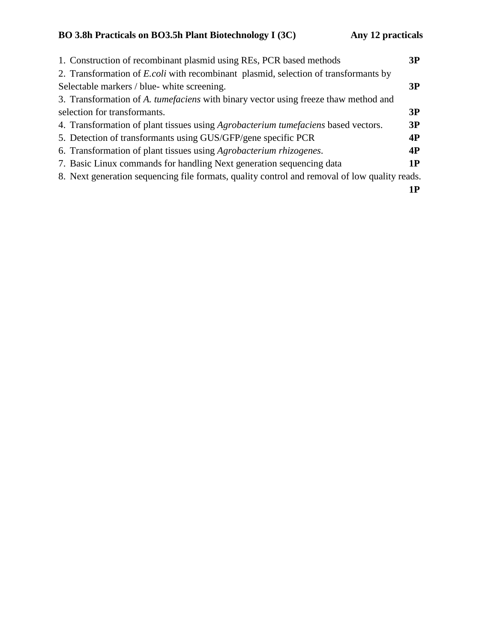| 1. Construction of recombinant plasmid using REs, PCR based methods                           | 3P        |
|-----------------------------------------------------------------------------------------------|-----------|
| 2. Transformation of <i>E.coli</i> with recombinant plasmid, selection of transformants by    |           |
| Selectable markers / blue- white screening.                                                   | 3P        |
| 3. Transformation of A. tumefaciens with binary vector using freeze thaw method and           |           |
| selection for transformants.                                                                  | 3P        |
| 4. Transformation of plant tissues using Agrobacterium tumefaciens based vectors.             | 3P        |
| 5. Detection of transformants using GUS/GFP/gene specific PCR                                 | <b>4P</b> |
| 6. Transformation of plant tissues using <i>Agrobacterium rhizogenes</i> .                    | <b>4P</b> |
| 7. Basic Linux commands for handling Next generation sequencing data                          | 1P        |
| 8. Next generation sequencing file formats, quality control and removal of low quality reads. |           |
|                                                                                               |           |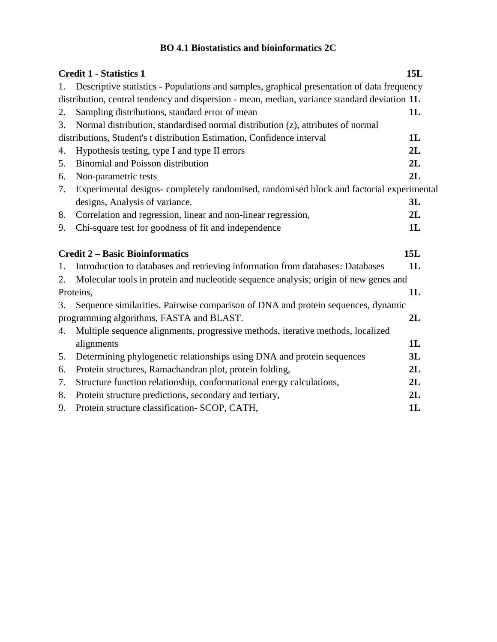## **BO 4.1 Biostatistics and bioinformatics 2C**

|    | <b>Credit 1 - Statistics 1</b>                                                               | <b>15L</b> |
|----|----------------------------------------------------------------------------------------------|------------|
| 1. | Descriptive statistics - Populations and samples, graphical presentation of data frequency   |            |
|    | distribution, central tendency and dispersion - mean, median, variance standard deviation 1L |            |
| 2. | Sampling distributions, standard error of mean                                               | 1L         |
| 3. | Normal distribution, standardised normal distribution (z), attributes of normal              |            |
|    | distributions, Student's t distribution Estimation, Confidence interval                      | 1L         |
| 4. | Hypothesis testing, type I and type II errors                                                | 2L         |
| 5. | Binomial and Poisson distribution                                                            | 2L         |
| 6. | Non-parametric tests                                                                         | 2L         |
| 7. | Experimental designs-completely randomised, randomised block and factorial experimental      |            |
|    | designs, Analysis of variance.                                                               | 3L         |
| 8. | Correlation and regression, linear and non-linear regression,                                | 2L         |
| 9. | Chi-square test for goodness of fit and independence                                         | 1L         |
|    | <b>Credit 2 – Basic Bioinformatics</b>                                                       | <b>15L</b> |
| 1. | Introduction to databases and retrieving information from databases: Databases               | 1L         |
| 2. | Molecular tools in protein and nucleotide sequence analysis; origin of new genes and         |            |
|    | Proteins,                                                                                    | 1L         |
| 3. | Sequence similarities. Pairwise comparison of DNA and protein sequences, dynamic             |            |
|    | programming algorithms, FASTA and BLAST.                                                     | 2L         |
| 4. | Multiple sequence alignments, progressive methods, iterative methods, localized              |            |
|    | alignments                                                                                   | 1L         |
| 5. | Determining phylogenetic relationships using DNA and protein sequences                       | 3L         |
| 6. | Protein structures, Ramachandran plot, protein folding,                                      | 2L         |
| 7. | Structure function relationship, conformational energy calculations,                         | 2L         |
| 8. | Protein structure predictions, secondary and tertiary,                                       | 2L         |
| 9. | Protein structure classification- SCOP, CATH,                                                | 1L         |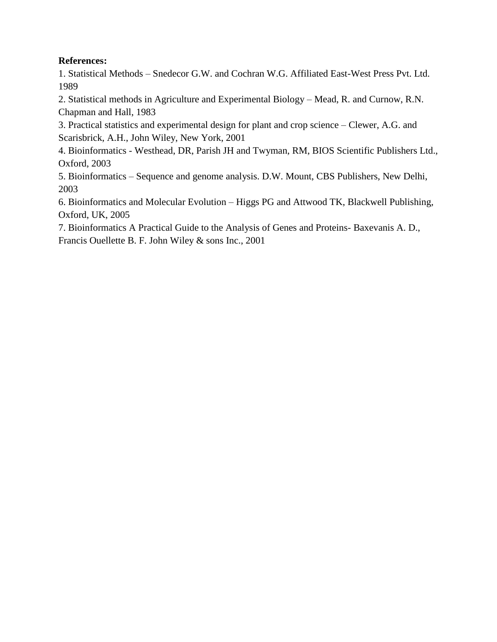#### **References:**

1. Statistical Methods – Snedecor G.W. and Cochran W.G. Affiliated East-West Press Pvt. Ltd. 1989

2. Statistical methods in Agriculture and Experimental Biology – Mead, R. and Curnow, R.N. Chapman and Hall, 1983

3. Practical statistics and experimental design for plant and crop science – Clewer, A.G. and Scarisbrick, A.H., John Wiley, New York, 2001

4. Bioinformatics - Westhead, DR, Parish JH and Twyman, RM, BIOS Scientific Publishers Ltd., Oxford, 2003

5. Bioinformatics – Sequence and genome analysis. D.W. Mount, CBS Publishers, New Delhi, 2003

6. Bioinformatics and Molecular Evolution – Higgs PG and Attwood TK, Blackwell Publishing, Oxford, UK, 2005

7. Bioinformatics A Practical Guide to the Analysis of Genes and Proteins- Baxevanis A. D., Francis Ouellette B. F. John Wiley & sons Inc., 2001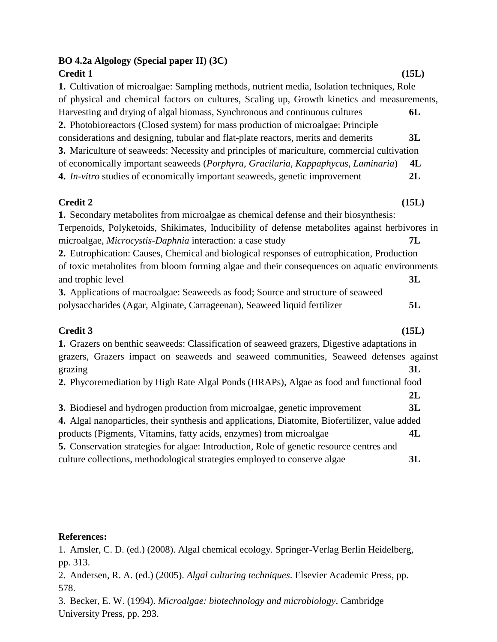### **BO 4.2a Algology (Special paper II) (3C) Credit 1 (15L)**

**1.** Cultivation of microalgae: Sampling methods, nutrient media, Isolation techniques, Role of physical and chemical factors on cultures, Scaling up, Growth kinetics and measurements, Harvesting and drying of algal biomass, Synchronous and continuous cultures **6L 2.** Photobioreactors (Closed system) for mass production of microalgae: Principle considerations and designing, tubular and flat-plate reactors, merits and demerits **3L 3.** Mariculture of seaweeds: Necessity and principles of mariculture, commercial cultivation of economically important seaweeds (*Porphyra*, *Gracilaria*, *Kappaphycus*, *Laminaria*) **4L 4.** *In-vitro* studies of economically important seaweeds, genetic improvement **2L**

#### **Credit 2 (15L)**

**1.** Secondary metabolites from microalgae as chemical defense and their biosynthesis: Terpenoids, Polyketoids, Shikimates, Inducibility of defense metabolites against herbivores in microalgae, *Microcystis-Daphnia* interaction: a case study **7L 2.** Eutrophication: Causes, Chemical and biological responses of eutrophication, Production of toxic metabolites from bloom forming algae and their consequences on aquatic environments and trophic level **3L 3.** Applications of macroalgae: Seaweeds as food; Source and structure of seaweed polysaccharides (Agar, Alginate, Carrageenan), Seaweed liquid fertilizer **5L**

### **Credit 3 (15L)**

| 1. Grazers on benthic seaweeds: Classification of seaweed grazers, Digestive adaptations in     |    |
|-------------------------------------------------------------------------------------------------|----|
| grazers, Grazers impact on seaweeds and seaweed communities, Seaweed defenses against           |    |
| grazing                                                                                         | 3L |
| 2. Phycoremediation by High Rate Algal Ponds (HRAPs), Algae as food and functional food         |    |
|                                                                                                 | 2L |
| 3. Biodiesel and hydrogen production from microalgae, genetic improvement                       | 3L |
| 4. Algal nanoparticles, their synthesis and applications, Diatomite, Biofertilizer, value added |    |
| products (Pigments, Vitamins, fatty acids, enzymes) from microalgae                             | 4L |
| 5. Conservation strategies for algae: Introduction, Role of genetic resource centres and        |    |
| culture collections, methodological strategies employed to conserve algae                       | 3L |

#### **References:**

1. Amsler, C. D. (ed.) (2008). Algal chemical ecology. Springer-Verlag Berlin Heidelberg, pp. 313.

2. Andersen, R. A. (ed.) (2005). *Algal culturing techniques*. Elsevier Academic Press, pp. 578.

3. Becker, E. W. (1994). *Microalgae: biotechnology and microbiology*. Cambridge University Press, pp. 293.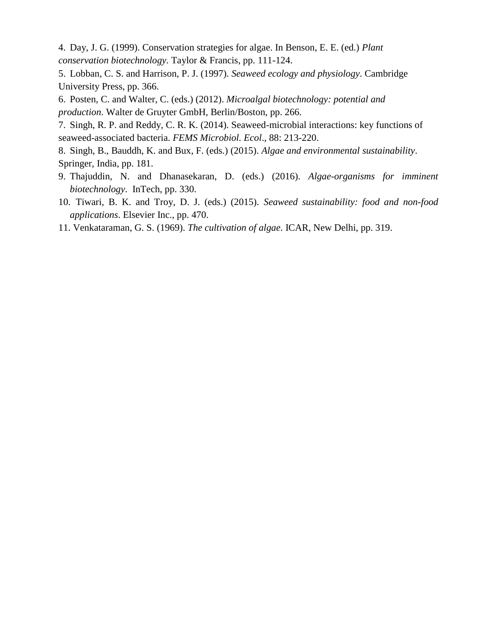4. Day, J. G. (1999). Conservation strategies for algae. In Benson, E. E. (ed.) *Plant conservation biotechnology*. Taylor & Francis, pp. 111-124.

5. Lobban, C. S. and Harrison, P. J. (1997). *Seaweed ecology and physiology*. Cambridge University Press, pp. 366.

6. Posten, C. and Walter, C. (eds.) (2012). *Microalgal biotechnology: potential and production*. Walter de Gruyter GmbH, Berlin/Boston, pp. 266.

7. Singh, R. P. and Reddy, C. R. K. (2014). Seaweed-microbial interactions: key functions of seaweed-associated bacteria. *FEMS Microbiol. Ecol*., 88: 213-220.

8. Singh, B., Bauddh, K. and Bux, F. (eds.) (2015). *Algae and environmental sustainability*. Springer, India, pp. 181.

- 9. Thajuddin, N. and Dhanasekaran, D. (eds.) (2016). *Algae-organisms for imminent biotechnology*. InTech, pp. 330.
- 10. Tiwari, B. K. and Troy, D. J. (eds.) (2015). *Seaweed sustainability: food and non-food applications*. Elsevier Inc., pp. 470.
- 11. Venkataraman, G. S. (1969). *The cultivation of algae*. ICAR, New Delhi, pp. 319.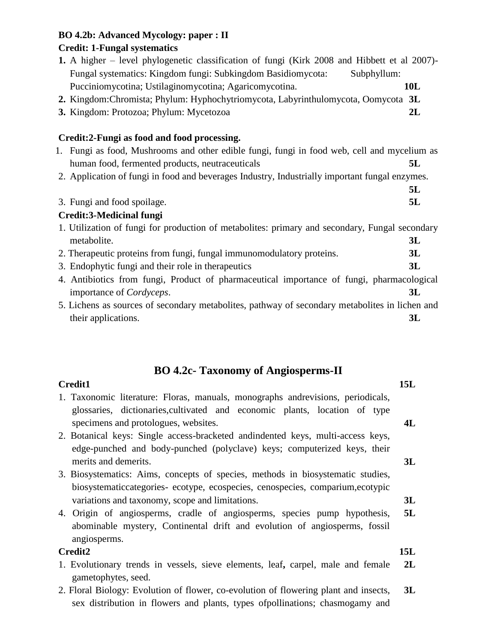## **BO 4.2b: Advanced Mycology: paper : II**

## **Credit: 1-Fungal systematics**

| 1. A higher – level phylogenetic classification of fungi (Kirk 2008 and Hibbett et al 2007)-   |            |
|------------------------------------------------------------------------------------------------|------------|
| Fungal systematics: Kingdom fungi: Subkingdom Basidiomycota:<br>Subphyllum:                    |            |
| Pucciniomycotina; Ustilaginomycotina; Agaricomycotina.                                         | <b>10L</b> |
| 2. Kingdom: Chromista; Phylum: Hyphochytriomycota, Labyrinthulomycota, Oomycota 3L             |            |
| 3. Kingdom: Protozoa; Phylum: Mycetozoa                                                        | 2L         |
| Credit:2-Fungi as food and food processing.                                                    |            |
| 1. Fungi as food, Mushrooms and other edible fungi, fungi in food web, cell and mycelium as    |            |
| human food, fermented products, neutraceuticals                                                | 5L         |
| 2. Application of fungi in food and beverages Industry, Industrially important fungal enzymes. |            |
|                                                                                                | 5L         |
| 3. Fungi and food spoilage.                                                                    | 5L         |
| <b>Credit:3-Medicinal fungi</b>                                                                |            |
| 1. Utilization of fungi for production of metabolites: primary and secondary, Fungal secondary |            |
| metabolite.                                                                                    | 3L         |
| 2. Therapeutic proteins from fungi, fungal immunomodulatory proteins.                          | 3L         |
| 3. Endophytic fungi and their role in therapeutics                                             | 3L         |
| 4. Antibiotics from fungi, Product of pharmaceutical importance of fungi, pharmacological      |            |
| importance of <i>Cordyceps</i> .                                                               | 3L         |
| 5. Lichens as sources of secondary metabolites, pathway of secondary metabolites in lichen and |            |
| their applications.                                                                            | 3L         |
|                                                                                                |            |

## **BO 4.2c- Taxonomy of Angiosperms-II**

- **Credit1 15L** 1. Taxonomic literature: Floras, manuals, monographs andrevisions, periodicals, glossaries, dictionaries,cultivated and economic plants, location of type specimens and protologues, websites. **4L**
- 2. Botanical keys: Single access-bracketed andindented keys, multi-access keys, edge-punched and body-punched (polyclave) keys; computerized keys, their merits and demerits. **3L**
- 3. Biosystematics: Aims, concepts of species, methods in biosystematic studies, biosystematiccategories- ecotype, ecospecies, cenospecies, comparium,ecotypic variations and taxonomy, scope and limitations. **3L**
- 4. Origin of angiosperms, cradle of angiosperms, species pump hypothesis, abominable mystery, Continental drift and evolution of angiosperms, fossil angiosperms. **5L**

### **Credit2 15L**

- 1. Evolutionary trends in vessels, sieve elements, leaf**,** carpel, male and female gametophytes, seed. **2L**
- 2. Floral Biology: Evolution of flower, co-evolution of flowering plant and insects, sex distribution in flowers and plants, types ofpollinations; chasmogamy and **3L**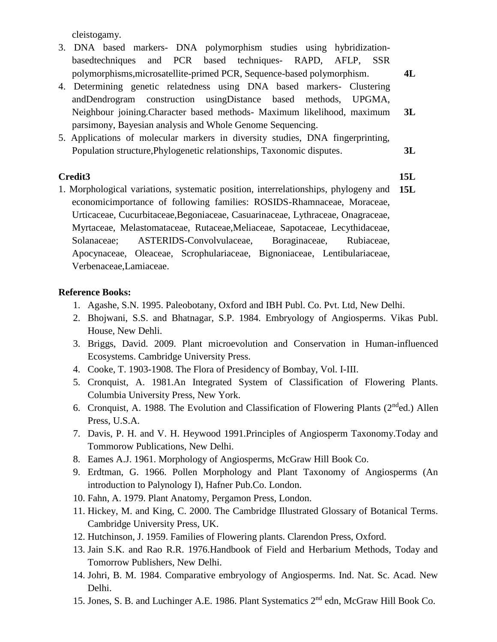cleistogamy.

- 3. DNA based markers- DNA polymorphism studies using hybridizationbasedtechniques and PCR based techniques- RAPD, AFLP, SSR polymorphisms,microsatellite-primed PCR, Sequence-based polymorphism. **4L**
- 4. Determining genetic relatedness using DNA based markers- Clustering andDendrogram construction usingDistance based methods, UPGMA, Neighbour joining.Character based methods- Maximum likelihood, maximum parsimony, Bayesian analysis and Whole Genome Sequencing. **3L**
- 5. Applications of molecular markers in diversity studies, DNA fingerprinting, Population structure,Phylogenetic relationships, Taxonomic disputes. **3L**

#### **Credit3 15L**

- 
- 1. Morphological variations, systematic position, interrelationships, phylogeny and economicimportance of following families: ROSIDS-Rhamnaceae, Moraceae, Urticaceae, Cucurbitaceae,Begoniaceae, Casuarinaceae, Lythraceae, Onagraceae, Myrtaceae, Melastomataceae, Rutaceae,Meliaceae, Sapotaceae, Lecythidaceae, Solanaceae; ASTERIDS-Convolvulaceae, Boraginaceae, Rubiaceae, Apocynaceae, Oleaceae, Scrophulariaceae, Bignoniaceae, Lentibulariaceae, Verbenaceae,Lamiaceae. **15L**

#### **Reference Books:**

- 1. Agashe, S.N. 1995. Paleobotany, Oxford and IBH Publ. Co. Pvt. Ltd, New Delhi.
- 2. Bhojwani, S.S. and Bhatnagar, S.P. 1984. Embryology of Angiosperms. Vikas Publ. House, New Dehli.
- 3. Briggs, David. 2009. Plant microevolution and Conservation in Human-influenced Ecosystems. Cambridge University Press.
- 4. Cooke, T. 1903-1908. The Flora of Presidency of Bombay, Vol. I-III.
- 5. Cronquist, A. 1981.An Integrated System of Classification of Flowering Plants. Columbia University Press, New York.
- 6. Cronquist, A. 1988. The Evolution and Classification of Flowering Plants ( $2^{nd}$ ed.) Allen Press, U.S.A.
- 7. Davis, P. H. and V. H. Heywood 1991.Principles of Angiosperm Taxonomy.Today and Tommorow Publications, New Delhi.
- 8. Eames A.J. 1961. Morphology of Angiosperms, McGraw Hill Book Co.
- 9. Erdtman, G. 1966. Pollen Morphology and Plant Taxonomy of Angiosperms (An introduction to Palynology I), Hafner Pub.Co. London.
- 10. Fahn, A. 1979. Plant Anatomy, Pergamon Press, London.
- 11. Hickey, M. and King, C. 2000. The Cambridge Illustrated Glossary of Botanical Terms. Cambridge University Press, UK.
- 12. Hutchinson, J. 1959. Families of Flowering plants. Clarendon Press, Oxford.
- 13. Jain S.K. and Rao R.R. 1976.Handbook of Field and Herbarium Methods, Today and Tomorrow Publishers, New Delhi.
- 14. Johri, B. M. 1984. Comparative embryology of Angiosperms. Ind. Nat. Sc. Acad. New Delhi.
- 15. Jones, S. B. and Luchinger A.E. 1986. Plant Systematics 2nd edn, McGraw Hill Book Co.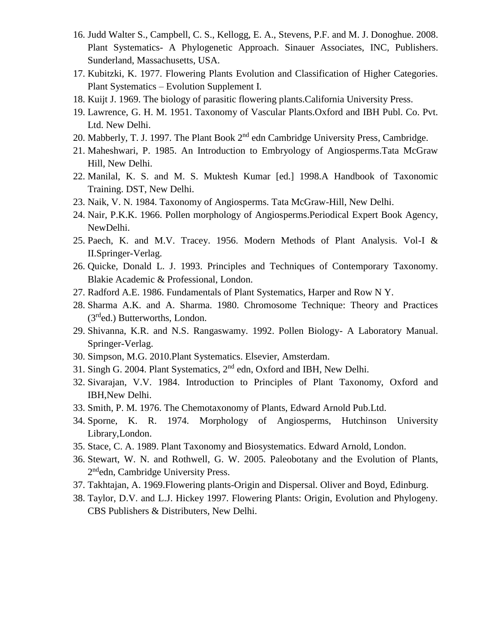- 16. Judd Walter S., Campbell, C. S., Kellogg, E. A., Stevens, P.F. and M. J. Donoghue. 2008. Plant Systematics- A Phylogenetic Approach. Sinauer Associates, INC, Publishers. Sunderland, Massachusetts, USA.
- 17. Kubitzki, K. 1977. Flowering Plants Evolution and Classification of Higher Categories. Plant Systematics – Evolution Supplement I.
- 18. Kuijt J. 1969. The biology of parasitic flowering plants.California University Press.
- 19. Lawrence, G. H. M. 1951. Taxonomy of Vascular Plants.Oxford and IBH Publ. Co. Pvt. Ltd. New Delhi.
- 20. Mabberly, T. J. 1997. The Plant Book 2<sup>nd</sup> edn Cambridge University Press, Cambridge.
- 21. Maheshwari, P. 1985. An Introduction to Embryology of Angiosperms.Tata McGraw Hill, New Delhi.
- 22. Manilal, K. S. and M. S. Muktesh Kumar [ed.] 1998.A Handbook of Taxonomic Training. DST, New Delhi.
- 23. Naik, V. N. 1984. Taxonomy of Angiosperms. Tata McGraw-Hill, New Delhi.
- 24. Nair, P.K.K. 1966. Pollen morphology of Angiosperms.Periodical Expert Book Agency, NewDelhi.
- 25. Paech, K. and M.V. Tracey. 1956. Modern Methods of Plant Analysis. Vol-I & II.Springer-Verlag.
- 26. Quicke, Donald L. J. 1993. Principles and Techniques of Contemporary Taxonomy. Blakie Academic & Professional, London.
- 27. Radford A.E. 1986. Fundamentals of Plant Systematics, Harper and Row N Y.
- 28. Sharma A.K. and A. Sharma. 1980. Chromosome Technique: Theory and Practices  $(3<sup>rd</sup>ed.)$  Butterworths, London.
- 29. Shivanna, K.R. and N.S. Rangaswamy. 1992. Pollen Biology- A Laboratory Manual. Springer-Verlag.
- 30. Simpson, M.G. 2010.Plant Systematics. Elsevier, Amsterdam.
- 31. Singh G. 2004. Plant Systematics, 2<sup>nd</sup> edn, Oxford and IBH, New Delhi.
- 32. Sivarajan, V.V. 1984. Introduction to Principles of Plant Taxonomy, Oxford and IBH,New Delhi.
- 33. Smith, P. M. 1976. The Chemotaxonomy of Plants, Edward Arnold Pub.Ltd.
- 34. Sporne, K. R. 1974. Morphology of Angiosperms, Hutchinson University Library,London.
- 35. Stace, C. A. 1989. Plant Taxonomy and Biosystematics. Edward Arnold, London.
- 36. Stewart, W. N. and Rothwell, G. W. 2005. Paleobotany and the Evolution of Plants, 2<sup>nd</sup>edn, Cambridge University Press.
- 37. Takhtajan, A. 1969.Flowering plants-Origin and Dispersal. Oliver and Boyd, Edinburg.
- 38. Taylor, D.V. and L.J. Hickey 1997. Flowering Plants: Origin, Evolution and Phylogeny. CBS Publishers & Distributers, New Delhi.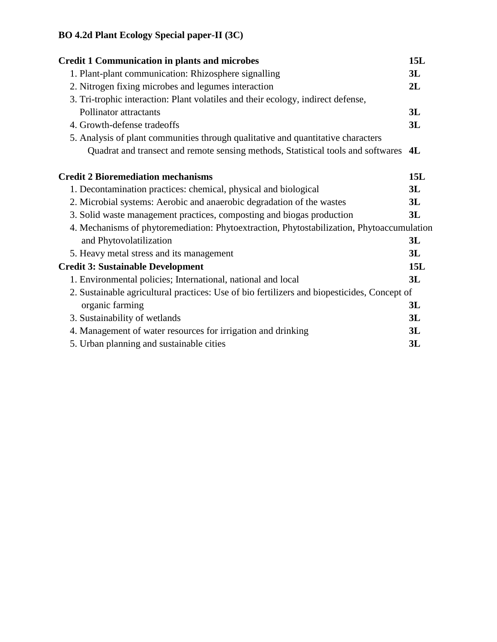# **BO 4.2d Plant Ecology Special paper-II (3C)**

| <b>Credit 1 Communication in plants and microbes</b>                                                           |     |
|----------------------------------------------------------------------------------------------------------------|-----|
| 1. Plant-plant communication: Rhizosphere signalling                                                           | 3L  |
| 2. Nitrogen fixing microbes and legumes interaction                                                            | 2L  |
| 3. Tri-trophic interaction: Plant volatiles and their ecology, indirect defense,                               |     |
| Pollinator attractants                                                                                         | 3L  |
| 4. Growth-defense tradeoffs                                                                                    | 3L  |
| 5. Analysis of plant communities through qualitative and quantitative characters                               |     |
| Quadrat and transect and remote sensing methods, Statistical tools and softwares                               | 4L  |
| <b>Credit 2 Bioremediation mechanisms</b>                                                                      | 15L |
| 1. Decontamination practices: chemical, physical and biological                                                | 3L  |
| 2. Microbial systems: Aerobic and anaerobic degradation of the wastes                                          | 3L  |
| 3. Solid waste management practices, composting and biogas production                                          | 3L  |
| 4. Mechanisms of phytoremediation: Phytoextraction, Phytostabilization, Phytoaccumulation                      |     |
| and Phytovolatilization                                                                                        | 3L  |
| 5. Heavy metal stress and its management                                                                       | 3L  |
| <b>Credit 3: Sustainable Development</b>                                                                       | 15L |
| 1. Environmental policies; International, national and local                                                   | 3L  |
| 2. Sustainable agricultural practices: Use of bio fertilizers and biopesticides, Concept of<br>organic farming | 3L  |
|                                                                                                                | 3L  |
| 3. Sustainability of wetlands                                                                                  | 3L  |
| 4. Management of water resources for irrigation and drinking                                                   |     |
| 5. Urban planning and sustainable cities                                                                       | 3L  |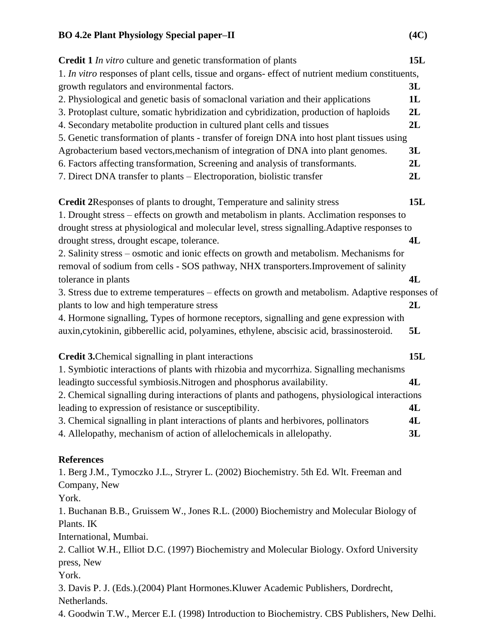| <b>Credit 1</b> In vitro culture and genetic transformation of plants                            | 15L        |
|--------------------------------------------------------------------------------------------------|------------|
| 1. In vitro responses of plant cells, tissue and organs- effect of nutrient medium constituents, |            |
| growth regulators and environmental factors.                                                     | 3L         |
| 2. Physiological and genetic basis of somaclonal variation and their applications                | 1L         |
| 3. Protoplast culture, somatic hybridization and cybridization, production of haploids           | 2L         |
| 4. Secondary metabolite production in cultured plant cells and tissues                           | 2L         |
| 5. Genetic transformation of plants - transfer of foreign DNA into host plant tissues using      |            |
| Agrobacterium based vectors, mechanism of integration of DNA into plant genomes.                 | 3L         |
| 6. Factors affecting transformation, Screening and analysis of transformants.                    | 2L         |
| 7. Direct DNA transfer to plants - Electroporation, biolistic transfer                           | 2L         |
| <b>Credit 2Responses of plants to drought, Temperature and salinity stress</b>                   | <b>15L</b> |
| 1. Drought stress – effects on growth and metabolism in plants. Acclimation responses to         |            |
| drought stress at physiological and molecular level, stress signalling. Adaptive responses to    |            |
| drought stress, drought escape, tolerance.                                                       | 4L         |
| 2. Salinity stress – osmotic and ionic effects on growth and metabolism. Mechanisms for          |            |
| removal of sodium from cells - SOS pathway, NHX transporters. Improvement of salinity            |            |
| tolerance in plants                                                                              | 4L         |
| 3. Stress due to extreme temperatures – effects on growth and metabolism. Adaptive responses of  |            |
| plants to low and high temperature stress                                                        | 2L         |
| 4. Hormone signalling, Types of hormone receptors, signalling and gene expression with           |            |
| auxin, cytokinin, gibberellic acid, polyamines, ethylene, abscisic acid, brassinosteroid.        | 5L         |
| <b>Credit 3.</b> Chemical signalling in plant interactions                                       | 15L        |
| 1. Symbiotic interactions of plants with rhizobia and mycorrhiza. Signalling mechanisms          |            |
| leadingto successful symbiosis. Nitrogen and phosphorus availability.                            | 4L         |
| 2. Chemical signalling during interactions of plants and pathogens, physiological interactions   |            |
| leading to expression of resistance or susceptibility.                                           | 4L         |
| 3. Chemical signalling in plant interactions of plants and herbivores, pollinators               | 4L         |
| 4. Allelopathy, mechanism of action of allelochemicals in allelopathy.                           | 3L         |
| <b>References</b>                                                                                |            |
| 1. Berg J.M., Tymoczko J.L., Stryrer L. (2002) Biochemistry. 5th Ed. Wlt. Freeman and            |            |
| Company, New                                                                                     |            |
| York.                                                                                            |            |
| 1. Buchanan B.B., Gruissem W., Jones R.L. (2000) Biochemistry and Molecular Biology of           |            |

Plants. IK

International, Mumbai.

2. Calliot W.H., Elliot D.C. (1997) Biochemistry and Molecular Biology. Oxford University press, New

York.

3. Davis P. J. (Eds.).(2004) Plant Hormones.Kluwer Academic Publishers, Dordrecht, Netherlands.

4. Goodwin T.W., Mercer E.I. (1998) Introduction to Biochemistry. CBS Publishers, New Delhi.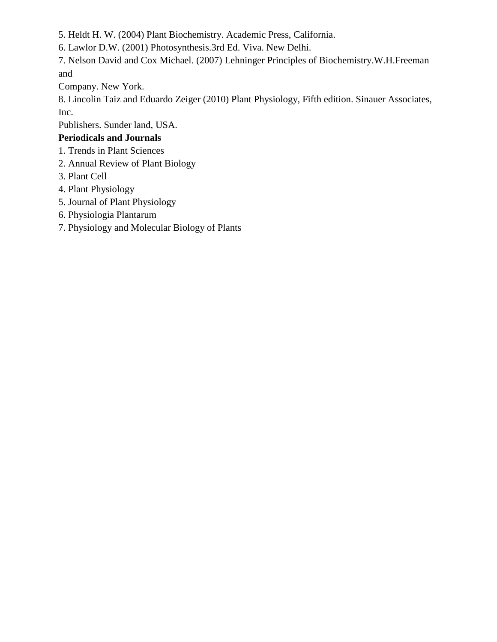5. Heldt H. W. (2004) Plant Biochemistry. Academic Press, California.

6. Lawlor D.W. (2001) Photosynthesis.3rd Ed. Viva. New Delhi.

7. Nelson David and Cox Michael. (2007) Lehninger Principles of Biochemistry.W.H.Freeman and

Company. New York.

8. Lincolin Taiz and Eduardo Zeiger (2010) Plant Physiology, Fifth edition. Sinauer Associates, Inc.

Publishers. Sunder land, USA.

## **Periodicals and Journals**

- 1. Trends in Plant Sciences
- 2. Annual Review of Plant Biology
- 3. Plant Cell
- 4. Plant Physiology
- 5. Journal of Plant Physiology
- 6. Physiologia Plantarum
- 7. Physiology and Molecular Biology of Plants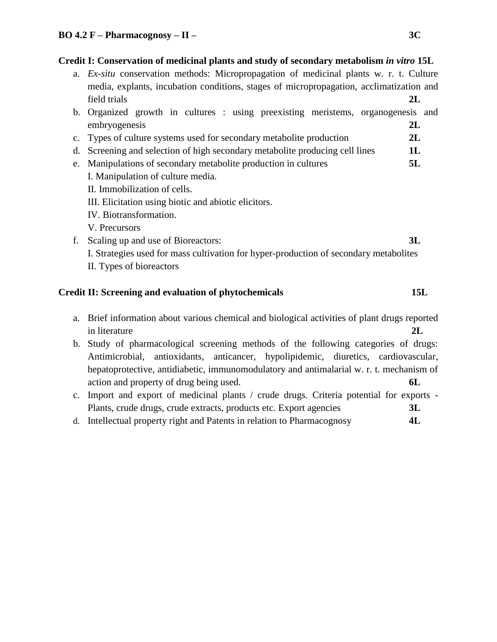#### **Credit I: Conservation of medicinal plants and study of secondary metabolism** *in vitro* **15L**

- a. *Ex-situ* conservation methods: Micropropagation of medicinal plants w. r. t. Culture media, explants, incubation conditions, stages of micropropagation, acclimatization and field trials **2L**
- b. Organized growth in cultures : using preexisting meristems, organogenesis and embryogenesis **2L**
- c. Types of culture systems used for secondary metabolite production **2L**
- d. Screening and selection of high secondary metabolite producing cell lines **1L**
- e. Manipulations of secondary metabolite production in cultures **5L** I. Manipulation of culture media.
	- II. Immobilization of cells.
	- III. Elicitation using biotic and abiotic elicitors.
	- IV. Biotransformation.
	- V. Precursors
- f. Scaling up and use of Bioreactors: **3L** I. Strategies used for mass cultivation for hyper-production of secondary metabolites II. Types of bioreactors

### **Credit II: Screening and evaluation of phytochemicals 15L**

- a. Brief information about various chemical and biological activities of plant drugs reported in literature **2L**
- b. Study of pharmacological screening methods of the following categories of drugs: Antimicrobial, antioxidants, anticancer, hypolipidemic, diuretics, cardiovascular, hepatoprotective, antidiabetic, immunomodulatory and antimalarial w. r. t. mechanism of action and property of drug being used. **6L**
- c. Import and export of medicinal plants / crude drugs. Criteria potential for exports Plants, crude drugs, crude extracts, products etc. Export agencies **3L**
- d. Intellectual property right and Patents in relation to Pharmacognosy **4L**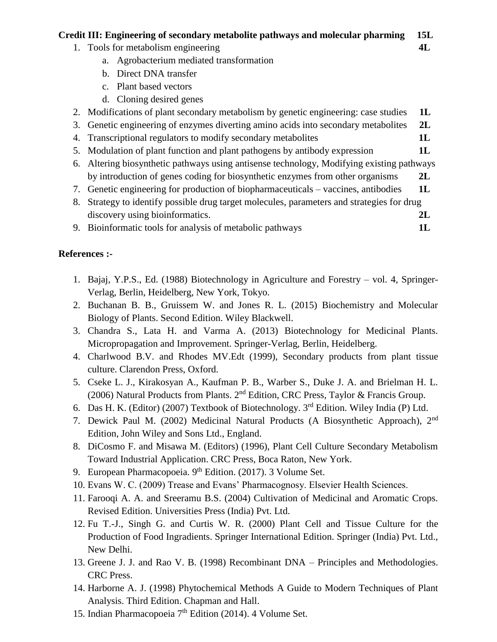#### **Credit III: Engineering of secondary metabolite pathways and molecular pharming 15L**

- 1. Tools for metabolism engineering **4L**
	- a. Agrobacterium mediated transformation
	- b. Direct DNA transfer
	- c. Plant based vectors
	- d. Cloning desired genes
- 2. Modifications of plant secondary metabolism by genetic engineering: case studies **1L**
- 3. Genetic engineering of enzymes diverting amino acids into secondary metabolites **2L**
- 4. Transcriptional regulators to modify secondary metabolites **1L**
- 5. Modulation of plant function and plant pathogens by antibody expression **1L**
- 6. Altering biosynthetic pathways using antisense technology, Modifying existing pathways by introduction of genes coding for biosynthetic enzymes from other organisms **2L**
- 7. Genetic engineering for production of biopharmaceuticals vaccines, antibodies **1L**
- 8. Strategy to identify possible drug target molecules, parameters and strategies for drug discovery using bioinformatics. **2L** and  $\alpha$
- 9. Bioinformatic tools for analysis of metabolic pathways **1L**

#### **References :-**

- 1. Bajaj, Y.P.S., Ed. (1988) Biotechnology in Agriculture and Forestry vol. 4, Springer-Verlag, Berlin, Heidelberg, New York, Tokyo.
- 2. Buchanan B. B., Gruissem W. and Jones R. L. (2015) Biochemistry and Molecular Biology of Plants. Second Edition. Wiley Blackwell.
- 3. Chandra S., Lata H. and Varma A. (2013) Biotechnology for Medicinal Plants. Micropropagation and Improvement. Springer-Verlag, Berlin, Heidelberg.
- 4. Charlwood B.V. and Rhodes MV.Edt (1999), Secondary products from plant tissue culture. Clarendon Press, Oxford.
- 5. Cseke L. J., Kirakosyan A., Kaufman P. B., Warber S., Duke J. A. and Brielman H. L. (2006) Natural Products from Plants.  $2<sup>nd</sup>$  Edition, CRC Press, Taylor & Francis Group.
- 6. Das H. K. (Editor) (2007) Textbook of Biotechnology.  $3<sup>rd</sup>$  Edition. Wiley India (P) Ltd.
- 7. Dewick Paul M. (2002) Medicinal Natural Products (A Biosynthetic Approach), 2nd Edition, John Wiley and Sons Ltd., England.
- 8. DiCosmo F. and Misawa M. (Editors) (1996), Plant Cell Culture Secondary Metabolism Toward Industrial Application. CRC Press, Boca Raton, New York.
- 9. European Pharmacopoeia.  $9<sup>th</sup>$  Edition. (2017). 3 Volume Set.
- 10. Evans W. C. (2009) Trease and Evans' Pharmacognosy. Elsevier Health Sciences.
- 11. Farooqi A. A. and Sreeramu B.S. (2004) Cultivation of Medicinal and Aromatic Crops. Revised Edition. Universities Press (India) Pvt. Ltd.
- 12. Fu T.-J., Singh G. and Curtis W. R. (2000) Plant Cell and Tissue Culture for the Production of Food Ingradients. Springer International Edition. Springer (India) Pvt. Ltd., New Delhi.
- 13. Greene J. J. and Rao V. B. (1998) Recombinant DNA Principles and Methodologies. CRC Press.
- 14. Harborne A. J. (1998) Phytochemical Methods A Guide to Modern Techniques of Plant Analysis. Third Edition. Chapman and Hall.
- 15. Indian Pharmacopoeia  $7<sup>th</sup>$  Edition (2014). 4 Volume Set.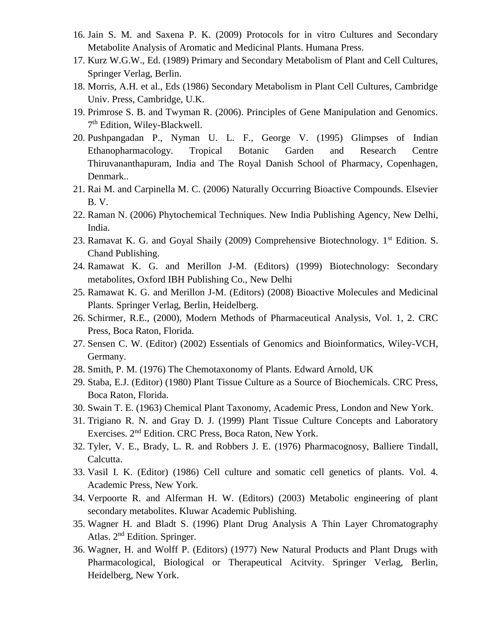- 16. Jain S. M. and Saxena P. K. (2009) Protocols for in vitro Cultures and Secondary Metabolite Analysis of Aromatic and Medicinal Plants. Humana Press.
- 17. Kurz W.G.W., Ed. (1989) Primary and Secondary Metabolism of Plant and Cell Cultures, Springer Verlag, Berlin.
- 18. Morris, A.H. et al., Eds (1986) Secondary Metabolism in Plant Cell Cultures, Cambridge Univ. Press, Cambridge, U.K.
- 19. Primrose S. B. and Twyman R. (2006). Principles of Gene Manipulation and Genomics. 7<sup>th</sup> Edition, Wiley-Blackwell.
- 20. Pushpangadan P., Nyman U. L. F., George V. (1995) Glimpses of Indian Ethanopharmacology. Tropical Botanic Garden and Research Centre Thiruvananthapuram, India and The Royal Danish School of Pharmacy, Copenhagen, Denmark..
- 21. Rai M. and Carpinella M. C. (2006) Naturally Occurring Bioactive Compounds. Elsevier B. V.
- 22. Raman N. (2006) Phytochemical Techniques. New India Publishing Agency, New Delhi, India.
- 23. Ramavat K. G. and Goyal Shaily (2009) Comprehensive Biotechnology. 1<sup>st</sup> Edition. S. Chand Publishing.
- 24. Ramawat K. G. and Merillon J-M. (Editors) (1999) Biotechnology: Secondary metabolites, Oxford IBH Publishing Co., New Delhi
- 25. Ramawat K. G. and Merillon J-M. (Editors) (2008) Bioactive Molecules and Medicinal Plants. Springer Verlag, Berlin, Heidelberg.
- 26. Schirmer, R.E., (2000), Modern Methods of Pharmaceutical Analysis, Vol. 1, 2. CRC Press, Boca Raton, Florida.
- 27. Sensen C. W. (Editor) (2002) Essentials of Genomics and Bioinformatics, Wiley-VCH, Germany.
- 28. Smith, P. M. (1976) The Chemotaxonomy of Plants. Edward Arnold, UK
- 29. Staba, E.J. (Editor) (1980) Plant Tissue Culture as a Source of Biochemicals. CRC Press, Boca Raton, Florida.
- 30. Swain T. E. (1963) Chemical Plant Taxonomy, Academic Press, London and New York.
- 31. Trigiano R. N. and Gray D. J. (1999) Plant Tissue Culture Concepts and Laboratory Exercises. 2nd Edition. CRC Press, Boca Raton, New York.
- 32. Tyler, V. E., Brady, L. R. and Robbers J. E. (1976) Pharmacognosy, Balliere Tindall, Calcutta.
- 33. Vasil I. K. (Editor) (1986) Cell culture and somatic cell genetics of plants. Vol. 4. Academic Press, New York.
- 34. Verpoorte R. and Alferman H. W. (Editors) (2003) Metabolic engineering of plant secondary metabolites. Kluwar Academic Publishing.
- 35. Wagner H. and Bladt S. (1996) Plant Drug Analysis A Thin Layer Chromatography Atlas. 2<sup>nd</sup> Edition. Springer.
- 36. Wagner, H. and Wolff P. (Editors) (1977) New Natural Products and Plant Drugs with Pharmacological, Biological or Therapeutical Acitvity. Springer Verlag, Berlin, Heidelberg, New York.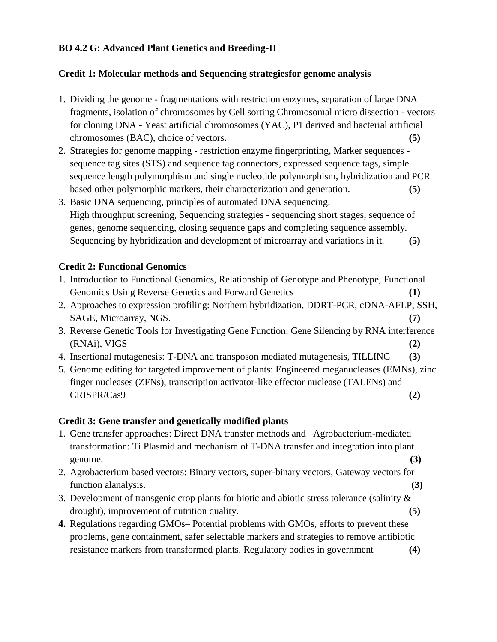#### **BO 4.2 G: Advanced Plant Genetics and Breeding-II**

#### **Credit 1: Molecular methods and Sequencing strategiesfor genome analysis**

- 1. Dividing the genome fragmentations with restriction enzymes, separation of large DNA fragments, isolation of chromosomes by Cell sorting Chromosomal micro dissection - vectors for cloning DNA - Yeast artificial chromosomes (YAC), P1 derived and bacterial artificial chromosomes (BAC), choice of vectors**. (5)**
- 2. Strategies for genome mapping restriction enzyme fingerprinting, Marker sequences sequence tag sites (STS) and sequence tag connectors, expressed sequence tags, simple sequence length polymorphism and single nucleotide polymorphism, hybridization and PCR based other polymorphic markers, their characterization and generation. **(5)**
- 3. Basic DNA sequencing, principles of automated DNA sequencing. High throughput screening, Sequencing strategies - sequencing short stages, sequence of genes, genome sequencing, closing sequence gaps and completing sequence assembly. Sequencing by hybridization and development of microarray and variations in it. **(5)**

#### **Credit 2: Functional Genomics**

- 1. Introduction to Functional Genomics, Relationship of Genotype and Phenotype, Functional Genomics Using Reverse Genetics and Forward Genetics **(1)**
- 2. Approaches to expression profiling: Northern hybridization, DDRT-PCR, cDNA-AFLP, SSH, SAGE, Microarray, NGS. **(7)**
- 3. Reverse Genetic Tools for Investigating Gene Function: Gene Silencing by RNA interference (RNAi), VIGS **(2)**
- 4. Insertional mutagenesis: T-DNA and transposon mediated mutagenesis, TILLING **(3)**
- 5. Genome editing for targeted improvement of plants: Engineered meganucleases (EMNs), zinc finger nucleases (ZFNs), transcription activator-like effector nuclease (TALENs) and CRISPR/Cas9 **(2)**

### **Credit 3: Gene transfer and genetically modified plants**

- 1. Gene transfer approaches: Direct DNA transfer methods and Agrobacterium-mediated transformation: Ti Plasmid and mechanism of T-DNA transfer and integration into plant genome. **(3)**
- 2. Agrobacterium based vectors: Binary vectors, super-binary vectors, Gateway vectors for function alanalysis. **(3)**
- 3. Development of transgenic crop plants for biotic and abiotic stress tolerance (salinity  $\&$ drought), improvement of nutrition quality. **(5)**
- **4.** Regulations regarding GMOs– Potential problems with GMOs, efforts to prevent these problems, gene containment, safer selectable markers and strategies to remove antibiotic resistance markers from transformed plants. Regulatory bodies in government **(4)**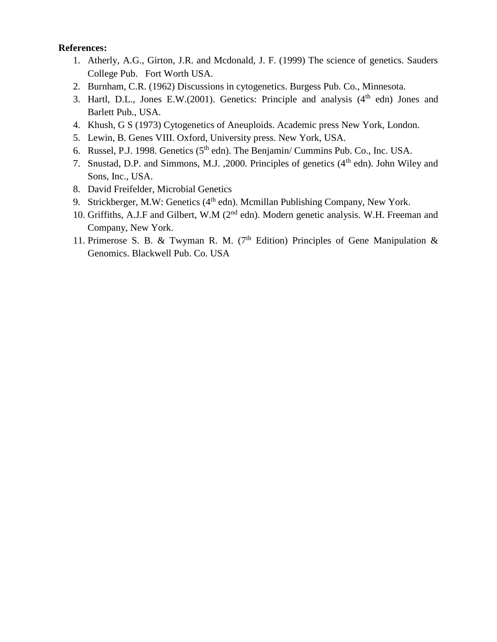#### **References:**

- 1. Atherly, A.G., Girton, J.R. and Mcdonald, J. F. (1999) The science of genetics. Sauders College Pub. Fort Worth USA.
- 2. Burnham, C.R. (1962) Discussions in cytogenetics. Burgess Pub. Co., Minnesota.
- 3. Hartl, D.L., Jones E.W.(2001). Genetics: Principle and analysis  $(4<sup>th</sup>$  edn) Jones and Barlett Pub., USA.
- 4. Khush, G S (1973) Cytogenetics of Aneuploids. Academic press New York, London.
- 5. Lewin, B. Genes VIII. Oxford, University press. New York, USA.
- 6. Russel, P.J. 1998. Genetics  $(5<sup>th</sup>$  edn). The Benjamin/ Cummins Pub. Co., Inc. USA.
- 7. Snustad, D.P. and Simmons, M.J. , 2000. Principles of genetics  $(4<sup>th</sup> edn)$ . John Wiley and Sons, Inc., USA.
- 8. David Freifelder, Microbial Genetics
- 9. Strickberger, M.W: Genetics  $(4<sup>th</sup>$  edn). Mcmillan Publishing Company, New York.
- 10. Griffiths, A.J.F and Gilbert, W.M (2<sup>nd</sup> edn). Modern genetic analysis. W.H. Freeman and Company, New York.
- 11. Primerose S. B. & Twyman R. M. ( $7<sup>th</sup>$  Edition) Principles of Gene Manipulation & Genomics. Blackwell Pub. Co. USA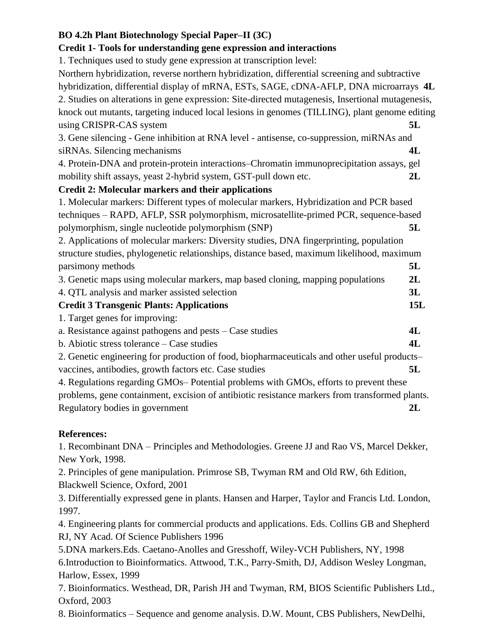### **BO 4.2h Plant Biotechnology Special Paper–II (3C)**

#### **Credit 1- Tools for understanding gene expression and interactions**

1. Techniques used to study gene expression at transcription level:

Northern hybridization, reverse northern hybridization, differential screening and subtractive hybridization, differential display of mRNA, ESTs, SAGE, cDNA-AFLP, DNA microarrays **4L** 2. Studies on alterations in gene expression: Site-directed mutagenesis, Insertional mutagenesis, knock out mutants, targeting induced local lesions in genomes (TILLING), plant genome editing using CRISPR-CAS system **5L**

3. Gene silencing - Gene inhibition at RNA level - antisense, co-suppression, miRNAs and siRNAs. Silencing mechanisms **4L**

4. Protein-DNA and protein-protein interactions–Chromatin immunoprecipitation assays, gel mobility shift assays, yeast 2-hybrid system, GST-pull down etc. **2L**

#### **Credit 2: Molecular markers and their applications**

1. Molecular markers: Different types of molecular markers, Hybridization and PCR based techniques – RAPD, AFLP, SSR polymorphism, microsatellite-primed PCR, sequence-based polymorphism, single nucleotide polymorphism (SNP) **5L**

2. Applications of molecular markers: Diversity studies, DNA fingerprinting, population structure studies, phylogenetic relationships, distance based, maximum likelihood, maximum parsimony methods **5L**

3. Genetic maps using molecular markers, map based cloning, mapping populations **2L**

- 4. QTL analysis and marker assisted selection **3L Credit 3 Transgenic Plants: Applications 15L**
	- 1. Target genes for improving:

| a. Resistance against pathogens and pests $-$ Case studies |  |
|------------------------------------------------------------|--|
| b. Abiotic stress tolerance $-$ Case studies               |  |

2. Genetic engineering for production of food, biopharmaceuticals and other useful products– vaccines, antibodies, growth factors etc. Case studies **5L**

4. Regulations regarding GMOs– Potential problems with GMOs, efforts to prevent these problems, gene containment, excision of antibiotic resistance markers from transformed plants. Regulatory bodies in government **2L**

### **References:**

1. Recombinant DNA – Principles and Methodologies. Greene JJ and Rao VS, Marcel Dekker, New York, 1998.

2. Principles of gene manipulation. Primrose SB, Twyman RM and Old RW, 6th Edition, Blackwell Science, Oxford, 2001

3. Differentially expressed gene in plants. Hansen and Harper, Taylor and Francis Ltd. London, 1997.

4. Engineering plants for commercial products and applications. Eds. Collins GB and Shepherd RJ, NY Acad. Of Science Publishers 1996

5.DNA markers.Eds. Caetano-Anolles and Gresshoff, Wiley-VCH Publishers, NY, 1998 6.Introduction to Bioinformatics. Attwood, T.K., Parry-Smith, DJ, Addison Wesley Longman, Harlow, Essex, 1999

7. Bioinformatics. Westhead, DR, Parish JH and Twyman, RM, BIOS Scientific Publishers Ltd., Oxford, 2003

8. Bioinformatics – Sequence and genome analysis. D.W. Mount, CBS Publishers, NewDelhi,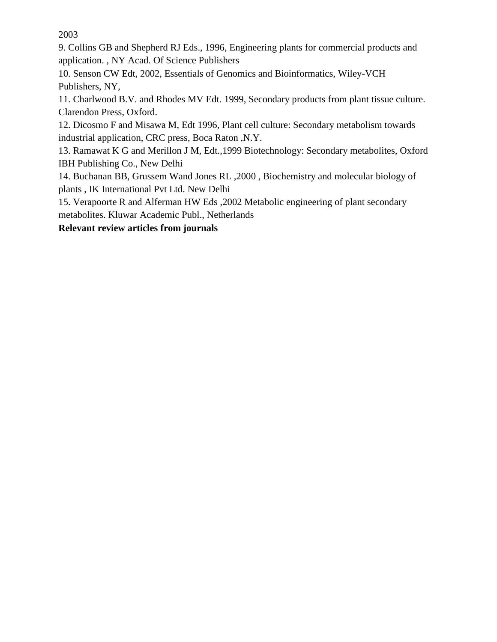2003

9. Collins GB and Shepherd RJ Eds., 1996, Engineering plants for commercial products and application. , NY Acad. Of Science Publishers

10. Senson CW Edt, 2002, Essentials of Genomics and Bioinformatics, Wiley-VCH Publishers, NY,

11. Charlwood B.V. and Rhodes MV Edt. 1999, Secondary products from plant tissue culture. Clarendon Press, Oxford.

12. Dicosmo F and Misawa M, Edt 1996, Plant cell culture: Secondary metabolism towards industrial application, CRC press, Boca Raton ,N.Y.

13. Ramawat K G and Merillon J M, Edt.,1999 Biotechnology: Secondary metabolites, Oxford IBH Publishing Co., New Delhi

14. Buchanan BB, Grussem Wand Jones RL ,2000 , Biochemistry and molecular biology of plants , IK International Pvt Ltd. New Delhi

15. Verapoorte R and Alferman HW Eds ,2002 Metabolic engineering of plant secondary metabolites. Kluwar Academic Publ., Netherlands

### **Relevant review articles from journals**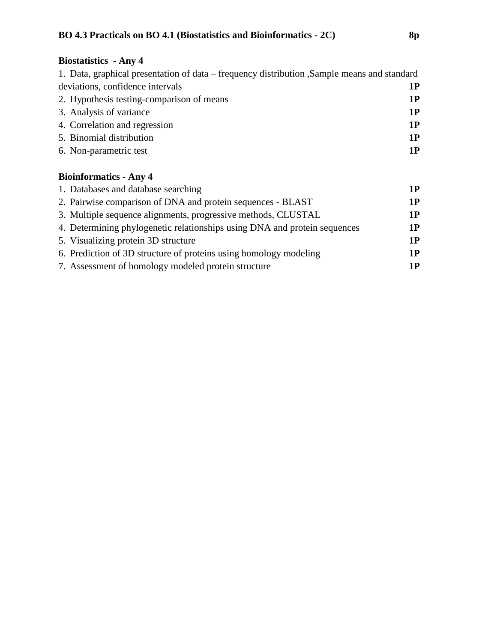# **Biostatistics - Any 4**

| 1. Data, graphical presentation of data – frequency distribution , Sample means and standard |    |
|----------------------------------------------------------------------------------------------|----|
| deviations, confidence intervals                                                             | 1P |
| 2. Hypothesis testing-comparison of means                                                    | 1P |
| 3. Analysis of variance                                                                      | 1P |
| 4. Correlation and regression                                                                | 1P |
| 5. Binomial distribution                                                                     | 1P |
| 6. Non-parametric test                                                                       | 1P |

## **Bioinformatics - Any 4**

| 1. Databases and database searching                                       | 1P |
|---------------------------------------------------------------------------|----|
| 2. Pairwise comparison of DNA and protein sequences - BLAST               | 1P |
| 3. Multiple sequence alignments, progressive methods, CLUSTAL             | 1P |
| 4. Determining phylogenetic relationships using DNA and protein sequences | 1P |
| 5. Visualizing protein 3D structure                                       | 1P |
| 6. Prediction of 3D structure of proteins using homology modeling         | 1P |
| 7. Assessment of homology modeled protein structure                       | 1P |
|                                                                           |    |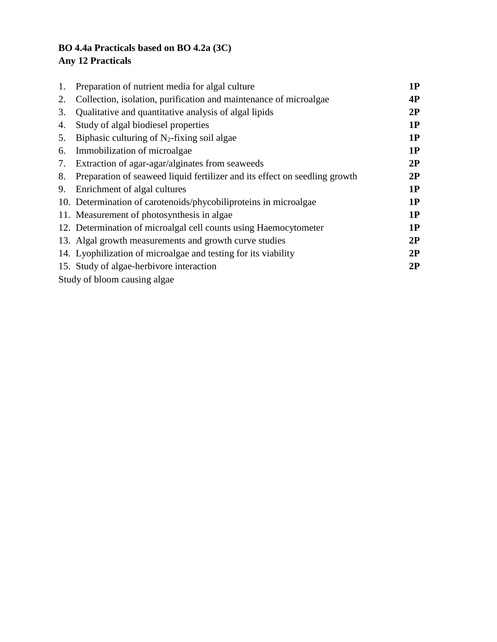## **BO 4.4a Practicals based on BO 4.2a (3C) Any 12 Practicals**

| 1. | Preparation of nutrient media for algal culture                            | 1P |
|----|----------------------------------------------------------------------------|----|
| 2. | Collection, isolation, purification and maintenance of microalgae          | 4P |
| 3. | Qualitative and quantitative analysis of algal lipids                      | 2P |
| 4. | Study of algal biodiesel properties                                        | 1P |
| 5. | Biphasic culturing of $N_2$ -fixing soil algae                             | 1P |
| 6. | Immobilization of microalgae                                               | 1P |
| 7. | Extraction of agar-agar/alginates from seaweeds                            | 2P |
| 8. | Preparation of seaweed liquid fertilizer and its effect on seedling growth | 2P |
| 9. | Enrichment of algal cultures                                               | 1P |
|    | 10. Determination of carotenoids/phycobiliproteins in microalgae           | 1P |
|    | 11. Measurement of photosynthesis in algae                                 | 1P |
|    | 12. Determination of microalgal cell counts using Haemocytometer           | 1P |
|    | 13. Algal growth measurements and growth curve studies                     | 2P |
|    | 14. Lyophilization of microalgae and testing for its viability             | 2P |
|    | 15. Study of algae-herbivore interaction                                   | 2P |
|    | Study of bloom causing algae.                                              |    |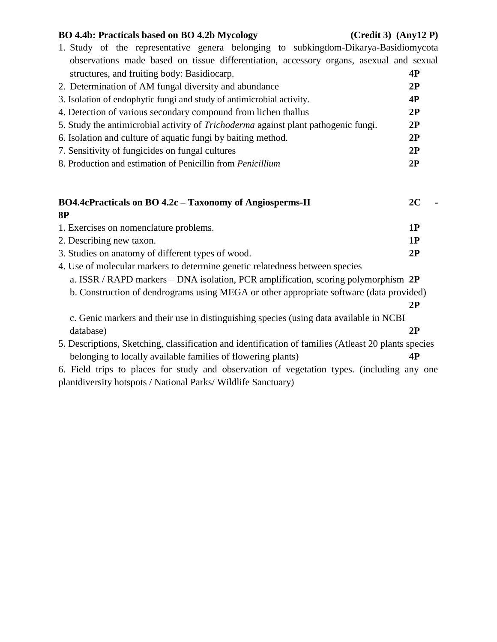#### **BO 4.4b: Practicals based on BO 4.2b Mycology (Credit 3) (Any12 P)**

| 1. Study of the representative genera belonging to subkingdom-Dikarya-Basidiomycota                  |    |  |
|------------------------------------------------------------------------------------------------------|----|--|
| observations made based on tissue differentiation, accessory organs, asexual and sexual              |    |  |
| structures, and fruiting body: Basidiocarp.                                                          | 4P |  |
| 2. Determination of AM fungal diversity and abundance                                                |    |  |
| 3. Isolation of endophytic fungi and study of antimicrobial activity.                                | 4P |  |
| 4. Detection of various secondary compound from lichen thallus                                       | 2P |  |
| 5. Study the antimicrobial activity of <i>Trichoderma</i> against plant pathogenic fungi.            | 2P |  |
| 6. Isolation and culture of aquatic fungi by baiting method.                                         | 2P |  |
| 7. Sensitivity of fungicides on fungal cultures                                                      | 2P |  |
| 8. Production and estimation of Penicillin from Penicillium                                          | 2P |  |
|                                                                                                      |    |  |
|                                                                                                      |    |  |
| BO4.4cPracticals on BO 4.2c - Taxonomy of Angiosperms-II                                             | 2C |  |
| <b>8P</b>                                                                                            |    |  |
| 1. Exercises on nomenclature problems.                                                               | 1P |  |
| 2. Describing new taxon.                                                                             | 1P |  |
| 3. Studies on anatomy of different types of wood.                                                    | 2P |  |
| 4. Use of molecular markers to determine genetic relatedness between species                         |    |  |
| a. ISSR / RAPD markers - DNA isolation, PCR amplification, scoring polymorphism 2P                   |    |  |
| b. Construction of dendrograms using MEGA or other appropriate software (data provided)              |    |  |
|                                                                                                      | 2P |  |
| c. Genic markers and their use in distinguishing species (using data available in NCBI               |    |  |
| database)                                                                                            | 2P |  |
| 5. Descriptions, Sketching, classification and identification of families (Atleast 20 plants species |    |  |
| belonging to locally available families of flowering plants)                                         | 4P |  |
| 6. Field trips to places for study and observation of vegetation types. (including any one           |    |  |
| plantdiversity hotspots / National Parks/ Wildlife Sanctuary)                                        |    |  |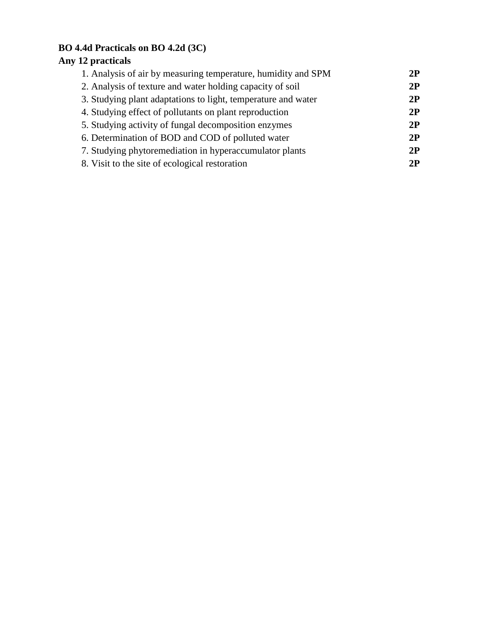## **BO 4.4d Practicals on BO 4.2d (3C)**

# **Any 12 practicals**

| 1. Analysis of air by measuring temperature, humidity and SPM | 2P |
|---------------------------------------------------------------|----|
| 2. Analysis of texture and water holding capacity of soil     | 2P |
| 3. Studying plant adaptations to light, temperature and water | 2P |
| 4. Studying effect of pollutants on plant reproduction        | 2P |
| 5. Studying activity of fungal decomposition enzymes          | 2P |
| 6. Determination of BOD and COD of polluted water             | 2P |
| 7. Studying phytoremediation in hyperaccumulator plants       | 2P |
| 8. Visit to the site of ecological restoration                | 2P |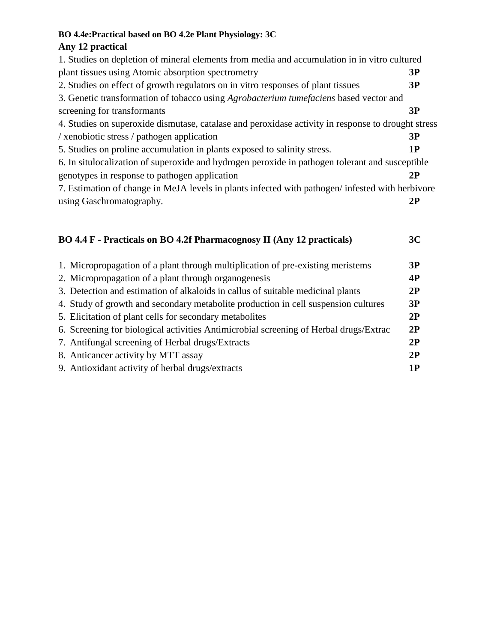#### **BO 4.4e:Practical based on BO 4.2e Plant Physiology: 3C**

#### **Any 12 practical**

| 1. Studies on depletion of mineral elements from media and accumulation in in vitro cultured       |    |  |
|----------------------------------------------------------------------------------------------------|----|--|
| plant tissues using Atomic absorption spectrometry                                                 | 3P |  |
| 2. Studies on effect of growth regulators on in vitro responses of plant tissues                   | 3P |  |
| 3. Genetic transformation of tobacco using <i>Agrobacterium tumefaciens</i> based vector and       |    |  |
| screening for transformants                                                                        | 3P |  |
| 4. Studies on superoxide dismutase, catalase and peroxidase activity in response to drought stress |    |  |
| / xenobiotic stress / pathogen application                                                         | 3P |  |
| 5. Studies on proline accumulation in plants exposed to salinity stress.                           | 1P |  |
| 6. In situlocalization of superoxide and hydrogen peroxide in pathogen tolerant and susceptible    |    |  |
| genotypes in response to pathogen application                                                      | 2P |  |
| 7. Estimation of change in MeJA levels in plants infected with pathogen/ infested with herbivore   |    |  |
| using Gaschromatography.                                                                           | 2P |  |
|                                                                                                    |    |  |

# **BO 4.4 F - Practicals on BO 4.2f Pharmacognosy II (Any 12 practicals) 3C** 1. Micropropagation of a plant through multiplication of pre-existing meristems **3P**<br>2. Micropropagation of a plant through excapacing is

| 2. Micropropagation of a plant through organogenesis                                  | 4P |
|---------------------------------------------------------------------------------------|----|
| 3. Detection and estimation of alkaloids in callus of suitable medicinal plants       | 2P |
| 4. Study of growth and secondary metabolite production in cell suspension cultures    | 3P |
| 5. Elicitation of plant cells for secondary metabolites                               | 2P |
| 6. Screening for biological activities Antimicrobial screening of Herbal drugs/Extrac | 2P |
| 7. Antifungal screening of Herbal drugs/Extracts                                      | 2P |
| 8. Anticancer activity by MTT assay                                                   | 2P |
| 9. Antioxidant activity of herbal drugs/extracts                                      | 1P |